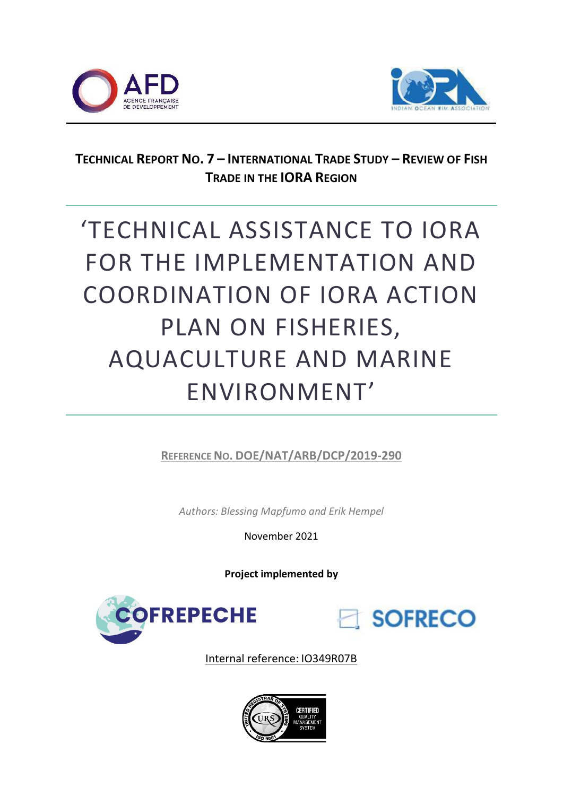



# **TECHNICAL REPORT NO. 7 – INTERNATIONAL TRADE STUDY – REVIEW OF FISH TRADE IN THE IORA REGION**

# 'TECHNICAL ASSISTANCE TO IORA FOR THE IMPLEMENTATION AND COORDINATION OF IORA ACTION PLAN ON FISHERIES, AQUACULTURE AND MARINE ENVIRONMENT'

**REFERENCE NO. DOE/NAT/ARB/DCP/2019-290**

*Authors: Blessing Mapfumo and Erik Hempel*

November 2021

**Project implemented by**





Internal reference: IO349R07B

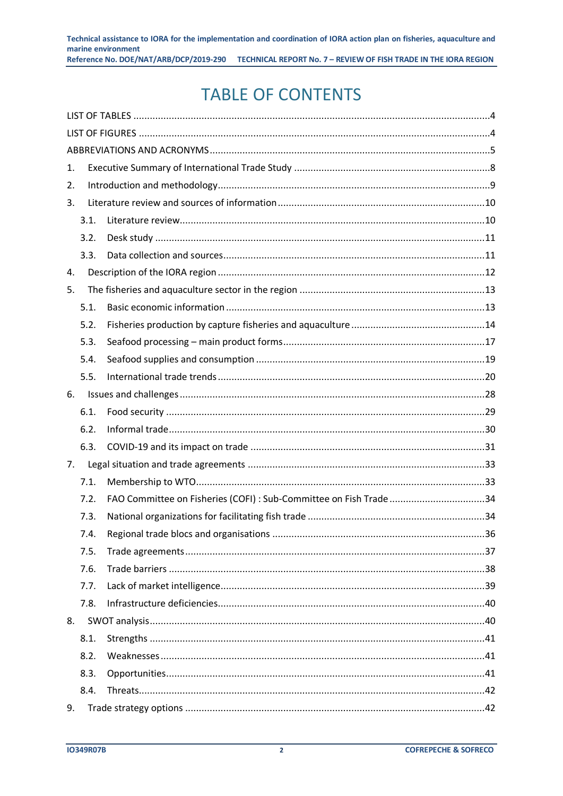# **TABLE OF CONTENTS**

| 1. |      |                                                                    |  |
|----|------|--------------------------------------------------------------------|--|
| 2. |      |                                                                    |  |
| 3. |      |                                                                    |  |
|    | 3.1. |                                                                    |  |
|    | 3.2. |                                                                    |  |
|    | 3.3. |                                                                    |  |
| 4. |      |                                                                    |  |
| 5. |      |                                                                    |  |
|    | 5.1. |                                                                    |  |
|    | 5.2. |                                                                    |  |
|    | 5.3. |                                                                    |  |
|    | 5.4. |                                                                    |  |
|    | 5.5. |                                                                    |  |
| 6. |      |                                                                    |  |
|    | 6.1. |                                                                    |  |
|    | 6.2. |                                                                    |  |
|    | 6.3. |                                                                    |  |
| 7. |      |                                                                    |  |
|    | 7.1. |                                                                    |  |
|    | 7.2. | FAO Committee on Fisheries (COFI) : Sub-Committee on Fish Trade 34 |  |
|    | 7.3. |                                                                    |  |
|    | 7.4. |                                                                    |  |
|    | 7.5. |                                                                    |  |
|    | 7.6. |                                                                    |  |
|    | 7.7. |                                                                    |  |
|    | 7.8. |                                                                    |  |
| 8. |      |                                                                    |  |
|    | 8.1. |                                                                    |  |
|    | 8.2. |                                                                    |  |
|    | 8.3. |                                                                    |  |
|    | 8.4. |                                                                    |  |
| 9. |      |                                                                    |  |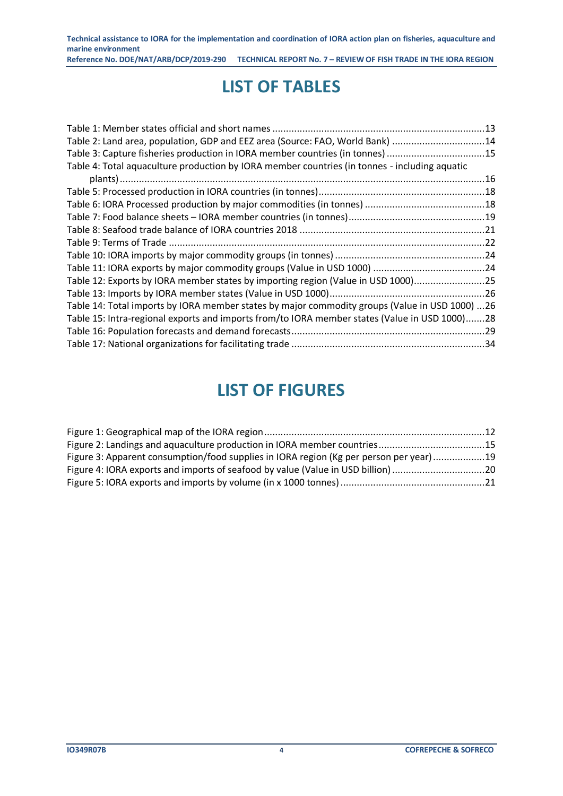# **LIST OF TABLES**

<span id="page-3-0"></span>

| Table 2: Land area, population, GDP and EEZ area (Source: FAO, World Bank) 14                  |  |
|------------------------------------------------------------------------------------------------|--|
| Table 3: Capture fisheries production in IORA member countries (in tonnes) 15                  |  |
| Table 4: Total aquaculture production by IORA member countries (in tonnes - including aquatic  |  |
|                                                                                                |  |
|                                                                                                |  |
|                                                                                                |  |
|                                                                                                |  |
|                                                                                                |  |
|                                                                                                |  |
|                                                                                                |  |
|                                                                                                |  |
| Table 12: Exports by IORA member states by importing region (Value in USD 1000)25              |  |
|                                                                                                |  |
| Table 14: Total imports by IORA member states by major commodity groups (Value in USD 1000) 26 |  |
| Table 15: Intra-regional exports and imports from/to IORA member states (Value in USD 1000)28  |  |
|                                                                                                |  |
|                                                                                                |  |

# **LIST OF FIGURES**

<span id="page-3-1"></span>

| Figure 2: Landings and aquaculture production in IORA member countries15                |  |
|-----------------------------------------------------------------------------------------|--|
| Figure 3: Apparent consumption/food supplies in IORA region (Kg per person per year) 19 |  |
| Figure 4: IORA exports and imports of seafood by value (Value in USD billion) 20        |  |
|                                                                                         |  |
|                                                                                         |  |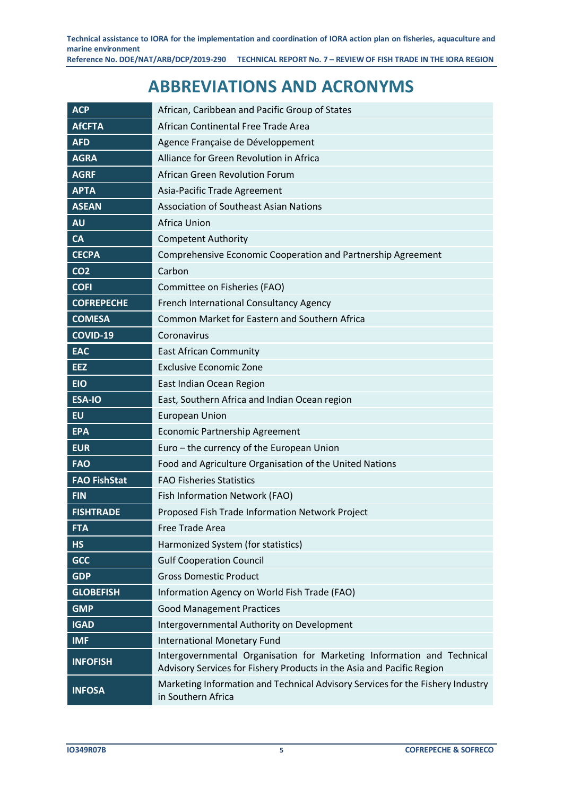# **ABBREVIATIONS AND ACRONYMS**

<span id="page-4-0"></span>

| <b>ACP</b>          | African, Caribbean and Pacific Group of States                                                                                                  |
|---------------------|-------------------------------------------------------------------------------------------------------------------------------------------------|
| <b>AfCFTA</b>       | African Continental Free Trade Area                                                                                                             |
| <b>AFD</b>          | Agence Française de Développement                                                                                                               |
| <b>AGRA</b>         | Alliance for Green Revolution in Africa                                                                                                         |
| <b>AGRF</b>         | African Green Revolution Forum                                                                                                                  |
| <b>APTA</b>         | Asia-Pacific Trade Agreement                                                                                                                    |
| <b>ASEAN</b>        | <b>Association of Southeast Asian Nations</b>                                                                                                   |
| <b>AU</b>           | Africa Union                                                                                                                                    |
| <b>CA</b>           | <b>Competent Authority</b>                                                                                                                      |
| <b>CECPA</b>        | Comprehensive Economic Cooperation and Partnership Agreement                                                                                    |
| CO <sub>2</sub>     | Carbon                                                                                                                                          |
| <b>COFI</b>         | Committee on Fisheries (FAO)                                                                                                                    |
| <b>COFREPECHE</b>   | French International Consultancy Agency                                                                                                         |
| <b>COMESA</b>       | Common Market for Eastern and Southern Africa                                                                                                   |
| <b>COVID-19</b>     | Coronavirus                                                                                                                                     |
| <b>EAC</b>          | <b>East African Community</b>                                                                                                                   |
| <b>EEZ</b>          | <b>Exclusive Economic Zone</b>                                                                                                                  |
| <b>EIO</b>          | East Indian Ocean Region                                                                                                                        |
| <b>ESA-IO</b>       | East, Southern Africa and Indian Ocean region                                                                                                   |
| <b>EU</b>           | <b>European Union</b>                                                                                                                           |
| <b>EPA</b>          | <b>Economic Partnership Agreement</b>                                                                                                           |
| <b>EUR</b>          | Euro - the currency of the European Union                                                                                                       |
| <b>FAO</b>          | Food and Agriculture Organisation of the United Nations                                                                                         |
| <b>FAO FishStat</b> | <b>FAO Fisheries Statistics</b>                                                                                                                 |
| <b>FIN</b>          | Fish Information Network (FAO)                                                                                                                  |
| <b>FISHTRADE</b>    | Proposed Fish Trade Information Network Project                                                                                                 |
| <b>FTA</b>          | Free Trade Area                                                                                                                                 |
| <b>HS</b>           | Harmonized System (for statistics)                                                                                                              |
| <b>GCC</b>          | <b>Gulf Cooperation Council</b>                                                                                                                 |
| <b>GDP</b>          | <b>Gross Domestic Product</b>                                                                                                                   |
| <b>GLOBEFISH</b>    | Information Agency on World Fish Trade (FAO)                                                                                                    |
| <b>GMP</b>          | <b>Good Management Practices</b>                                                                                                                |
| <b>IGAD</b>         | Intergovernmental Authority on Development                                                                                                      |
| <b>IMF</b>          | <b>International Monetary Fund</b>                                                                                                              |
| <b>INFOFISH</b>     | Intergovernmental Organisation for Marketing Information and Technical<br>Advisory Services for Fishery Products in the Asia and Pacific Region |
| <b>INFOSA</b>       | Marketing Information and Technical Advisory Services for the Fishery Industry<br>in Southern Africa                                            |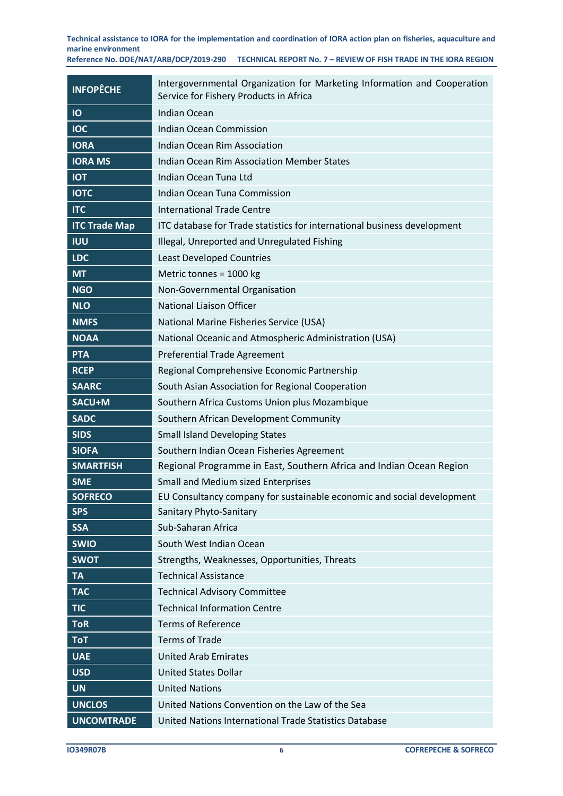| <b>INFOPÊCHE</b>     | Intergovernmental Organization for Marketing Information and Cooperation<br>Service for Fishery Products in Africa |  |  |  |  |
|----------------------|--------------------------------------------------------------------------------------------------------------------|--|--|--|--|
| IO                   | <b>Indian Ocean</b>                                                                                                |  |  |  |  |
| <b>IOC</b>           | <b>Indian Ocean Commission</b>                                                                                     |  |  |  |  |
| <b>IORA</b>          | Indian Ocean Rim Association                                                                                       |  |  |  |  |
| <b>IORA MS</b>       | <b>Indian Ocean Rim Association Member States</b>                                                                  |  |  |  |  |
| <b>IOT</b>           | Indian Ocean Tuna Ltd                                                                                              |  |  |  |  |
| <b>IOTC</b>          | <b>Indian Ocean Tuna Commission</b>                                                                                |  |  |  |  |
| <b>ITC</b>           | <b>International Trade Centre</b>                                                                                  |  |  |  |  |
| <b>ITC Trade Map</b> | ITC database for Trade statistics for international business development                                           |  |  |  |  |
| IUU                  | Illegal, Unreported and Unregulated Fishing                                                                        |  |  |  |  |
| <b>LDC</b>           | <b>Least Developed Countries</b>                                                                                   |  |  |  |  |
| <b>MT</b>            | Metric tonnes = 1000 kg                                                                                            |  |  |  |  |
| <b>NGO</b>           | Non-Governmental Organisation                                                                                      |  |  |  |  |
| <b>NLO</b>           | <b>National Liaison Officer</b>                                                                                    |  |  |  |  |
| <b>NMFS</b>          | National Marine Fisheries Service (USA)                                                                            |  |  |  |  |
| <b>NOAA</b>          | National Oceanic and Atmospheric Administration (USA)                                                              |  |  |  |  |
| <b>PTA</b>           | <b>Preferential Trade Agreement</b>                                                                                |  |  |  |  |
| <b>RCEP</b>          | Regional Comprehensive Economic Partnership                                                                        |  |  |  |  |
| <b>SAARC</b>         | South Asian Association for Regional Cooperation                                                                   |  |  |  |  |
| SACU+M               | Southern Africa Customs Union plus Mozambique                                                                      |  |  |  |  |
| <b>SADC</b>          | Southern African Development Community                                                                             |  |  |  |  |
| <b>SIDS</b>          | <b>Small Island Developing States</b>                                                                              |  |  |  |  |
| <b>SIOFA</b>         | Southern Indian Ocean Fisheries Agreement                                                                          |  |  |  |  |
| <b>SMARTFISH</b>     | Regional Programme in East, Southern Africa and Indian Ocean Region                                                |  |  |  |  |
| <b>SME</b>           | <b>Small and Medium sized Enterprises</b>                                                                          |  |  |  |  |
| <b>SOFRECO</b>       | EU Consultancy company for sustainable economic and social development                                             |  |  |  |  |
| <b>SPS</b>           | Sanitary Phyto-Sanitary                                                                                            |  |  |  |  |
| <b>SSA</b>           | Sub-Saharan Africa                                                                                                 |  |  |  |  |
| <b>SWIO</b>          | South West Indian Ocean                                                                                            |  |  |  |  |
| <b>SWOT</b>          | Strengths, Weaknesses, Opportunities, Threats                                                                      |  |  |  |  |
| <b>TA</b>            | <b>Technical Assistance</b>                                                                                        |  |  |  |  |
| <b>TAC</b>           | <b>Technical Advisory Committee</b>                                                                                |  |  |  |  |
| <b>TIC</b>           | <b>Technical Information Centre</b>                                                                                |  |  |  |  |
| <b>ToR</b>           | <b>Terms of Reference</b>                                                                                          |  |  |  |  |
| <b>ToT</b>           | <b>Terms of Trade</b>                                                                                              |  |  |  |  |
| <b>UAE</b>           | <b>United Arab Emirates</b>                                                                                        |  |  |  |  |
| <b>USD</b>           | <b>United States Dollar</b>                                                                                        |  |  |  |  |
| <b>UN</b>            | <b>United Nations</b>                                                                                              |  |  |  |  |
| <b>UNCLOS</b>        | United Nations Convention on the Law of the Sea                                                                    |  |  |  |  |
| <b>UNCOMTRADE</b>    | United Nations International Trade Statistics Database                                                             |  |  |  |  |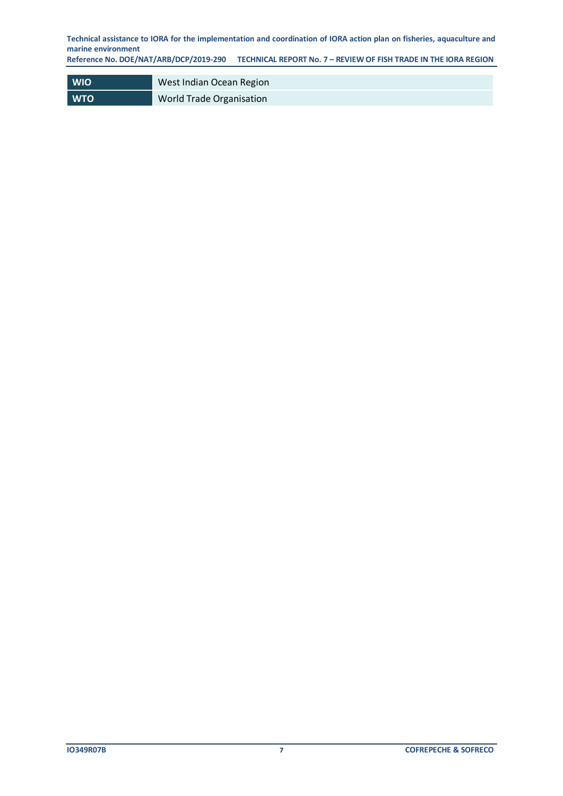**Reference No. DOE/NAT/ARB/DCP/2019-290 TECHNICAL REPORT No. 7 – REVIEW OF FISH TRADE IN THE IORA REGION**

| <b>WIO</b> | West Indian Ocean Region        |
|------------|---------------------------------|
| <b>WTO</b> | <b>World Trade Organisation</b> |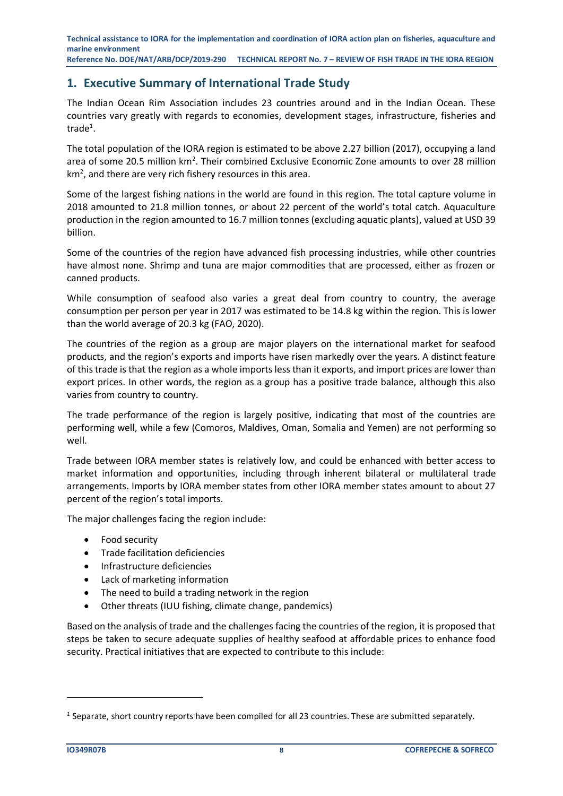# <span id="page-7-0"></span>**1. Executive Summary of International Trade Study**

The Indian Ocean Rim Association includes 23 countries around and in the Indian Ocean. These countries vary greatly with regards to economies, development stages, infrastructure, fisheries and trade<sup>1</sup>.

The total population of the IORA region is estimated to be above 2.27 billion (2017), occupying a land area of some 20.5 million km<sup>2</sup>. Their combined Exclusive Economic Zone amounts to over 28 million  $km<sup>2</sup>$ , and there are very rich fishery resources in this area.

Some of the largest fishing nations in the world are found in this region. The total capture volume in 2018 amounted to 21.8 million tonnes, or about 22 percent of the world's total catch. Aquaculture production in the region amounted to 16.7 million tonnes (excluding aquatic plants), valued at USD 39 billion.

Some of the countries of the region have advanced fish processing industries, while other countries have almost none. Shrimp and tuna are major commodities that are processed, either as frozen or canned products.

While consumption of seafood also varies a great deal from country to country, the average consumption per person per year in 2017 was estimated to be 14.8 kg within the region. This is lower than the world average of 20.3 kg (FAO, 2020).

The countries of the region as a group are major players on the international market for seafood products, and the region's exports and imports have risen markedly over the years. A distinct feature of this trade is that the region as a whole imports less than it exports, and import prices are lower than export prices. In other words, the region as a group has a positive trade balance, although this also varies from country to country.

The trade performance of the region is largely positive, indicating that most of the countries are performing well, while a few (Comoros, Maldives, Oman, Somalia and Yemen) are not performing so well.

Trade between IORA member states is relatively low, and could be enhanced with better access to market information and opportunities, including through inherent bilateral or multilateral trade arrangements. Imports by IORA member states from other IORA member states amount to about 27 percent of the region's total imports.

The major challenges facing the region include:

- Food security
- Trade facilitation deficiencies
- Infrastructure deficiencies
- Lack of marketing information
- The need to build a trading network in the region
- Other threats (IUU fishing, climate change, pandemics)

Based on the analysis of trade and the challenges facing the countries of the region, it is proposed that steps be taken to secure adequate supplies of healthy seafood at affordable prices to enhance food security. Practical initiatives that are expected to contribute to this include:

 $<sup>1</sup>$  Separate, short country reports have been compiled for all 23 countries. These are submitted separately.</sup>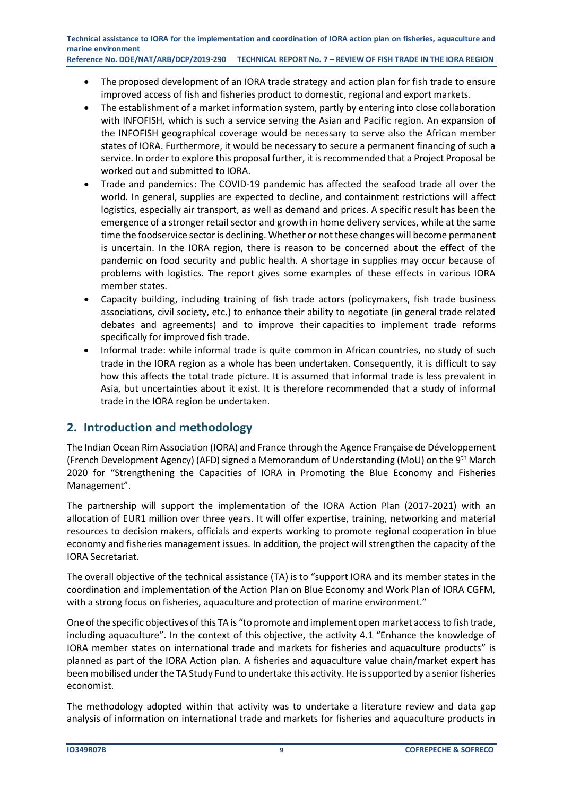- The proposed development of an IORA trade strategy and action plan for fish trade to ensure improved access of fish and fisheries product to domestic, regional and export markets.
- The establishment of a market information system, partly by entering into close collaboration with INFOFISH, which is such a service serving the Asian and Pacific region. An expansion of the INFOFISH geographical coverage would be necessary to serve also the African member states of IORA. Furthermore, it would be necessary to secure a permanent financing of such a service. In order to explore this proposal further, it is recommended that a Project Proposal be worked out and submitted to IORA.
- Trade and pandemics: The COVID-19 pandemic has affected the seafood trade all over the world. In general, supplies are expected to decline, and containment restrictions will affect logistics, especially air transport, as well as demand and prices. A specific result has been the emergence of a stronger retail sector and growth in home delivery services, while at the same time the foodservice sector is declining. Whether or not these changes will become permanent is uncertain. In the IORA region, there is reason to be concerned about the effect of the pandemic on food security and public health. A shortage in supplies may occur because of problems with logistics. The report gives some examples of these effects in various IORA member states.
- Capacity building, including training of fish trade actors (policymakers, fish trade business associations, civil society, etc.) to enhance their ability to negotiate (in general trade related debates and agreements) and to improve their capacities to implement trade reforms specifically for improved fish trade.
- Informal trade: while informal trade is quite common in African countries, no study of such trade in the IORA region as a whole has been undertaken. Consequently, it is difficult to say how this affects the total trade picture. It is assumed that informal trade is less prevalent in Asia, but uncertainties about it exist. It is therefore recommended that a study of informal trade in the IORA region be undertaken.

# <span id="page-8-0"></span>**2. Introduction and methodology**

The Indian Ocean Rim Association (IORA) and France through the Agence Française de Développement (French Development Agency) (AFD) signed a Memorandum of Understanding (MoU) on the 9th March 2020 for "Strengthening the Capacities of IORA in Promoting the Blue Economy and Fisheries Management".

The partnership will support the implementation of the IORA Action Plan (2017-2021) with an allocation of EUR1 million over three years. It will offer expertise, training, networking and material resources to decision makers, officials and experts working to promote regional cooperation in blue economy and fisheries management issues. In addition, the project will strengthen the capacity of the IORA Secretariat.

The overall objective of the technical assistance (TA) is to "support IORA and its member states in the coordination and implementation of the Action Plan on Blue Economy and Work Plan of IORA CGFM, with a strong focus on fisheries, aquaculture and protection of marine environment."

One of the specific objectives of this TA is "to promote and implement open market access to fish trade, including aquaculture". In the context of this objective, the activity 4.1 "Enhance the knowledge of IORA member states on international trade and markets for fisheries and aquaculture products" is planned as part of the IORA Action plan. A fisheries and aquaculture value chain/market expert has been mobilised under the TA Study Fund to undertake this activity. He is supported by a senior fisheries economist.

The methodology adopted within that activity was to undertake a literature review and data gap analysis of information on international trade and markets for fisheries and aquaculture products in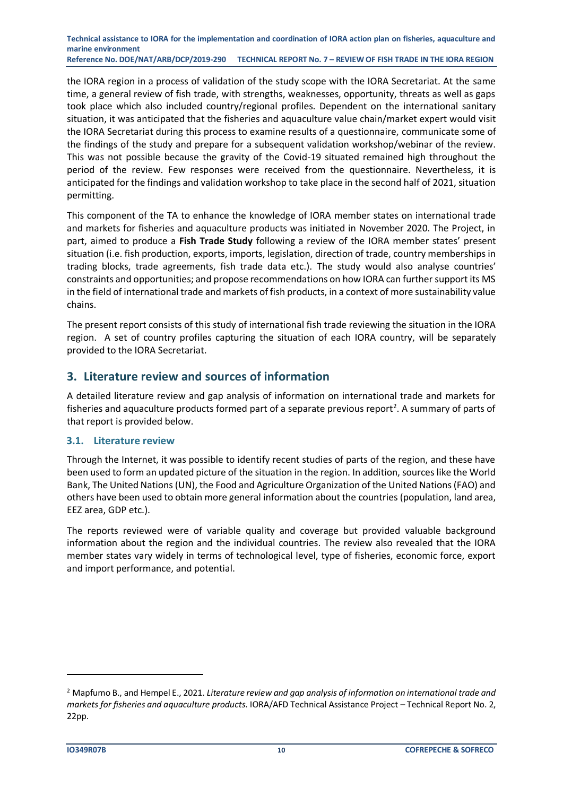the IORA region in a process of validation of the study scope with the IORA Secretariat. At the same time, a general review of fish trade, with strengths, weaknesses, opportunity, threats as well as gaps took place which also included country/regional profiles. Dependent on the international sanitary situation, it was anticipated that the fisheries and aquaculture value chain/market expert would visit the IORA Secretariat during this process to examine results of a questionnaire, communicate some of the findings of the study and prepare for a subsequent validation workshop/webinar of the review. This was not possible because the gravity of the Covid-19 situated remained high throughout the period of the review. Few responses were received from the questionnaire. Nevertheless, it is anticipated for the findings and validation workshop to take place in the second half of 2021, situation permitting.

This component of the TA to enhance the knowledge of IORA member states on international trade and markets for fisheries and aquaculture products was initiated in November 2020. The Project, in part, aimed to produce a **Fish Trade Study** following a review of the IORA member states' present situation (i.e. fish production, exports, imports, legislation, direction of trade, country memberships in trading blocks, trade agreements, fish trade data etc.). The study would also analyse countries' constraints and opportunities; and propose recommendations on how IORA can further support its MS in the field of international trade and markets of fish products, in a context of more sustainability value chains.

The present report consists of this study of international fish trade reviewing the situation in the IORA region. A set of country profiles capturing the situation of each IORA country, will be separately provided to the IORA Secretariat.

# <span id="page-9-0"></span>**3. Literature review and sources of information**

A detailed literature review and gap analysis of information on international trade and markets for fisheries and aquaculture products formed part of a separate previous report<sup>2</sup>. A summary of parts of that report is provided below.

#### <span id="page-9-1"></span>**3.1. Literature review**

Through the Internet, it was possible to identify recent studies of parts of the region, and these have been used to form an updated picture of the situation in the region. In addition, sources like the World Bank, The United Nations(UN), the Food and Agriculture Organization of the United Nations (FAO) and others have been used to obtain more general information about the countries (population, land area, EEZ area, GDP etc.).

The reports reviewed were of variable quality and coverage but provided valuable background information about the region and the individual countries. The review also revealed that the IORA member states vary widely in terms of technological level, type of fisheries, economic force, export and import performance, and potential.

<sup>2</sup> Mapfumo B., and Hempel E., 2021. *Literature review and gap analysis of information on international trade and markets for fisheries and aquaculture products*. IORA/AFD Technical Assistance Project – Technical Report No. 2, 22pp.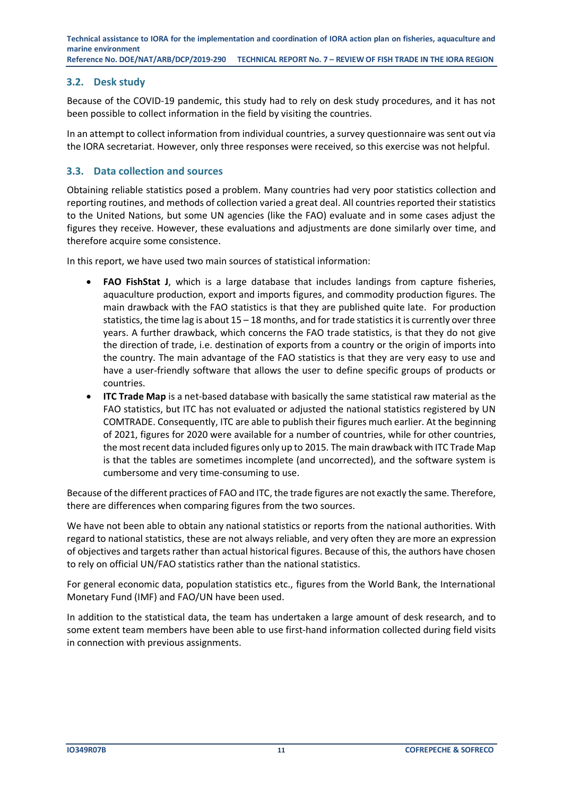### <span id="page-10-0"></span>**3.2. Desk study**

Because of the COVID-19 pandemic, this study had to rely on desk study procedures, and it has not been possible to collect information in the field by visiting the countries.

In an attempt to collect information from individual countries, a survey questionnaire was sent out via the IORA secretariat. However, only three responses were received, so this exercise was not helpful.

### <span id="page-10-1"></span>**3.3. Data collection and sources**

Obtaining reliable statistics posed a problem. Many countries had very poor statistics collection and reporting routines, and methods of collection varied a great deal. All countries reported their statistics to the United Nations, but some UN agencies (like the FAO) evaluate and in some cases adjust the figures they receive. However, these evaluations and adjustments are done similarly over time, and therefore acquire some consistence.

In this report, we have used two main sources of statistical information:

- **FAO FishStat J**, which is a large database that includes landings from capture fisheries, aquaculture production, export and imports figures, and commodity production figures. The main drawback with the FAO statistics is that they are published quite late. For production statistics, the time lag is about  $15 - 18$  months, and for trade statistics it is currently over three years. A further drawback, which concerns the FAO trade statistics, is that they do not give the direction of trade, i.e. destination of exports from a country or the origin of imports into the country. The main advantage of the FAO statistics is that they are very easy to use and have a user-friendly software that allows the user to define specific groups of products or countries.
- **ITC Trade Map** is a net-based database with basically the same statistical raw material as the FAO statistics, but ITC has not evaluated or adjusted the national statistics registered by UN COMTRADE. Consequently, ITC are able to publish their figures much earlier. At the beginning of 2021, figures for 2020 were available for a number of countries, while for other countries, the most recent data included figures only up to 2015. The main drawback with ITC Trade Map is that the tables are sometimes incomplete (and uncorrected), and the software system is cumbersome and very time-consuming to use.

Because of the different practices of FAO and ITC, the trade figures are not exactly the same. Therefore, there are differences when comparing figures from the two sources.

We have not been able to obtain any national statistics or reports from the national authorities. With regard to national statistics, these are not always reliable, and very often they are more an expression of objectives and targets rather than actual historical figures. Because of this, the authors have chosen to rely on official UN/FAO statistics rather than the national statistics.

For general economic data, population statistics etc., figures from the World Bank, the International Monetary Fund (IMF) and FAO/UN have been used.

In addition to the statistical data, the team has undertaken a large amount of desk research, and to some extent team members have been able to use first-hand information collected during field visits in connection with previous assignments.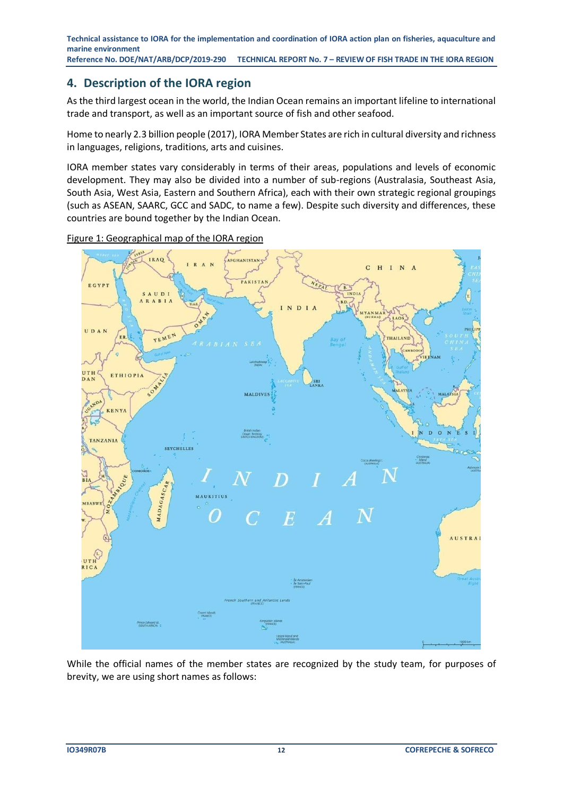# <span id="page-11-0"></span>**4. Description of the IORA region**

As the third largest ocean in the world, the Indian Ocean remains an important lifeline to international trade and transport, as well as an important source of fish and other seafood.

Home to nearly 2.3 billion people (2017), IORA Member States are rich in cultural diversity and richness in languages, religions, traditions, arts and cuisines.

IORA member states vary considerably in terms of their areas, populations and levels of economic development. They may also be divided into a number of sub-regions (Australasia, Southeast Asia, South Asia, West Asia, Eastern and Southern Africa), each with their own strategic regional groupings (such as ASEAN, SAARC, GCC and SADC, to name a few). Despite such diversity and differences, these countries are bound together by the Indian Ocean.



<span id="page-11-1"></span>Figure 1: Geographical map of the IORA region

While the official names of the member states are recognized by the study team, for purposes of brevity, we are using short names as follows: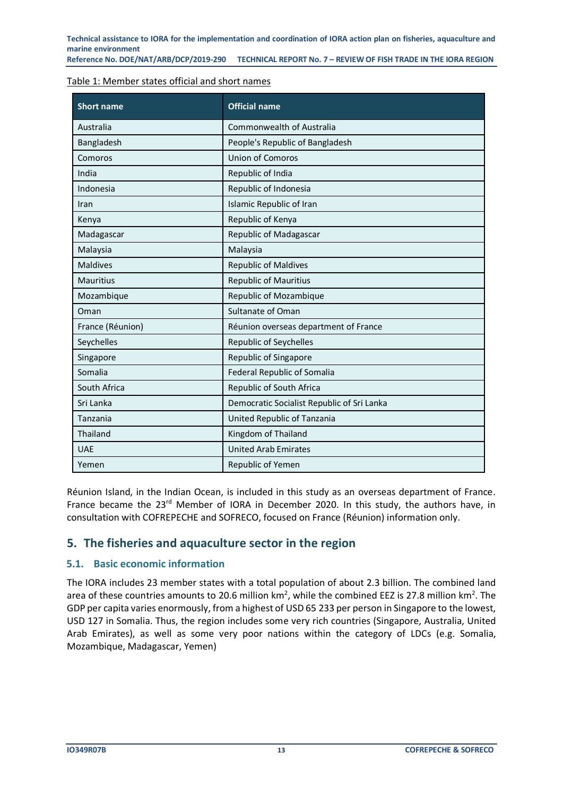**Reference No. DOE/NAT/ARB/DCP/2019-290 TECHNICAL REPORT No. 7 – REVIEW OF FISH TRADE IN THE IORA REGION**

#### <span id="page-12-2"></span>Table 1: Member states official and short names

| <b>Short name</b> | <b>Official name</b>                       |
|-------------------|--------------------------------------------|
| Australia         | Commonwealth of Australia                  |
| Bangladesh        | People's Republic of Bangladesh            |
| Comoros           | <b>Union of Comoros</b>                    |
| India             | Republic of India                          |
| Indonesia         | Republic of Indonesia                      |
| Iran              | Islamic Republic of Iran                   |
| Kenya             | Republic of Kenya                          |
| Madagascar        | Republic of Madagascar                     |
| Malaysia          | Malaysia                                   |
| <b>Maldives</b>   | <b>Republic of Maldives</b>                |
| <b>Mauritius</b>  | <b>Republic of Mauritius</b>               |
| Mozambique        | Republic of Mozambique                     |
| Oman              | <b>Sultanate of Oman</b>                   |
| France (Réunion)  | Réunion overseas department of France      |
| Seychelles        | <b>Republic of Seychelles</b>              |
| Singapore         | Republic of Singapore                      |
| Somalia           | <b>Federal Republic of Somalia</b>         |
| South Africa      | Republic of South Africa                   |
| Sri Lanka         | Democratic Socialist Republic of Sri Lanka |
| Tanzania          | United Republic of Tanzania                |
| <b>Thailand</b>   | Kingdom of Thailand                        |
| <b>UAE</b>        | <b>United Arab Emirates</b>                |
| Yemen             | Republic of Yemen                          |

Réunion Island, in the Indian Ocean, is included in this study as an overseas department of France. France became the 23<sup>rd</sup> Member of IORA in December 2020. In this study, the authors have, in consultation with COFREPECHE and SOFRECO, focused on France (Réunion) information only.

# <span id="page-12-0"></span>**5. The fisheries and aquaculture sector in the region**

#### <span id="page-12-1"></span>**5.1. Basic economic information**

The IORA includes 23 member states with a total population of about 2.3 billion. The combined land area of these countries amounts to 20.6 million  $km^2$ , while the combined EEZ is 27.8 million  $km^2$ . The GDP per capita varies enormously, from a highest of USD 65 233 per person in Singapore to the lowest, USD 127 in Somalia. Thus, the region includes some very rich countries (Singapore, Australia, United Arab Emirates), as well as some very poor nations within the category of LDCs (e.g. Somalia, Mozambique, Madagascar, Yemen)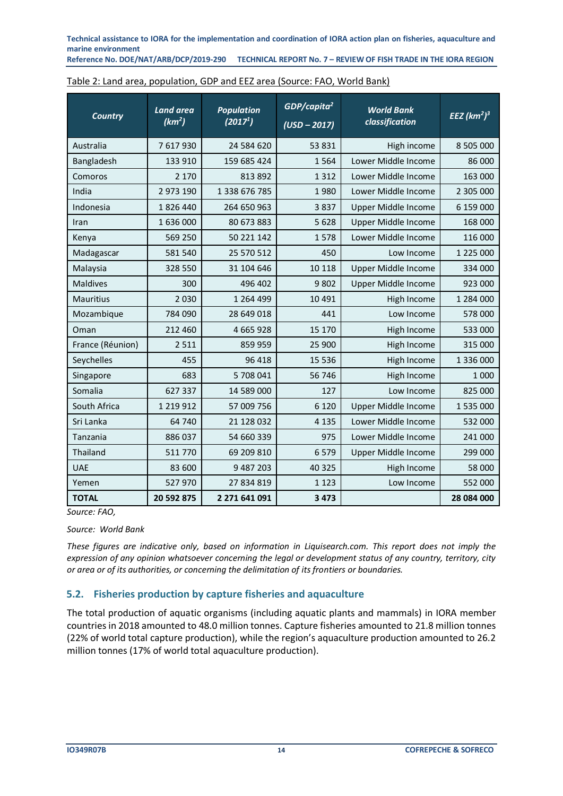**Technical assistance to IORA for the implementation and coordination of IORA action plan on fisheries, aquaculture and**  marine environment<br>Reference No. DOE/NAT/ARB/DCP/2019-290

**RECHNICAL REPORT No. 7 - REVIEW OF FISH TRADE IN THE IORA REGION** 

| <b>Country</b>   | <b>Land area</b><br>(km <sup>2</sup> ) | <b>Population</b><br>(2017 <sup>1</sup> ) | $GDP/c$ apita <sup>2</sup><br>$(USD - 2017)$ | <b>World Bank</b><br>classification | $\overline{EEZ}$ (km <sup>2</sup> ) <sup>3</sup> |
|------------------|----------------------------------------|-------------------------------------------|----------------------------------------------|-------------------------------------|--------------------------------------------------|
| Australia        | 7 617 930                              | 24 584 620                                | 53 831                                       | High income                         | 8 505 000                                        |
| Bangladesh       | 133 910                                | 159 685 424                               | 1564                                         | Lower Middle Income                 | 86 000                                           |
| Comoros          | 2 1 7 0                                | 813 892                                   | 1 3 1 2                                      | Lower Middle Income                 | 163 000                                          |
| India            | 2 973 190                              | 1 338 676 785                             | 1980                                         | Lower Middle Income                 | 2 305 000                                        |
| Indonesia        | 1826440                                | 264 650 963                               | 3837                                         | Upper Middle Income                 | 6 159 000                                        |
| Iran             | 1 636 000                              | 80 673 883                                | 5 6 2 8                                      | Upper Middle Income                 | 168 000                                          |
| Kenya            | 569 250                                | 50 221 142                                | 1578                                         | Lower Middle Income                 | 116 000                                          |
| Madagascar       | 581 540                                | 25 570 512                                | 450                                          | Low Income                          | 1 225 000                                        |
| Malaysia         | 328 550                                | 31 104 646                                | 10 118                                       | Upper Middle Income                 | 334 000                                          |
| <b>Maldives</b>  | 300                                    | 496 402                                   | 9802                                         | Upper Middle Income                 | 923 000                                          |
| <b>Mauritius</b> | 2 0 3 0                                | 1 2 6 4 4 9 9                             | 10 4 9 1                                     | High Income                         | 1 284 000                                        |
| Mozambique       | 784 090                                | 28 649 018                                | 441                                          | Low Income                          | 578 000                                          |
| Oman             | 212 460                                | 4 6 6 5 9 2 8                             | 15 170                                       | High Income                         | 533 000                                          |
| France (Réunion) | 2 5 1 1                                | 859 959                                   | 25 900                                       | High Income                         | 315 000                                          |
| Seychelles       | 455                                    | 96 418                                    | 15 5 36                                      | High Income                         | 1 336 000                                        |
| Singapore        | 683                                    | 5 708 041                                 | 56 746                                       | High Income                         | 1 0 0 0                                          |
| Somalia          | 627 337                                | 14 589 000                                | 127                                          | Low Income                          | 825 000                                          |
| South Africa     | 1 2 1 9 1 2                            | 57 009 756                                | 6 1 2 0                                      | Upper Middle Income                 | 1 535 000                                        |
| Sri Lanka        | 64 740                                 | 21 128 032                                | 4 1 3 5                                      | Lower Middle Income                 | 532 000                                          |
| Tanzania         | 886 037                                | 54 660 339                                | 975                                          | Lower Middle Income                 | 241 000                                          |
| Thailand         | 511 770                                | 69 209 810                                | 6579                                         | Upper Middle Income                 | 299 000                                          |
| <b>UAE</b>       | 83 600                                 | 9 487 203                                 | 40 3 25                                      | High Income                         | 58 000                                           |
| Yemen            | 527 970                                | 27 834 819                                | 1 1 2 3                                      | Low Income                          | 552 000                                          |
| <b>TOTAL</b>     | 20 592 875                             | 2 271 641 091                             | 3 4 7 3                                      |                                     | 28 084 000                                       |

<span id="page-13-1"></span>

| Table 2: Land area, population, GDP and EEZ area (Source: FAO, World Bank) |
|----------------------------------------------------------------------------|
|----------------------------------------------------------------------------|

*Source: FAO,* 

#### *Source: World Bank*

*These figures are indicative only, based on information in Liquisearch.com. This report does not imply the expression of any opinion whatsoever concerning the legal or development status of any country, territory, city or area or of its authorities, or concerning the delimitation of its frontiers or boundaries.* 

#### <span id="page-13-0"></span>**5.2. Fisheries production by capture fisheries and aquaculture**

The total production of aquatic organisms (including aquatic plants and mammals) in IORA member countries in 2018 amounted to 48.0 million tonnes. Capture fisheries amounted to 21.8 million tonnes (22% of world total capture production), while the region's aquaculture production amounted to 26.2 million tonnes (17% of world total aquaculture production).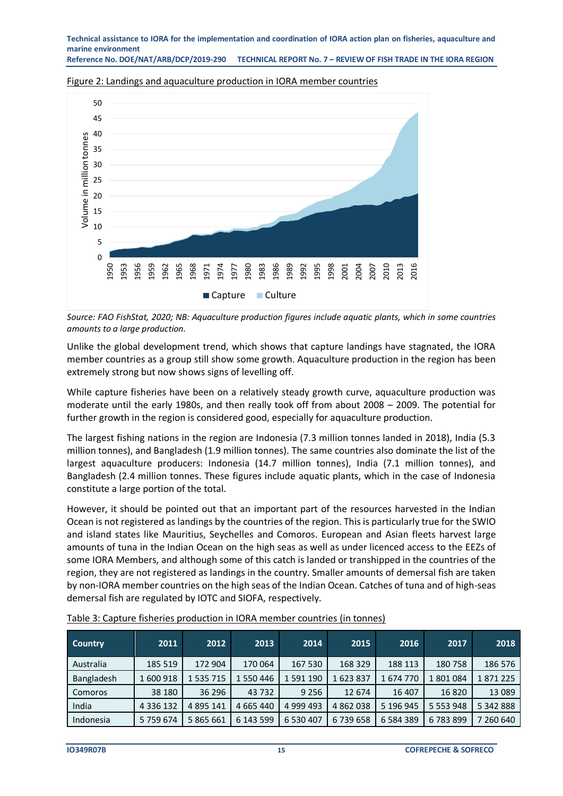**Reference No. DOE/NAT/ARB/DCP/2019-290 TECHNICAL REPORT No. 7 – REVIEW OF FISH TRADE IN THE IORA REGION**



<span id="page-14-1"></span>Figure 2: Landings and aquaculture production in IORA member countries

*Source: FAO FishStat, 2020; NB: Aquaculture production figures include aquatic plants, which in some countries amounts to a large production.*

Unlike the global development trend, which shows that capture landings have stagnated, the IORA member countries as a group still show some growth. Aquaculture production in the region has been extremely strong but now shows signs of levelling off.

While capture fisheries have been on a relatively steady growth curve, aquaculture production was moderate until the early 1980s, and then really took off from about 2008 – 2009. The potential for further growth in the region is considered good, especially for aquaculture production.

The largest fishing nations in the region are Indonesia (7.3 million tonnes landed in 2018), India (5.3 million tonnes), and Bangladesh (1.9 million tonnes). The same countries also dominate the list of the largest aquaculture producers: Indonesia (14.7 million tonnes), India (7.1 million tonnes), and Bangladesh (2.4 million tonnes. These figures include aquatic plants, which in the case of Indonesia constitute a large portion of the total.

However, it should be pointed out that an important part of the resources harvested in the Indian Ocean is not registered as landings by the countries of the region. This is particularly true for the SWIO and island states like Mauritius, Seychelles and Comoros. European and Asian fleets harvest large amounts of tuna in the Indian Ocean on the high seas as well as under licenced access to the EEZs of some IORA Members, and although some of this catch is landed or transhipped in the countries of the region, they are not registered as landings in the country. Smaller amounts of demersal fish are taken by non-IORA member countries on the high seas of the Indian Ocean. Catches of tuna and of high-seas demersal fish are regulated by IOTC and SIOFA, respectively.

| <b>Country</b>    | 2011          | 2012          | 2013      | 2014      | 2015      | 2016          | 2017          | 2018      |
|-------------------|---------------|---------------|-----------|-----------|-----------|---------------|---------------|-----------|
| Australia         | 185 519       | 172 904       | 170 064   | 167 530   | 168 329   | 188 113       | 180758        | 186 576   |
| <b>Bangladesh</b> | 600 918       | 1 535 715     | 550 446   | 1 591 190 | 1623837   | 1674770       | 1801084       | 1871225   |
| <b>Comoros</b>    | 38 180        | 36 296        | 43 732    | 9 2 5 6   | 12 674    | 16 407        | 16820         | 13 0 89   |
| India             | 4 3 3 6 1 3 2 | 4 8 9 5 1 4 1 | 4 665 440 | 4 999 493 | 4 862 038 | 5 196 945     | 5 5 5 3 9 4 8 | 5 342 888 |
| Indonesia         | 5 759 674     | 5 865 661     | 6 143 599 | 6 530 407 | 6739658   | 6 5 8 4 3 8 9 | 6783899       | 260 640   |

<span id="page-14-0"></span>

|  | Table 3: Capture fisheries production in IORA member countries (in tonnes) |  |  |  |
|--|----------------------------------------------------------------------------|--|--|--|
|--|----------------------------------------------------------------------------|--|--|--|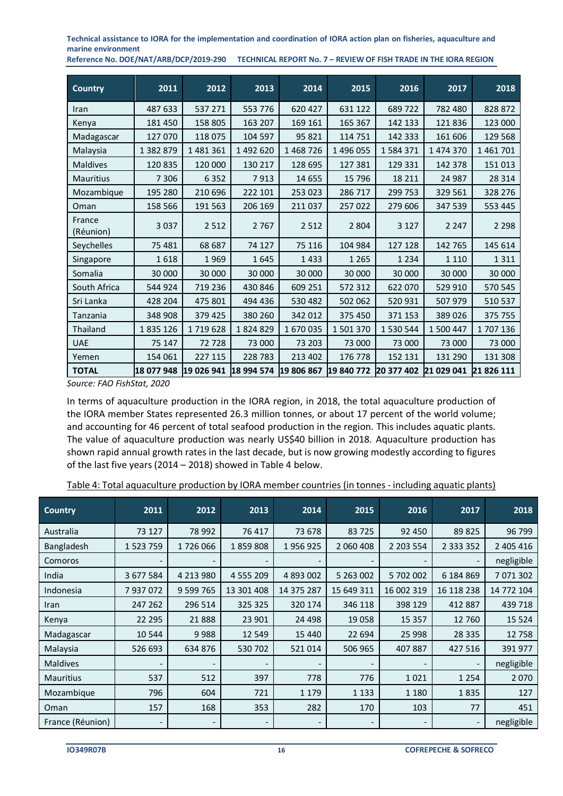| <b>Country</b>      | 2011       | 2012       | 2013       | 2014       | 2015       | 2016       | 2017       | 2018       |
|---------------------|------------|------------|------------|------------|------------|------------|------------|------------|
| Iran                | 487 633    | 537 271    | 553 776    | 620 427    | 631 122    | 689722     | 782 480    | 828 872    |
| Kenya               | 181 450    | 158 805    | 163 207    | 169 161    | 165 367    | 142 133    | 121836     | 123 000    |
| Madagascar          | 127 070    | 118 075    | 104 597    | 95 821     | 114 751    | 142 333    | 161 606    | 129 568    |
| Malaysia            | 1 382 879  | 1 481 361  | 1 492 620  | 1 468 726  | 1 496 055  | 1 584 371  | 1 474 370  | 1 461 701  |
| <b>Maldives</b>     | 120 835    | 120 000    | 130 217    | 128 695    | 127 381    | 129 331    | 142 378    | 151 013    |
| <b>Mauritius</b>    | 7 3 0 6    | 6 3 5 2    | 7913       | 14 655     | 15 796     | 18 211     | 24 987     | 28 3 14    |
| Mozambique          | 195 280    | 210 696    | 222 101    | 253 023    | 286 717    | 299 753    | 329 561    | 328 276    |
| Oman                | 158 566    | 191 563    | 206 169    | 211037     | 257 022    | 279 606    | 347 539    | 553 445    |
| France<br>(Réunion) | 3 0 3 7    | 2 5 1 2    | 2 7 6 7    | 2 5 1 2    | 2 8 0 4    | 3 1 2 7    | 2 2 4 7    | 2 2 9 8    |
| Seychelles          | 75 481     | 68 687     | 74 127     | 75 116     | 104 984    | 127 128    | 142 765    | 145 614    |
| Singapore           | 1618       | 1969       | 1645       | 1433       | 1 2 6 5    | 1 2 3 4    | 1 1 1 0    | 1 3 1 1    |
| Somalia             | 30 000     | 30 000     | 30 000     | 30 000     | 30 000     | 30 000     | 30 000     | 30 000     |
| South Africa        | 544 924    | 719 236    | 430 846    | 609 251    | 572 312    | 622 070    | 529 910    | 570 545    |
| Sri Lanka           | 428 204    | 475 801    | 494 436    | 530 482    | 502 062    | 520 931    | 507 979    | 510 537    |
| Tanzania            | 348 908    | 379 425    | 380 260    | 342 012    | 375 450    | 371 153    | 389 026    | 375 755    |
| <b>Thailand</b>     | 1835126    | 1719628    | 1824829    | 1670035    | 1501370    | 1 530 544  | 1 500 447  | 1707136    |
| <b>UAE</b>          | 75 147     | 72728      | 73 000     | 73 203     | 73 000     | 73 000     | 73 000     | 73 000     |
| Yemen               | 154 061    | 227 115    | 228 783    | 213 402    | 176 778    | 152 131    | 131 290    | 131 308    |
| <b>TOTAL</b>        | 18 077 948 | 19 026 941 | 18 994 574 | 19 806 867 | 19 840 772 | 20 377 402 | 21 029 041 | 21 826 111 |

*Source: FAO FishStat, 2020*

In terms of aquaculture production in the IORA region, in 2018, the total aquaculture production of the IORA member States represented 26.3 million tonnes, or about 17 percent of the world volume; and accounting for 46 percent of total seafood production in the region. This includes aquatic plants. The value of aquaculture production was nearly US\$40 billion in 2018. Aquaculture production has shown rapid annual growth rates in the last decade, but is now growing modestly according to figures of the last five years (2014 – 2018) showed in Table 4 below.

<span id="page-15-0"></span>

| Table 4: Total aquaculture production by IORA member countries (in tonnes - including aquatic plants) |  |  |  |
|-------------------------------------------------------------------------------------------------------|--|--|--|
|                                                                                                       |  |  |  |

| <b>Country</b>   | 2011                     | 2012                     | 2013        | 2014                     | 2015                     | 2016       | 2017          | 2018       |
|------------------|--------------------------|--------------------------|-------------|--------------------------|--------------------------|------------|---------------|------------|
| Australia        | 73 127                   | 78 992                   | 76 417      | 73 678                   | 83 725                   | 92 450     | 89 825        | 96 799     |
| Bangladesh       | 1 523 759                | 1726 066                 | 1859808     | 1956925                  | 2 060 408                | 2 203 554  | 2 3 3 3 3 5 2 | 2 405 416  |
| Comoros          |                          |                          |             |                          |                          |            |               | negligible |
| India            | 3 677 584                | 4 213 980                | 4 5 5 2 0 9 | 4 893 002                | 5 263 002                | 5 702 002  | 6 184 869     | 7 071 302  |
| Indonesia        | 7 937 072                | 9 599 765                | 13 301 408  | 14 375 287               | 15 649 311               | 16 002 319 | 16 118 238    | 14 772 104 |
| <b>Iran</b>      | 247 262                  | 296 514                  | 325 325     | 320 174                  | 346 118                  | 398 129    | 412 887       | 439 718    |
| Kenya            | 22 295                   | 21888                    | 23 901      | 24 4 98                  | 19 0 58                  | 15 3 5 7   | 12 760        | 15 5 24    |
| Madagascar       | 10 544                   | 9988                     | 12 549      | 15 440                   | 22 694                   | 25 998     | 28 3 35       | 12 758     |
| Malaysia         | 526 693                  | 634 876                  | 530 702     | 521014                   | 506 965                  | 407887     | 427 516       | 391 977    |
| <b>Maldives</b>  |                          |                          |             |                          |                          |            |               | negligible |
| Mauritius        | 537                      | 512                      | 397         | 778                      | 776                      | 1021       | 1 2 5 4       | 2 0 7 0    |
| Mozambique       | 796                      | 604                      | 721         | 1 1 7 9                  | 1 1 3 3                  | 1 1 8 0    | 1835          | 127        |
| Oman             | 157                      | 168                      | 353         | 282                      | 170                      | 103        | 77            | 451        |
| France (Réunion) | $\overline{\phantom{a}}$ | $\overline{\phantom{a}}$ | -           | $\overline{\phantom{a}}$ | $\overline{\phantom{a}}$ |            |               | negligible |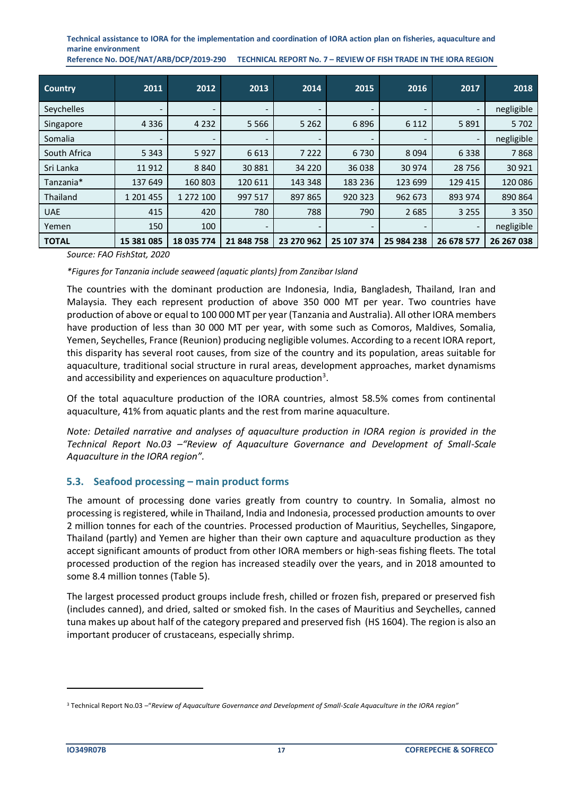**Reference No. DOE/NAT/ARB/DCP/2019-290 TECHNICAL REPORT No. 7 – REVIEW OF FISH TRADE IN THE IORA REGION**

| <b>Country</b> | 2011                     | 2012                     | 2013       | 2014                     | 2015                     | 2016                     | 2017       | 2018       |
|----------------|--------------------------|--------------------------|------------|--------------------------|--------------------------|--------------------------|------------|------------|
| Seychelles     | $\overline{\phantom{a}}$ | $\overline{\phantom{a}}$ | -          | $\overline{\phantom{a}}$ | $\overline{\phantom{a}}$ | $\overline{\phantom{a}}$ |            | negligible |
| Singapore      | 4 3 3 6                  | 4 2 3 2                  | 5 5 6 6    | 5 2 6 2                  | 6896                     | 6 1 1 2                  | 5 8 9 1    | 5 7 0 2    |
| Somalia        | $\overline{\phantom{a}}$ |                          |            |                          |                          |                          |            | negligible |
| South Africa   | 5 3 4 3                  | 5927                     | 6 6 1 3    | 7 2 2 2                  | 6730                     | 8 0 9 4                  | 6 3 3 8    | 7868       |
| Sri Lanka      | 11912                    | 8840                     | 30 881     | 34 2 20                  | 36 038                   | 30 974                   | 28 7 56    | 30 9 21    |
| Tanzania*      | 137 649                  | 160 803                  | 120 611    | 143 348                  | 183 236                  | 123 699                  | 129 415    | 120 086    |
| Thailand       | 1 201 455                | 1 272 100                | 997 517    | 897 865                  | 920 323                  | 962 673                  | 893 974    | 890 864    |
| <b>UAE</b>     | 415                      | 420                      | 780        | 788                      | 790                      | 2685                     | 3 2 5 5    | 3 3 5 0    |
| Yemen          | 150                      | 100                      |            |                          |                          |                          |            | negligible |
| <b>TOTAL</b>   | 15 381 085               | 18 035 774               | 21 848 758 | 23 270 962               | 25 107 374               | 25 984 238               | 26 678 577 | 26 267 038 |

*Source: FAO FishStat, 2020*

#### *\*Figures for Tanzania include seaweed (aquatic plants) from Zanzibar Island*

The countries with the dominant production are Indonesia, India, Bangladesh, Thailand, Iran and Malaysia. They each represent production of above 350 000 MT per year. Two countries have production of above or equal to 100 000 MT per year (Tanzania and Australia). All other IORA members have production of less than 30 000 MT per year, with some such as Comoros, Maldives, Somalia, Yemen, Seychelles, France (Reunion) producing negligible volumes. According to a recent IORA report, this disparity has several root causes, from size of the country and its population, areas suitable for aquaculture, traditional social structure in rural areas, development approaches, market dynamisms and accessibility and experiences on aquaculture production<sup>3</sup>.

Of the total aquaculture production of the IORA countries, almost 58.5% comes from continental aquaculture, 41% from aquatic plants and the rest from marine aquaculture.

*Note: Detailed narrative and analyses of aquaculture production in IORA region is provided in the Technical Report No.03 –"Review of Aquaculture Governance and Development of Small-Scale Aquaculture in the IORA region".*

#### <span id="page-16-0"></span>**5.3. Seafood processing – main product forms**

The amount of processing done varies greatly from country to country. In Somalia, almost no processing is registered, while in Thailand, India and Indonesia, processed production amounts to over 2 million tonnes for each of the countries. Processed production of Mauritius, Seychelles, Singapore, Thailand (partly) and Yemen are higher than their own capture and aquaculture production as they accept significant amounts of product from other IORA members or high-seas fishing fleets. The total processed production of the region has increased steadily over the years, and in 2018 amounted to some 8.4 million tonnes (Table 5).

The largest processed product groups include fresh, chilled or frozen fish, prepared or preserved fish (includes canned), and dried, salted or smoked fish. In the cases of Mauritius and Seychelles, canned tuna makes up about half of the category prepared and preserved fish (HS 1604). The region is also an important producer of crustaceans, especially shrimp.

<sup>3</sup> Technical Report No.03 –"*Review of Aquaculture Governance and Development of Small-Scale Aquaculture in the IORA region"*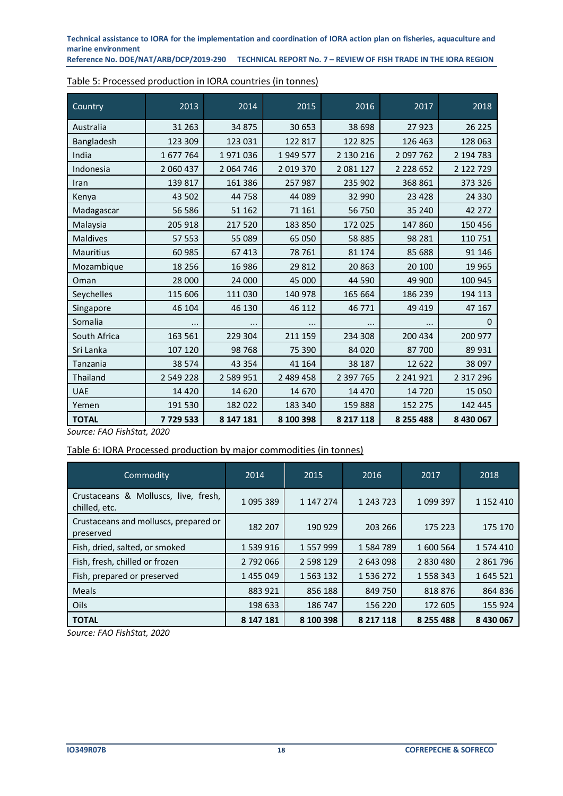**Reference No. DOE/NAT/ARB/DCP/2019-290 TECHNICAL REPORT No. 7 – REVIEW OF FISH TRADE IN THE IORA REGION**

| Country          | 2013      | 2014      | 2015      | 2016      | 2017        | 2018          |
|------------------|-----------|-----------|-----------|-----------|-------------|---------------|
| Australia        | 31 263    | 34 875    | 30 653    | 38 698    | 27 923      | 26 225        |
| Bangladesh       | 123 309   | 123 031   | 122 817   | 122 825   | 126 463     | 128 063       |
| India            | 1 677 764 | 1971036   | 1949 577  | 2 130 216 | 2 097 762   | 2 194 783     |
| Indonesia        | 2 060 437 | 2 064 746 | 2 019 370 | 2 081 127 | 2 2 2 6 5 2 | 2 122 729     |
| Iran             | 139 817   | 161 386   | 257 987   | 235 902   | 368 861     | 373 326       |
| Kenya            | 43 502    | 44 758    | 44 089    | 32 990    | 23 4 28     | 24 330        |
| Madagascar       | 56 586    | 51 162    | 71 161    | 56 750    | 35 240      | 42 272        |
| Malaysia         | 205 918   | 217 520   | 183 850   | 172 025   | 147 860     | 150 456       |
| Maldives         | 57 553    | 55 089    | 65 050    | 58 885    | 98 281      | 110 751       |
| <b>Mauritius</b> | 60 985    | 67 413    | 78 761    | 81 174    | 85 688      | 91 146        |
| Mozambique       | 18 25 6   | 16 986    | 29 812    | 20863     | 20 100      | 19 9 65       |
| Oman             | 28 000    | 24 000    | 45 000    | 44 590    | 49 900      | 100 945       |
| Seychelles       | 115 606   | 111 030   | 140 978   | 165 664   | 186 239     | 194 113       |
| Singapore        | 46 104    | 46 130    | 46 112    | 46 771    | 49 419      | 47 167        |
| Somalia          |           |           |           |           |             | 0             |
| South Africa     | 163 561   | 229 304   | 211 159   | 234 308   | 200 434     | 200 977       |
| Sri Lanka        | 107 120   | 98 768    | 75 390    | 84 0 20   | 87 700      | 89 931        |
| Tanzania         | 38 574    | 43 3 54   | 41 164    | 38 187    | 12 622      | 38 097        |
| Thailand         | 2 549 228 | 2 589 951 | 2 489 458 | 2 397 765 | 2 241 921   | 2 3 1 7 2 9 6 |
| <b>UAE</b>       | 14 4 20   | 14 620    | 14 670    | 14 4 70   | 14 7 20     | 15 050        |
| Yemen            | 191 530   | 182 022   | 183 340   | 159888    | 152 275     | 142 445       |
| <b>TOTAL</b>     | 7729533   | 8 147 181 | 8 100 398 | 8 217 118 | 8 255 488   | 8 430 067     |

<span id="page-17-0"></span>

*Source: FAO FishStat, 2020*

#### <span id="page-17-1"></span>Table 6: IORA Processed production by major commodities (in tonnes)

| Commodity                                             | 2014      | 2015          | 2016          | 2017      | 2018      |
|-------------------------------------------------------|-----------|---------------|---------------|-----------|-----------|
| Crustaceans & Molluscs, live, fresh,<br>chilled, etc. | 1 095 389 | 1 147 274     | 1 243 723     | 1 099 397 | 1 152 410 |
| Crustaceans and molluscs, prepared or<br>preserved    | 182 207   | 190 929       | 203 266       | 175 223   | 175 170   |
| Fish, dried, salted, or smoked                        | 1 539 916 | 1 557 999     | 1584789       | 1 600 564 | 1 574 410 |
| Fish, fresh, chilled or frozen                        | 2 792 066 | 2 598 129     | 2 643 098     | 2 830 480 | 2 861 796 |
| Fish, prepared or preserved                           | 1455049   | 1 5 6 3 1 3 2 | 1 536 272     | 1 558 343 | 1 645 521 |
| <b>Meals</b>                                          | 883 921   | 856 188       | 849 750       | 818876    | 864 836   |
| Oils                                                  | 198 633   | 186 747       | 156 220       | 172 605   | 155 924   |
| <b>TOTAL</b>                                          | 8 147 181 | 8 100 398     | 8 2 1 7 1 1 8 | 8 255 488 | 8 430 067 |

*Source: FAO FishStat, 2020*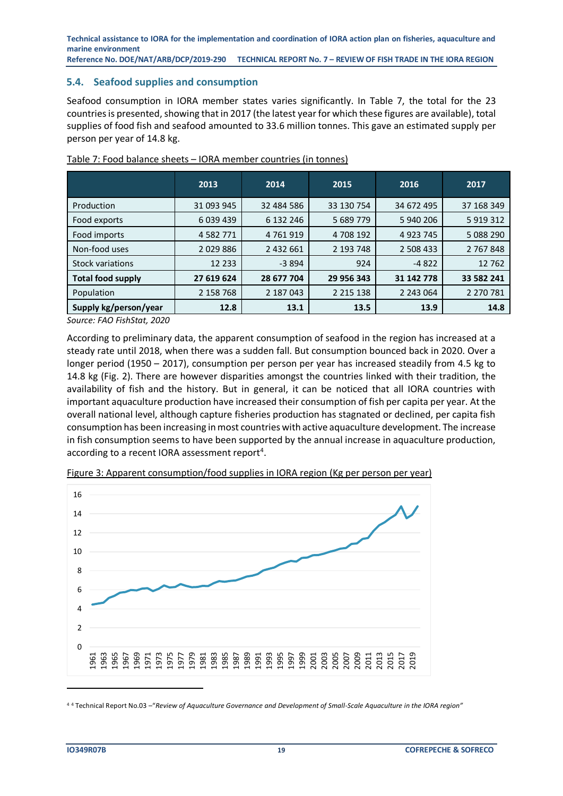<span id="page-18-0"></span>**5.4. Seafood supplies and consumption**

Seafood consumption in IORA member states varies significantly. In Table 7, the total for the 23 countries is presented, showing that in 2017 (the latest year for which these figures are available), total supplies of food fish and seafood amounted to 33.6 million tonnes. This gave an estimated supply per person per year of 14.8 kg.

|                          | 2013          | 2014          | 2015          | 2016        | 2017        |
|--------------------------|---------------|---------------|---------------|-------------|-------------|
| Production               | 31 093 945    | 32 484 586    | 33 130 754    | 34 672 495  | 37 168 349  |
| Food exports             | 6 039 439     | 6 132 246     | 5 689 779     | 5 940 206   | 5 9 19 3 12 |
| Food imports             | 4 5 8 2 7 7 1 | 4 7 6 1 9 1 9 | 4 708 192     | 4 9 23 7 45 | 5 088 290   |
| Non-food uses            | 2029886       | 2 432 661     | 2 193 748     | 2 508 433   | 2 767 848   |
| <b>Stock variations</b>  | 12 2 3 3      | $-3894$       | 924           | $-4822$     | 12762       |
| <b>Total food supply</b> | 27 619 624    | 28 677 704    | 29 956 343    | 31 142 778  | 33 582 241  |
| Population               | 2 158 768     | 2 187 043     | 2 2 1 5 1 3 8 | 2 243 064   | 2 270 781   |
| Supply kg/person/year    | 12.8          | 13.1          | 13.5          | 13.9        | 14.8        |

<span id="page-18-1"></span>Table 7: Food balance sheets – IORA member countries (in tonnes)

*Source: FAO FishStat, 2020*

According to preliminary data, the apparent consumption of seafood in the region has increased at a steady rate until 2018, when there was a sudden fall. But consumption bounced back in 2020. Over a longer period (1950 – 2017), consumption per person per year has increased steadily from 4.5 kg to 14.8 kg (Fig. 2). There are however disparities amongst the countries linked with their tradition, the availability of fish and the history. But in general, it can be noticed that all IORA countries with important aquaculture production have increased their consumption of fish per capita per year. At the overall national level, although capture fisheries production has stagnated or declined, per capita fish consumption has been increasing in most countries with active aquaculture development. The increase in fish consumption seems to have been supported by the annual increase in aquaculture production, according to a recent IORA assessment report<sup>4</sup>.



<span id="page-18-2"></span>Figure 3: Apparent consumption/food supplies in IORA region (Kg per person per year)

<sup>4</sup> <sup>4</sup> Technical Report No.03 –"*Review of Aquaculture Governance and Development of Small-Scale Aquaculture in the IORA region"*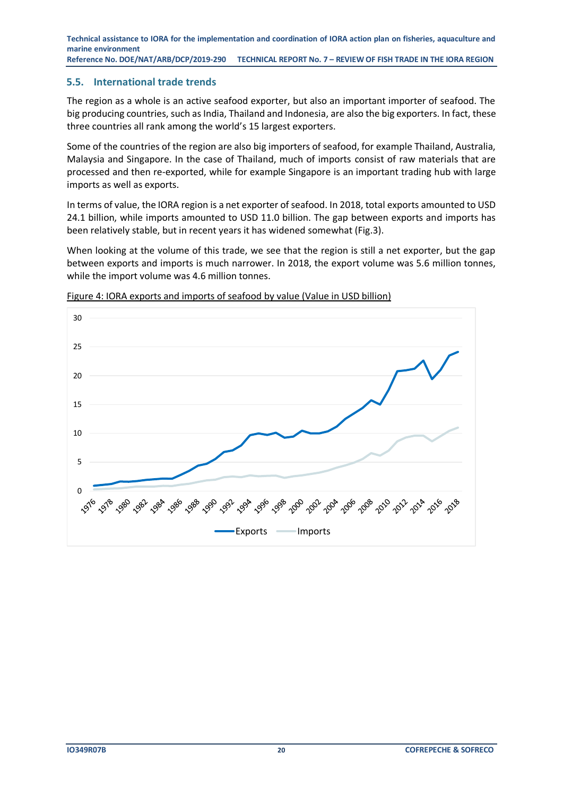#### <span id="page-19-0"></span>**5.5. International trade trends**

The region as a whole is an active seafood exporter, but also an important importer of seafood. The big producing countries, such as India, Thailand and Indonesia, are also the big exporters. In fact, these three countries all rank among the world's 15 largest exporters.

Some of the countries of the region are also big importers of seafood, for example Thailand, Australia, Malaysia and Singapore. In the case of Thailand, much of imports consist of raw materials that are processed and then re-exported, while for example Singapore is an important trading hub with large imports as well as exports.

In terms of value, the IORA region is a net exporter of seafood. In 2018, total exports amounted to USD 24.1 billion, while imports amounted to USD 11.0 billion. The gap between exports and imports has been relatively stable, but in recent years it has widened somewhat (Fig.3).

When looking at the volume of this trade, we see that the region is still a net exporter, but the gap between exports and imports is much narrower. In 2018, the export volume was 5.6 million tonnes, while the import volume was 4.6 million tonnes.



<span id="page-19-1"></span>Figure 4: IORA exports and imports of seafood by value (Value in USD billion)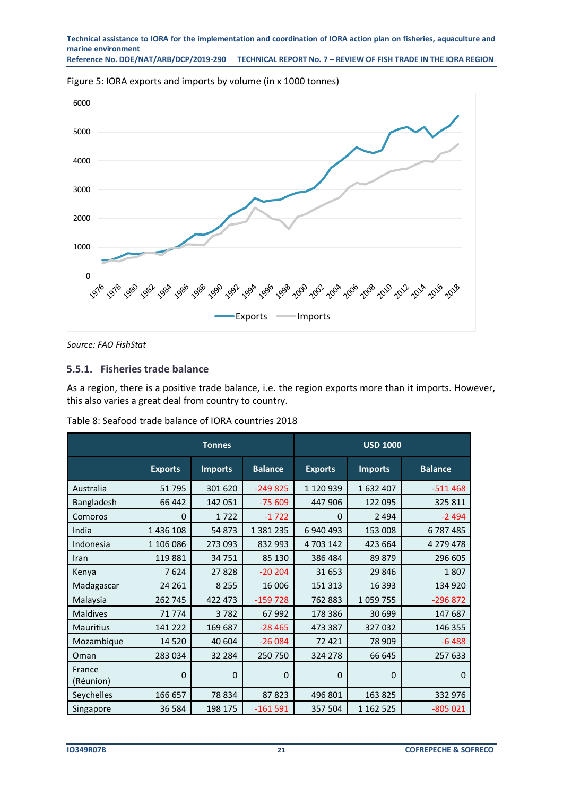<span id="page-20-1"></span>Figure 5: IORA exports and imports by volume (in x 1000 tonnes)



*Source: FAO FishStat*

#### **5.5.1. Fisheries trade balance**

As a region, there is a positive trade balance, i.e. the region exports more than it imports. However, this also varies a great deal from country to country.

|                     |                | <b>Tonnes</b>  |                | <b>USD 1000</b> |                |                |  |
|---------------------|----------------|----------------|----------------|-----------------|----------------|----------------|--|
|                     | <b>Exports</b> | <b>Imports</b> | <b>Balance</b> | <b>Exports</b>  | <b>Imports</b> | <b>Balance</b> |  |
| Australia           | 51795          | 301 620        | $-249825$      | 1 120 939       | 1632407        | $-511468$      |  |
| <b>Bangladesh</b>   | 66 442         | 142 051        | $-75609$       | 447 906         | 122 095        | 325 811        |  |
| Comoros             | $\Omega$       | 1722           | $-1722$        | $\Omega$        | 2 4 9 4        | $-2494$        |  |
| India               | 1 436 108      | 54 873         | 1 381 235      | 6 940 493       | 153 008        | 6787485        |  |
| Indonesia           | 1 106 086      | 273 093        | 832 993        | 4 703 142       | 423 664        | 4 279 478      |  |
| Iran                | 119881         | 34 751         | 85 130         | 386 484         | 89 879         | 296 605        |  |
| Kenya               | 7624           | 27828          | $-20204$       | 31 653          | 29 846         | 1807           |  |
| Madagascar          | 24 261         | 8 2 5 5        | 16 006         | 151 313         | 16 393         | 134 920        |  |
| Malaysia            | 262 745        | 422 473        | $-159728$      | 762 883         | 1059755        | $-296872$      |  |
| Maldives            | 71 774         | 3782           | 67 992         | 178 386         | 30 699         | 147 687        |  |
| <b>Mauritius</b>    | 141 222        | 169 687        | $-28465$       | 473 387         | 327 032        | 146 355        |  |
| Mozambique          | 14 5 20        | 40 604         | $-26084$       | 72 4 21         | 78 909         | $-6488$        |  |
| Oman                | 283 034        | 32 284         | 250 750        | 324 278         | 66 645         | 257 633        |  |
| France<br>(Réunion) | $\Omega$       | $\Omega$       | $\Omega$       | 0               | 0              | $\Omega$       |  |
| Seychelles          | 166 657        | 78 834         | 87823          | 496 801         | 163 825        | 332 976        |  |
| Singapore           | 36 584         | 198 175        | $-161591$      | 357 504         | 1 162 525      | $-805021$      |  |

<span id="page-20-0"></span>Table 8: Seafood trade balance of IORA countries 2018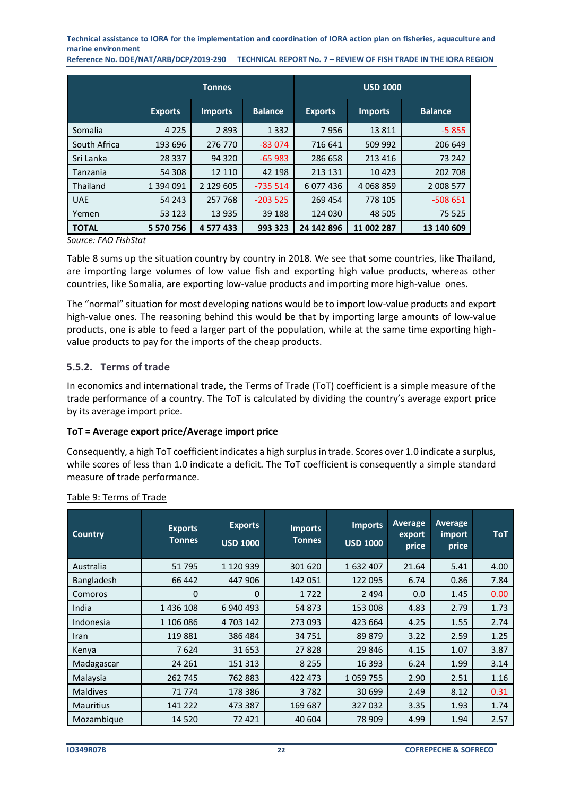**Reference No. DOE/NAT/ARB/DCP/2019-290 TECHNICAL REPORT No. 7 – REVIEW OF FISH TRADE IN THE IORA REGION**

|                 |                | <b>Tonnes</b>  |                | <b>USD 1000</b> |                |                |  |
|-----------------|----------------|----------------|----------------|-----------------|----------------|----------------|--|
|                 | <b>Exports</b> | <b>Imports</b> | <b>Balance</b> | <b>Exports</b>  | <b>Imports</b> | <b>Balance</b> |  |
| Somalia         | 4 2 2 5        | 2 8 9 3        | 1 3 3 2        | 7956            | 13811          | $-5855$        |  |
| South Africa    | 193 696        | 276 770        | $-83074$       | 716 641         | 509 992        | 206 649        |  |
| Sri Lanka       | 28 3 3 7       | 94 320         | $-65983$       | 286 658         | 213 416        | 73 242         |  |
| Tanzania        | 54 308         | 12 110         | 42 198         | 213 131         | 10 4 23        | 202 708        |  |
| <b>Thailand</b> | 1 394 091      | 2 129 605      | $-735514$      | 6 077 436       | 4 0 68 8 59    | 2 008 577      |  |
| <b>UAE</b>      | 54 243         | 257 768        | $-203525$      | 269 454         | 778 105        | $-508651$      |  |
| Yemen           | 53 123         | 13 935         | 39 188         | 124 030         | 48 505         | 75 525         |  |
| <b>TOTAL</b>    | 5 570 756      | 4 577 433      | 993 323        | 24 142 896      | 11 002 287     | 13 140 609     |  |

#### *Source: FAO FishStat*

Table 8 sums up the situation country by country in 2018. We see that some countries, like Thailand, are importing large volumes of low value fish and exporting high value products, whereas other countries, like Somalia, are exporting low-value products and importing more high-value ones.

The "normal" situation for most developing nations would be to import low-value products and export high-value ones. The reasoning behind this would be that by importing large amounts of low-value products, one is able to feed a larger part of the population, while at the same time exporting highvalue products to pay for the imports of the cheap products.

#### **5.5.2. Terms of trade**

In economics and international trade, the Terms of Trade (ToT) coefficient is a simple measure of the trade performance of a country. The ToT is calculated by dividing the country's average export price by its average import price.

#### **ToT = Average export price/Average import price**

Consequently, a high ToT coefficient indicates a high surplus in trade. Scores over 1.0 indicate a surplus, while scores of less than 1.0 indicate a deficit. The ToT coefficient is consequently a simple standard measure of trade performance.

| <b>Country</b>   | <b>Exports</b><br><b>Tonnes</b> | <b>Exports</b><br><b>USD 1000</b> | <b>Imports</b><br><b>Tonnes</b> | <b>Imports</b><br><b>USD 1000</b> | <b>Average</b><br>export<br>price | Average<br>import<br>price | <b>ToT</b> |
|------------------|---------------------------------|-----------------------------------|---------------------------------|-----------------------------------|-----------------------------------|----------------------------|------------|
| Australia        | 51795                           | 1 120 939                         | 301 620                         | 1 632 407                         | 21.64                             | 5.41                       | 4.00       |
| Bangladesh       | 66 442                          | 447 906                           | 142 051                         | 122 095                           | 6.74                              | 0.86                       | 7.84       |
| Comoros          | 0                               | 0                                 | 1722                            | 2 4 9 4                           | 0.0                               | 1.45                       | 0.00       |
| India            | 1 436 108                       | 6 940 493                         | 54 873                          | 153 008                           | 4.83                              | 2.79                       | 1.73       |
| Indonesia        | 1 106 086                       | 4 703 142                         | 273 093                         | 423 664                           | 4.25                              | 1.55                       | 2.74       |
| Iran             | 119881                          | 386 484                           | 34 751                          | 89 879                            | 3.22                              | 2.59                       | 1.25       |
| Kenya            | 7624                            | 31 653                            | 27828                           | 29 846                            | 4.15                              | 1.07                       | 3.87       |
| Madagascar       | 24 261                          | 151 313                           | 8 2 5 5                         | 16 3 93                           | 6.24                              | 1.99                       | 3.14       |
| Malaysia         | 262 745                         | 762 883                           | 422 473                         | 1 0 59 7 55                       | 2.90                              | 2.51                       | 1.16       |
| <b>Maldives</b>  | 71 774                          | 178 386                           | 3782                            | 30 699                            | 2.49                              | 8.12                       | 0.31       |
| <b>Mauritius</b> | 141 222                         | 473 387                           | 169 687                         | 327032                            | 3.35                              | 1.93                       | 1.74       |
| Mozambique       | 14 5 20                         | 72 421                            | 40 604                          | 78 909                            | 4.99                              | 1.94                       | 2.57       |

#### <span id="page-21-0"></span>Table 9: Terms of Trade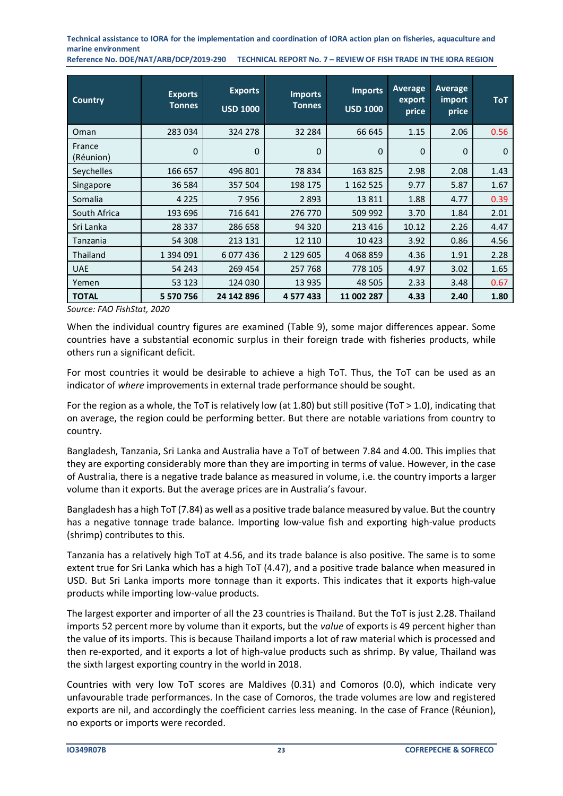**Reference No. DOE/NAT/ARB/DCP/2019-290 TECHNICAL REPORT No. 7 – REVIEW OF FISH TRADE IN THE IORA REGION**

| <b>Country</b>      | <b>Exports</b><br><b>Tonnes</b> | <b>Exports</b><br><b>USD 1000</b> | <b>Imports</b><br><b>Tonnes</b> | <b>Imports</b><br><b>USD 1000</b> | <b>Average</b><br>export<br>price | <b>Average</b><br>import<br>price | <b>ToT</b> |
|---------------------|---------------------------------|-----------------------------------|---------------------------------|-----------------------------------|-----------------------------------|-----------------------------------|------------|
| Oman                | 283 034                         | 324 278                           | 32 284                          | 66 645                            | 1.15                              | 2.06                              | 0.56       |
| France<br>(Réunion) | 0                               | $\Omega$                          | 0                               | 0                                 | $\mathbf 0$                       | 0                                 | $\Omega$   |
| Seychelles          | 166 657                         | 496 801                           | 78 834                          | 163 825                           | 2.98                              | 2.08                              | 1.43       |
| Singapore           | 36 584                          | 357 504                           | 198 175                         | 1 162 525                         | 9.77                              | 5.87                              | 1.67       |
| Somalia             | 4 2 2 5                         | 7956                              | 2 8 9 3                         | 13811                             | 1.88                              | 4.77                              | 0.39       |
| South Africa        | 193 696                         | 716 641                           | 276 770                         | 509 992                           | 3.70                              | 1.84                              | 2.01       |
| Sri Lanka           | 28 3 37                         | 286 658                           | 94 320                          | 213 416                           | 10.12                             | 2.26                              | 4.47       |
| Tanzania            | 54 308                          | 213 131                           | 12 110                          | 10423                             | 3.92                              | 0.86                              | 4.56       |
| Thailand            | 1 394 091                       | 6 0 7 4 4 3 6                     | 2 129 605                       | 4 0 68 8 59                       | 4.36                              | 1.91                              | 2.28       |
| <b>UAE</b>          | 54 243                          | 269 454                           | 257 768                         | 778 105                           | 4.97                              | 3.02                              | 1.65       |
| Yemen               | 53 123                          | 124 030                           | 13 935                          | 48 505                            | 2.33                              | 3.48                              | 0.67       |
| <b>TOTAL</b>        | 5 570 756                       | 24 142 896                        | 4 577 433                       | 11 002 287                        | 4.33                              | 2.40                              | 1.80       |

*Source: FAO FishStat, 2020*

When the individual country figures are examined (Table 9), some major differences appear. Some countries have a substantial economic surplus in their foreign trade with fisheries products, while others run a significant deficit.

For most countries it would be desirable to achieve a high ToT. Thus, the ToT can be used as an indicator of *where* improvements in external trade performance should be sought.

For the region as a whole, the ToT is relatively low (at 1.80) but still positive (ToT > 1.0), indicating that on average, the region could be performing better. But there are notable variations from country to country.

Bangladesh, Tanzania, Sri Lanka and Australia have a ToT of between 7.84 and 4.00. This implies that they are exporting considerably more than they are importing in terms of value. However, in the case of Australia, there is a negative trade balance as measured in volume, i.e. the country imports a larger volume than it exports. But the average prices are in Australia's favour.

Bangladesh has a high ToT (7.84) as well as a positive trade balance measured by value. But the country has a negative tonnage trade balance. Importing low-value fish and exporting high-value products (shrimp) contributes to this.

Tanzania has a relatively high ToT at 4.56, and its trade balance is also positive. The same is to some extent true for Sri Lanka which has a high ToT (4.47), and a positive trade balance when measured in USD. But Sri Lanka imports more tonnage than it exports. This indicates that it exports high-value products while importing low-value products.

The largest exporter and importer of all the 23 countries is Thailand. But the ToT is just 2.28. Thailand imports 52 percent more by volume than it exports, but the *value* of exports is 49 percent higher than the value of its imports. This is because Thailand imports a lot of raw material which is processed and then re-exported, and it exports a lot of high-value products such as shrimp. By value, Thailand was the sixth largest exporting country in the world in 2018.

Countries with very low ToT scores are Maldives (0.31) and Comoros (0.0), which indicate very unfavourable trade performances. In the case of Comoros, the trade volumes are low and registered exports are nil, and accordingly the coefficient carries less meaning. In the case of France (Réunion), no exports or imports were recorded.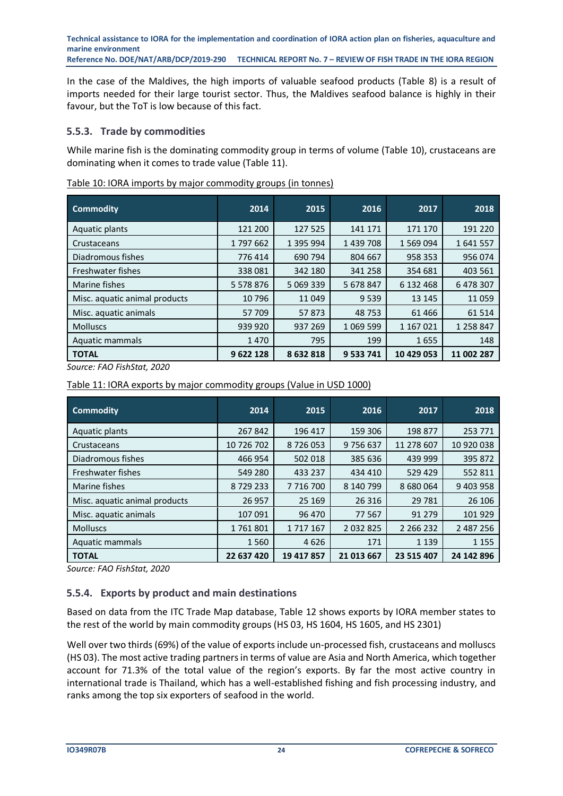In the case of the Maldives, the high imports of valuable seafood products (Table 8) is a result of imports needed for their large tourist sector. Thus, the Maldives seafood balance is highly in their favour, but the ToT is low because of this fact.

# **5.5.3. Trade by commodities**

While marine fish is the dominating commodity group in terms of volume (Table 10), crustaceans are dominating when it comes to trade value (Table 11).

| <b>Commodity</b>              | 2014          | 2015      | 2016        | 2017       | 2018       |
|-------------------------------|---------------|-----------|-------------|------------|------------|
| Aquatic plants                | 121 200       | 127 525   | 141 171     | 171 170    | 191 220    |
| Crustaceans                   | 1797662       | 1 395 994 | 1 439 708   | 1 569 094  | 1641557    |
| Diadromous fishes             | 776 414       | 690 794   | 804 667     | 958 353    | 956 074    |
| Freshwater fishes             | 338 081       | 342 180   | 341 258     | 354 681    | 403 561    |
| Marine fishes                 | 5 5 7 8 8 7 6 | 5 069 339 | 5 678 847   | 6 132 468  | 6 478 307  |
| Misc. aquatic animal products | 10 796        | 11 049    | 9 5 3 9     | 13 145     | 11 059     |
| Misc. aquatic animals         | 57 709        | 57873     | 48 753      | 61 4 66    | 61 514     |
| <b>Molluscs</b>               | 939 920       | 937 269   | 1 0 69 5 99 | 1 167 021  | 1 258 847  |
| Aquatic mammals               | 1470          | 795       | 199         | 1655       | 148        |
| <b>TOTAL</b>                  | 9622128       | 8632818   | 9 533 741   | 10 429 053 | 11 002 287 |

<span id="page-23-0"></span>Table 10: IORA imports by major commodity groups (in tonnes)

*Source: FAO FishStat, 2020*

<span id="page-23-1"></span>Table 11: IORA exports by major commodity groups (Value in USD 1000)

| <b>Commodity</b>              | 2014       | 2015          | 2016          | 2017        | 2018       |
|-------------------------------|------------|---------------|---------------|-------------|------------|
| Aquatic plants                | 267 842    | 196 417       | 159 306       | 198 877     | 253 771    |
| Crustaceans                   | 10 726 702 | 8726053       | 9756637       | 11 278 607  | 10 920 038 |
| Diadromous fishes             | 466 954    | 502 018       | 385 636       | 439 999     | 395 872    |
| Freshwater fishes             | 549 280    | 433 237       | 434 410       | 529 429     | 552 811    |
| Marine fishes                 | 8729233    | 7 7 1 6 7 0 0 | 8 140 799     | 8 680 064   | 9 403 958  |
| Misc. aquatic animal products | 26 957     | 25 169        | 26 316        | 29 7 81     | 26 10 6    |
| Misc. aquatic animals         | 107 091    | 96 470        | 77 567        | 91 2 7 9    | 101 929    |
| <b>Molluscs</b>               | 1761801    | 1 717 167     | 2 0 3 2 8 2 5 | 2 2 6 2 3 2 | 2 487 256  |
| Aquatic mammals               | 1 5 6 0    | 4626          | 171           | 1 1 3 9     | 1 1 5 5    |
| <b>TOTAL</b>                  | 22 637 420 | 19 417 857    | 21 013 667    | 23 515 407  | 24 142 896 |

*Source: FAO FishStat, 2020*

# **5.5.4. Exports by product and main destinations**

Based on data from the ITC Trade Map database, Table 12 shows exports by IORA member states to the rest of the world by main commodity groups (HS 03, HS 1604, HS 1605, and HS 2301)

Well over two thirds (69%) of the value of exports include un-processed fish, crustaceans and molluscs (HS 03). The most active trading partners in terms of value are Asia and North America, which together account for 71.3% of the total value of the region's exports. By far the most active country in international trade is Thailand, which has a well-established fishing and fish processing industry, and ranks among the top six exporters of seafood in the world.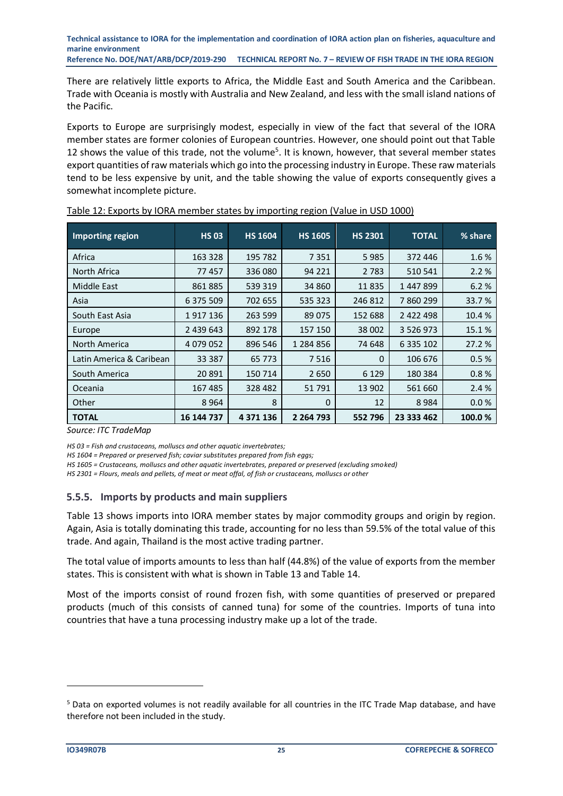There are relatively little exports to Africa, the Middle East and South America and the Caribbean. Trade with Oceania is mostly with Australia and New Zealand, and less with the small island nations of the Pacific.

Exports to Europe are surprisingly modest, especially in view of the fact that several of the IORA member states are former colonies of European countries. However, one should point out that Table 12 shows the value of this trade, not the volume<sup>5</sup>. It is known, however, that several member states export quantities of raw materials which go into the processing industry in Europe. These raw materials tend to be less expensive by unit, and the table showing the value of exports consequently gives a somewhat incomplete picture.

| Importing region         | <b>HS 03</b>  | <b>HS 1604</b> | <b>HS 1605</b> | <b>HS 2301</b> | <b>TOTAL</b>  | % share |
|--------------------------|---------------|----------------|----------------|----------------|---------------|---------|
| Africa                   | 163 328       | 195 782        | 7351           | 5985           | 372 446       | 1.6%    |
| North Africa             | 77457         | 336 080        | 94 221         | 2 7 8 3        | 510 541       | 2.2%    |
| Middle East              | 861885        | 539 319        | 34 860         | 11 835         | 1447899       | 6.2%    |
| Asia                     | 6 375 509     | 702 655        | 535 323        | 246 812        | 7860299       | 33.7%   |
| South East Asia          | 1917136       | 263 599        | 89075          | 152 688        | 2 422 498     | 10.4%   |
| Europe                   | 2 439 643     | 892 178        | 157 150        | 38 002         | 3 5 2 6 9 7 3 | 15.1%   |
| North America            | 4 0 7 9 0 5 2 | 896 546        | 1 284 856      | 74 648         | 6 3 3 1 0 2   | 27.2%   |
| Latin America & Caribean | 33 387        | 65 773         | 7516           | $\Omega$       | 106 676       | 0.5%    |
| South America            | 20 891        | 150 714        | 2650           | 6 1 2 9        | 180 384       | 0.8%    |
| Oceania                  | 167 485       | 328 482        | 51791          | 13 902         | 561 660       | 2.4 %   |
| Other                    | 8 9 6 4       | 8              | $\Omega$       | 12             | 8984          | 0.0%    |
| <b>TOTAL</b>             | 16 144 737    | 4 371 136      | 2 2 64 7 93    | 552 796        | 23 333 462    | 100.0%  |

<span id="page-24-0"></span>

| Table 12: Exports by IORA member states by importing region (Value in USD 1000) |
|---------------------------------------------------------------------------------|
|---------------------------------------------------------------------------------|

*Source: ITC TradeMap*

*HS 03 = Fish and crustaceans, molluscs and other aquatic invertebrates;* 

*HS 1604 = Prepared or preserved fish; caviar substitutes prepared from fish eggs;*

*HS 1605 = Crustaceans, molluscs and other aquatic invertebrates, prepared or preserved (excluding smoked)*

*HS 2301 = Flours, meals and pellets, of meat or meat offal, of fish or crustaceans, molluscs or other*

#### **5.5.5. Imports by products and main suppliers**

Table 13 shows imports into IORA member states by major commodity groups and origin by region. Again, Asia is totally dominating this trade, accounting for no less than 59.5% of the total value of this trade. And again, Thailand is the most active trading partner.

The total value of imports amounts to less than half (44.8%) of the value of exports from the member states. This is consistent with what is shown in Table 13 and Table 14.

Most of the imports consist of round frozen fish, with some quantities of preserved or prepared products (much of this consists of canned tuna) for some of the countries. Imports of tuna into countries that have a tuna processing industry make up a lot of the trade.

<sup>5</sup> Data on exported volumes is not readily available for all countries in the ITC Trade Map database, and have therefore not been included in the study.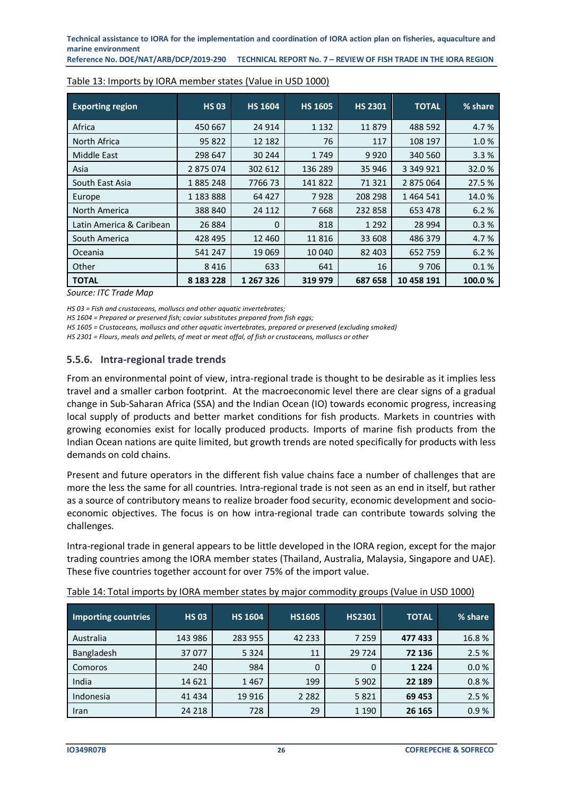**Reference No. DOE/NAT/ARB/DCP/2019-290 TECHNICAL REPORT No. 7 – REVIEW OF FISH TRADE IN THE IORA REGION**

| <b>Exporting region</b>  | <b>HS 03</b> | <b>HS 1604</b> | <b>HS 1605</b> | <b>HS 2301</b> | <b>TOTAL</b>  | % share |
|--------------------------|--------------|----------------|----------------|----------------|---------------|---------|
| Africa                   | 450 667      | 24 9 14        | 1 1 3 2        | 11879          | 488 592       | 4.7%    |
| North Africa             | 95 822       | 12 182         | 76             | 117            | 108 197       | 1.0%    |
| Middle East              | 298 647      | 30 244         | 1749           | 9920           | 340 560       | 3.3%    |
| Asia                     | 2875074      | 302 612        | 136 289        | 35 946         | 3 3 4 9 9 2 1 | 32.0%   |
| South East Asia          | 1885248      | 776673         | 141 822        | 71 3 21        | 2 875 064     | 27.5%   |
| Europe                   | 1 183 888    | 64 427         | 7928           | 208 298        | 1464541       | 14.0%   |
| North America            | 388 840      | 24 112         | 7668           | 232 858        | 653 478       | 6.2%    |
| Latin America & Caribean | 26 8 84      | $\Omega$       | 818            | 1 2 9 2        | 28 9 94       | 0.3%    |
| South America            | 428 495      | 12 4 6 0       | 11816          | 33 608         | 486 379       | 4.7%    |
| Oceania                  | 541 247      | 19 0 69        | 10 040         | 82 403         | 652 759       | 6.2%    |
| Other                    | 8416         | 633            | 641            | 16             | 9706          | 0.1%    |
| <b>TOTAL</b>             | 8 183 228    | 1 267 326      | 319 979        | 687 658        | 10 458 191    | 100.0%  |

#### <span id="page-25-0"></span>Table 13: Imports by IORA member states (Value in USD 1000)

*Source: ITC Trade Map*

*HS 03 = Fish and crustaceans, molluscs and other aquatic invertebrates;* 

*HS 1604 = Prepared or preserved fish; caviar substitutes prepared from fish eggs;*

*HS 1605 = Crustaceans, molluscs and other aquatic invertebrates, prepared or preserved (excluding smoked)*

*HS 2301 = Flours, meals and pellets, of meat or meat offal, of fish or crustaceans, molluscs or other*

#### **5.5.6. Intra-regional trade trends**

From an environmental point of view, intra-regional trade is thought to be desirable as it implies less travel and a smaller carbon footprint. At the macroeconomic level there are clear signs of a gradual change in Sub‐Saharan Africa (SSA) and the Indian Ocean (IO) towards economic progress, increasing local supply of products and better market conditions for fish products. Markets in countries with growing economies exist for locally produced products. Imports of marine fish products from the Indian Ocean nations are quite limited, but growth trends are noted specifically for products with less demands on cold chains.

Present and future operators in the different fish value chains face a number of challenges that are more the less the same for all countries. Intra-regional trade is not seen as an end in itself, but rather as a source of contributory means to realize broader food security, economic development and socioeconomic objectives. The focus is on how intra-regional trade can contribute towards solving the challenges.

Intra-regional trade in general appears to be little developed in the IORA region, except for the major trading countries among the IORA member states (Thailand, Australia, Malaysia, Singapore and UAE). These five countries together account for over 75% of the import value.

| Importing countries | <b>HS 03</b> | <b>HS 1604</b> | <b>HS1605</b> | <b>HS2301</b> | <b>TOTAL</b> | % share |
|---------------------|--------------|----------------|---------------|---------------|--------------|---------|
| Australia           | 143 986      | 283 955        | 42 2 3 3      | 7 2 5 9       | 477433       | 16.8%   |
| Bangladesh          | 37 077       | 5 3 2 4        | 11            | 29 7 24       | 72 136       | 2.5%    |
| Comoros             | 240          | 984            | $\Omega$      | 0             | 1 2 2 4      | 0.0%    |
| India               | 14 621       | 1467           | 199           | 5 9 0 2       | 22 189       | 0.8%    |
| Indonesia           | 41 434       | 19 9 16        | 2 2 8 2       | 5821          | 69 453       | 2.5%    |
| Iran                | 24 218       | 728            | 29            | 1 1 9 0       | 26 165       | 0.9%    |

<span id="page-25-1"></span>Table 14: Total imports by IORA member states by major commodity groups (Value in USD 1000)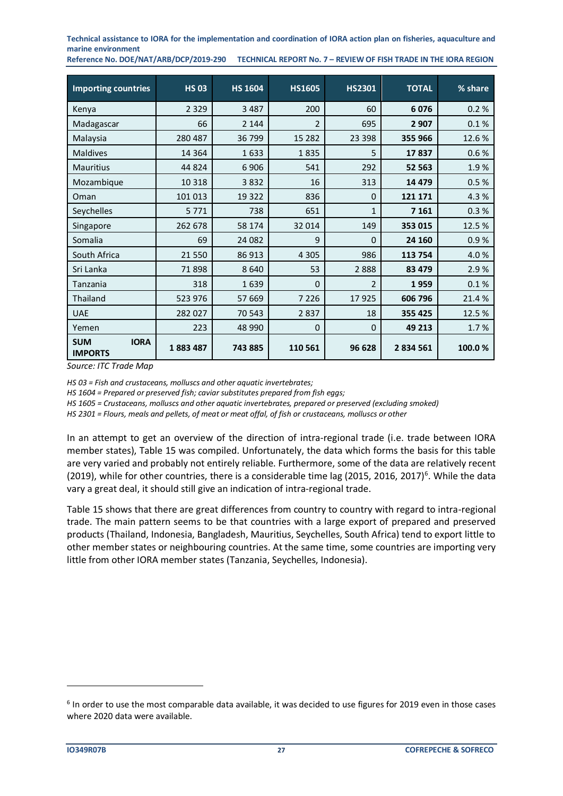**Reference No. DOE/NAT/ARB/DCP/2019-290 TECHNICAL REPORT No. 7 – REVIEW OF FISH TRADE IN THE IORA REGION**

| <b>Importing countries</b>                  | <b>HS 03</b> | <b>HS 1604</b> | <b>HS1605</b>  | <b>HS2301</b>  | <b>TOTAL</b> | % share |
|---------------------------------------------|--------------|----------------|----------------|----------------|--------------|---------|
| Kenya                                       | 2 3 2 9      | 3 4 8 7        | 200            | 60             | 6076         | 0.2%    |
| Madagascar                                  | 66           | 2 1 4 4        | $\overline{2}$ | 695            | 2 9 0 7      | 0.1%    |
| Malaysia                                    | 280 487      | 36799          | 15 2 8 2       | 23 398         | 355 966      | 12.6%   |
| <b>Maldives</b>                             | 14 3 64      | 1633           | 1835           | 5              | 17837        | 0.6%    |
| <b>Mauritius</b>                            | 44 824       | 6906           | 541            | 292            | 52 563       | 1.9%    |
| Mozambique                                  | 10 3 18      | 3832           | 16             | 313            | 14 479       | 0.5%    |
| Oman                                        | 101 013      | 19 3 22        | 836            | $\mathbf{0}$   | 121 171      | 4.3%    |
| Seychelles                                  | 5 7 7 1      | 738            | 651            | $\mathbf{1}$   | 7 1 6 1      | 0.3%    |
| Singapore                                   | 262 678      | 58 174         | 32 014         | 149            | 353 015      | 12.5%   |
| Somalia                                     | 69           | 24 082         | 9              | $\mathbf{0}$   | 24 160       | 0.9%    |
| South Africa                                | 21 550       | 86 913         | 4 3 0 5        | 986            | 113 754      | 4.0%    |
| Sri Lanka                                   | 71898        | 8640           | 53             | 2888           | 83 479       | 2.9%    |
| Tanzania                                    | 318          | 1639           | 0              | $\overline{2}$ | 1959         | 0.1%    |
| Thailand                                    | 523 976      | 57 669         | 7 2 2 6        | 17925          | 606 796      | 21.4%   |
| <b>UAE</b>                                  | 282 027      | 70 543         | 2837           | 18             | 355 425      | 12.5%   |
| Yemen                                       | 223          | 48 990         | 0              | $\mathbf{0}$   | 49 213       | 1.7%    |
| <b>IORA</b><br><b>SUM</b><br><b>IMPORTS</b> | 1883487      | 743885         | 110 561        | 96 628         | 2834561      | 100.0%  |

*Source: ITC Trade Map*

*HS 03 = Fish and crustaceans, molluscs and other aquatic invertebrates;* 

*HS 1604 = Prepared or preserved fish; caviar substitutes prepared from fish eggs;*

*HS 1605 = Crustaceans, molluscs and other aquatic invertebrates, prepared or preserved (excluding smoked)*

*HS 2301 = Flours, meals and pellets, of meat or meat offal, of fish or crustaceans, molluscs or other*

In an attempt to get an overview of the direction of intra-regional trade (i.e. trade between IORA member states), Table 15 was compiled. Unfortunately, the data which forms the basis for this table are very varied and probably not entirely reliable. Furthermore, some of the data are relatively recent (2019), while for other countries, there is a considerable time lag (2015, 2016, 2017)<sup>6</sup>. While the data vary a great deal, it should still give an indication of intra-regional trade.

Table 15 shows that there are great differences from country to country with regard to intra-regional trade. The main pattern seems to be that countries with a large export of prepared and preserved products (Thailand, Indonesia, Bangladesh, Mauritius, Seychelles, South Africa) tend to export little to other member states or neighbouring countries. At the same time, some countries are importing very little from other IORA member states (Tanzania, Seychelles, Indonesia).

 $<sup>6</sup>$  In order to use the most comparable data available, it was decided to use figures for 2019 even in those cases</sup> where 2020 data were available.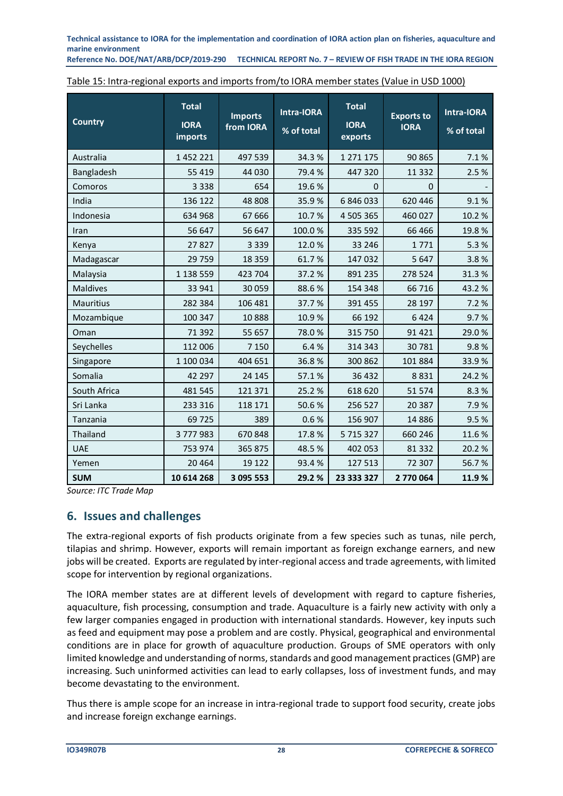**Reference No. DOE/NAT/ARB/DCP/2019-290 TECHNICAL REPORT No. 7 – REVIEW OF FISH TRADE IN THE IORA REGION**

| <b>Country</b>   | <b>Total</b><br><b>IORA</b><br>imports | <b>Imports</b><br>from IORA | Intra-IORA<br>% of total | <b>Total</b><br><b>IORA</b><br>exports | <b>Exports to</b><br><b>IORA</b> | Intra-IORA<br>% of total |
|------------------|----------------------------------------|-----------------------------|--------------------------|----------------------------------------|----------------------------------|--------------------------|
| Australia        | 1452221                                | 497 539                     | 34.3%                    | 1 271 175                              | 90 865                           | 7.1%                     |
| Bangladesh       | 55 419                                 | 44 030                      | 79.4%                    | 447 320                                | 11 3 32                          | 2.5%                     |
| Comoros          | 3 3 3 8                                | 654                         | 19.6%                    | $\mathbf 0$                            | $\mathbf 0$                      |                          |
| India            | 136 122                                | 48 808                      | 35.9%                    | 6 846 033                              | 620 446                          | 9.1%                     |
| Indonesia        | 634 968                                | 67 666                      | 10.7%                    | 4 505 365                              | 460 027                          | 10.2%                    |
| Iran             | 56 647                                 | 56 647                      | 100.0%                   | 335 592                                | 66 466                           | 19.8%                    |
| Kenya            | 27827                                  | 3 3 3 9                     | 12.0%                    | 33 246                                 | 1771                             | 5.3%                     |
| Madagascar       | 29 759                                 | 18 3 5 9                    | 61.7%                    | 147 032                                | 5 6 4 7                          | 3.8%                     |
| Malaysia         | 1 138 559                              | 423 704                     | 37.2%                    | 891 235                                | 278 524                          | 31.3%                    |
| <b>Maldives</b>  | 33 941                                 | 30 059                      | 88.6%                    | 154 348                                | 66 716                           | 43.2%                    |
| <b>Mauritius</b> | 282 384                                | 106 481                     | 37.7%                    | 391 455                                | 28 197                           | 7.2%                     |
| Mozambique       | 100 347                                | 10888                       | 10.9%                    | 66 192                                 | 6424                             | 9.7%                     |
| Oman             | 71 392                                 | 55 657                      | 78.0%                    | 315 750                                | 91 4 21                          | 29.0%                    |
| Seychelles       | 112 006                                | 7 1 5 0                     | 6.4%                     | 314 343                                | 30 781                           | 9.8%                     |
| Singapore        | 1 100 034                              | 404 651                     | 36.8%                    | 300 862                                | 101 884                          | 33.9%                    |
| Somalia          | 42 297                                 | 24 145                      | 57.1%                    | 36 432                                 | 8831                             | 24.2%                    |
| South Africa     | 481 545                                | 121 371                     | 25.2%                    | 618 620                                | 51 574                           | 8.3%                     |
| Sri Lanka        | 233 316                                | 118 171                     | 50.6%                    | 256 527                                | 20 387                           | 7.9%                     |
| Tanzania         | 69 725                                 | 389                         | 0.6%                     | 156 907                                | 14 8 86                          | 9.5%                     |
| Thailand         | 3777983                                | 670 848                     | 17.8%                    | 5 715 327                              | 660 246                          | 11.6%                    |
| <b>UAE</b>       | 753 974                                | 365 875                     | 48.5%                    | 402 053                                | 81 332                           | 20.2%                    |
| Yemen            | 20 4 64                                | 19 122                      | 93.4%                    | 127 513                                | 72 307                           | 56.7%                    |
| <b>SUM</b>       | 10 614 268                             | 3 095 553                   | 29.2%                    | 23 333 327                             | 2 770 064                        | 11.9%                    |

<span id="page-27-1"></span>

| Table 15: Intra-regional exports and imports from/to IORA member states (Value in USD 1000) |
|---------------------------------------------------------------------------------------------|
|---------------------------------------------------------------------------------------------|

*Source: ITC Trade Map*

# <span id="page-27-0"></span>**6. Issues and challenges**

The extra-regional exports of fish products originate from a few species such as tunas, nile perch, tilapias and shrimp. However, exports will remain important as foreign exchange earners, and new jobs will be created. Exports are regulated by inter-regional access and trade agreements, with limited scope for intervention by regional organizations.

The IORA member states are at different levels of development with regard to capture fisheries, aquaculture, fish processing, consumption and trade. Aquaculture is a fairly new activity with only a few larger companies engaged in production with international standards. However, key inputs such as feed and equipment may pose a problem and are costly. Physical, geographical and environmental conditions are in place for growth of aquaculture production. Groups of SME operators with only limited knowledge and understanding of norms, standards and good management practices (GMP) are increasing. Such uninformed activities can lead to early collapses, loss of investment funds, and may become devastating to the environment.

Thus there is ample scope for an increase in intra‐regional trade to support food security, create jobs and increase foreign exchange earnings.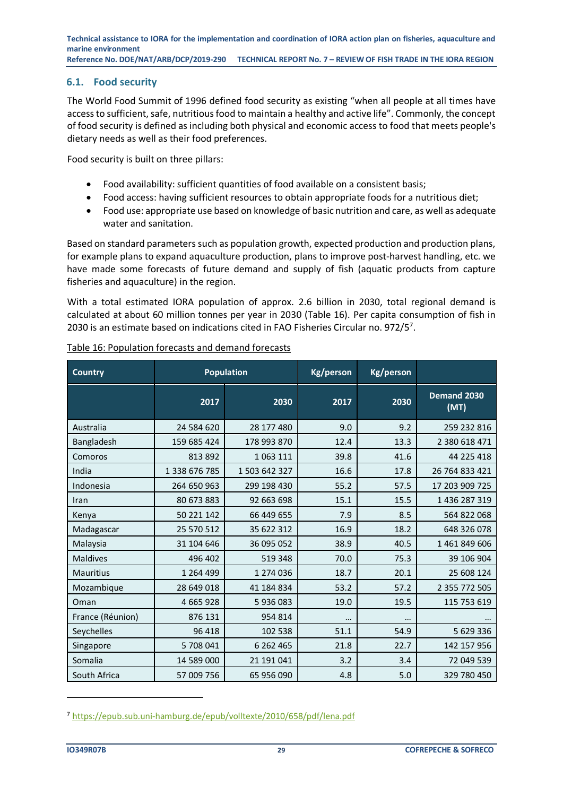#### <span id="page-28-0"></span>**6.1. Food security**

The World Food Summit of 1996 defined food security as existing "when all people at all times have access to sufficient, safe, nutritious food to maintain a healthy and active life". Commonly, the concept of food security is defined as including both physical and economic access to food that meets people's dietary needs as well as their food preferences.

Food security is built on three pillars:

- Food availability: sufficient quantities of food available on a consistent basis;
- Food access: having sufficient resources to obtain appropriate foods for a nutritious diet;
- Food use: appropriate use based on knowledge of basic nutrition and care, as well as adequate water and sanitation.

Based on standard parameters such as population growth, expected production and production plans, for example plans to expand aquaculture production, plans to improve post-harvest handling, etc. we have made some forecasts of future demand and supply of fish (aquatic products from capture fisheries and aquaculture) in the region.

With a total estimated IORA population of approx. 2.6 billion in 2030, total regional demand is calculated at about 60 million tonnes per year in 2030 (Table 16). Per capita consumption of fish in 2030 is an estimate based on indications cited in FAO Fisheries Circular no. 972/5<sup>7</sup>.

| <b>Country</b>   |               | <b>Population</b> | Kg/person | <b>Kg/person</b> |                     |
|------------------|---------------|-------------------|-----------|------------------|---------------------|
|                  | 2017          | 2030              | 2017      | 2030             | Demand 2030<br>(MT) |
| Australia        | 24 584 620    | 28 177 480        | 9.0       | 9.2              | 259 232 816         |
| Bangladesh       | 159 685 424   | 178 993 870       | 12.4      | 13.3             | 2 380 618 471       |
| Comoros          | 813 892       | 1 0 63 1 11       | 39.8      | 41.6             | 44 225 418          |
| India            | 1 338 676 785 | 1 503 642 327     | 16.6      | 17.8             | 26 764 833 421      |
| Indonesia        | 264 650 963   | 299 198 430       | 55.2      | 57.5             | 17 203 909 725      |
| Iran             | 80 673 883    | 92 663 698        | 15.1      | 15.5             | 1436287319          |
| Kenya            | 50 221 142    | 66 449 655        | 7.9       | 8.5              | 564 822 068         |
| Madagascar       | 25 570 512    | 35 622 312        | 16.9      | 18.2             | 648 326 078         |
| Malaysia         | 31 104 646    | 36 095 052        | 38.9      | 40.5             | 1461849606          |
| <b>Maldives</b>  | 496 402       | 519 348           | 70.0      | 75.3             | 39 106 904          |
| <b>Mauritius</b> | 1 264 499     | 1 274 036         | 18.7      | 20.1             | 25 608 124          |
| Mozambique       | 28 649 018    | 41 184 834        | 53.2      | 57.2             | 2 355 772 505       |
| Oman             | 4 665 928     | 5936083           | 19.0      | 19.5             | 115 753 619         |
| France (Réunion) | 876 131       | 954 814           |           | $\cdots$         |                     |
| Seychelles       | 96 418        | 102 538           | 51.1      | 54.9             | 5 629 336           |
| Singapore        | 5 708 041     | 6 2 6 2 4 6 5     | 21.8      | 22.7             | 142 157 956         |
| Somalia          | 14 589 000    | 21 191 041        | 3.2       | 3.4              | 72 049 539          |
| South Africa     | 57 009 756    | 65 956 090        | 4.8       | 5.0              | 329 780 450         |

<span id="page-28-1"></span>Table 16: Population forecasts and demand forecasts

<sup>7</sup> <https://epub.sub.uni-hamburg.de/epub/volltexte/2010/658/pdf/lena.pdf>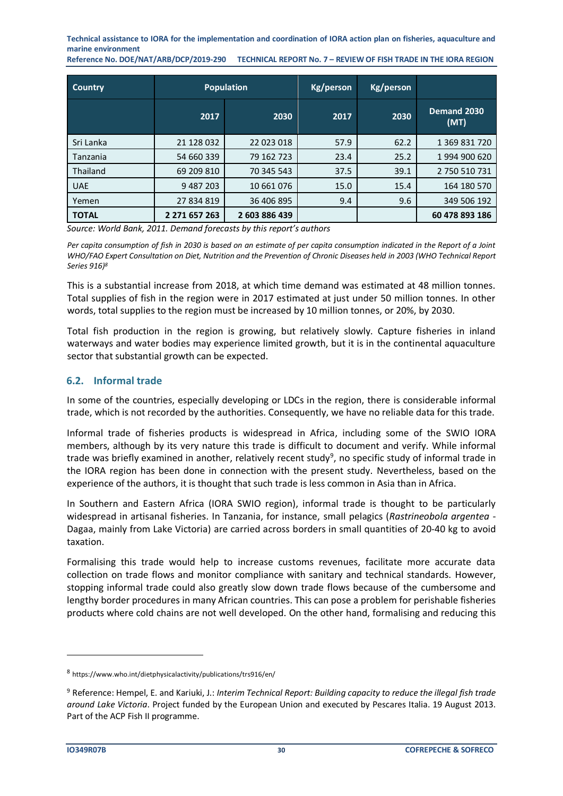**Reference No. DOE/NAT/ARB/DCP/2019-290 TECHNICAL REPORT No. 7 – REVIEW OF FISH TRADE IN THE IORA REGION**

| Country         |               | <b>Population</b> | Kg/person | Kg/person |                     |
|-----------------|---------------|-------------------|-----------|-----------|---------------------|
|                 | 2017          | 2030              | 2017      | 2030      | Demand 2030<br>(MT) |
| Sri Lanka       | 21 128 032    | 22 023 018        | 57.9      | 62.2      | 1 369 831 720       |
| Tanzania        | 54 660 339    | 79 162 723        | 23.4      | 25.2      | 1994 900 620        |
| <b>Thailand</b> | 69 209 810    | 70 345 543        | 37.5      | 39.1      | 2 750 510 731       |
| <b>UAE</b>      | 9 487 203     | 10 661 076        | 15.0      | 15.4      | 164 180 570         |
| Yemen           | 27 834 819    | 36 406 895        | 9.4       | 9.6       | 349 506 192         |
| <b>TOTAL</b>    | 2 271 657 263 | 2 603 886 439     |           |           | 60 478 893 186      |

*Source: World Bank, 2011. Demand forecasts by this report's authors*

*Per capita consumption of fish in 2030 is based on an estimate of per capita consumption indicated in the Report of a Joint WHO/FAO Expert Consultation on Diet, Nutrition and the Prevention of Chronic Diseases held in 2003 (WHO Technical Report Series 916)<sup>8</sup>*

This is a substantial increase from 2018, at which time demand was estimated at 48 million tonnes. Total supplies of fish in the region were in 2017 estimated at just under 50 million tonnes. In other words, total supplies to the region must be increased by 10 million tonnes, or 20%, by 2030.

Total fish production in the region is growing, but relatively slowly. Capture fisheries in inland waterways and water bodies may experience limited growth, but it is in the continental aquaculture sector that substantial growth can be expected.

# <span id="page-29-0"></span>**6.2. Informal trade**

In some of the countries, especially developing or LDCs in the region, there is considerable informal trade, which is not recorded by the authorities. Consequently, we have no reliable data for this trade.

Informal trade of fisheries products is widespread in Africa, including some of the SWIO IORA members, although by its very nature this trade is difficult to document and verify. While informal trade was briefly examined in another, relatively recent study<sup>9</sup>, no specific study of informal trade in the IORA region has been done in connection with the present study. Nevertheless, based on the experience of the authors, it is thought that such trade is less common in Asia than in Africa.

In Southern and Eastern Africa (IORA SWIO region), informal trade is thought to be particularly widespread in artisanal fisheries. In Tanzania, for instance, small pelagics (*Rastrineobola argentea* - Dagaa, mainly from Lake Victoria) are carried across borders in small quantities of 20‐40 kg to avoid taxation.

Formalising this trade would help to increase customs revenues, facilitate more accurate data collection on trade flows and monitor compliance with sanitary and technical standards. However, stopping informal trade could also greatly slow down trade flows because of the cumbersome and lengthy border procedures in many African countries. This can pose a problem for perishable fisheries products where cold chains are not well developed. On the other hand, formalising and reducing this

<sup>8</sup> https://www.who.int/dietphysicalactivity/publications/trs916/en/

<sup>9</sup> Reference: Hempel, E. and Kariuki, J.: *Interim Technical Report: Building capacity to reduce the illegal fish trade around Lake Victoria*. Project funded by the European Union and executed by Pescares Italia. 19 August 2013. Part of the ACP Fish II programme.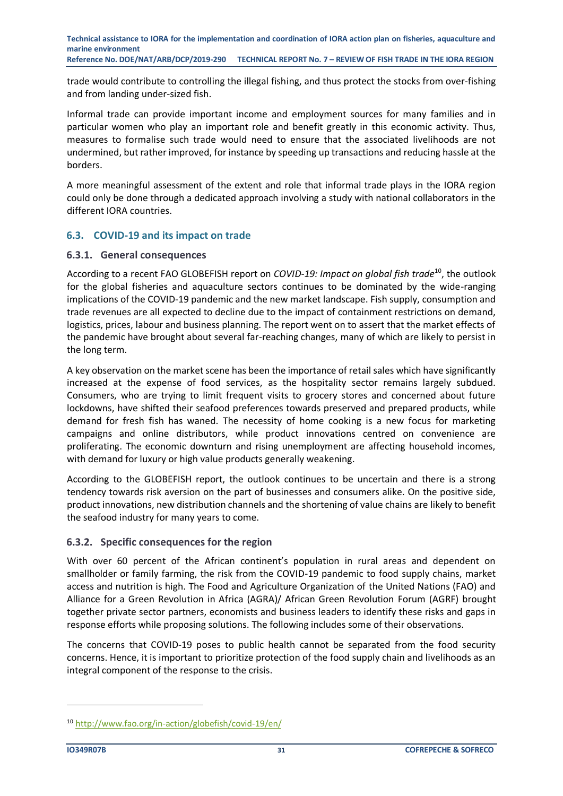trade would contribute to controlling the illegal fishing, and thus protect the stocks from over‐fishing and from landing under‐sized fish.

Informal trade can provide important income and employment sources for many families and in particular women who play an important role and benefit greatly in this economic activity. Thus, measures to formalise such trade would need to ensure that the associated livelihoods are not undermined, but rather improved, for instance by speeding up transactions and reducing hassle at the borders.

A more meaningful assessment of the extent and role that informal trade plays in the IORA region could only be done through a dedicated approach involving a study with national collaborators in the different IORA countries.

#### <span id="page-30-0"></span>**6.3. COVID-19 and its impact on trade**

#### **6.3.1. General consequences**

According to a recent FAO GLOBEFISH report on *COVID-19: Impact on global fish trade*<sup>10</sup>, the outlook for the global fisheries and aquaculture sectors continues to be dominated by the wide-ranging implications of the COVID-19 pandemic and the new market landscape. Fish supply, consumption and trade revenues are all expected to decline due to the impact of containment restrictions on demand, logistics, prices, labour and business planning. The report went on to assert that the market effects of the pandemic have brought about several far-reaching changes, many of which are likely to persist in the long term.

A key observation on the market scene has been the importance of retail sales which have significantly increased at the expense of food services, as the hospitality sector remains largely subdued. Consumers, who are trying to limit frequent visits to grocery stores and concerned about future lockdowns, have shifted their seafood preferences towards preserved and prepared products, while demand for fresh fish has waned. The necessity of home cooking is a new focus for marketing campaigns and online distributors, while product innovations centred on convenience are proliferating. The economic downturn and rising unemployment are affecting household incomes, with demand for luxury or high value products generally weakening.

According to the GLOBEFISH report, the outlook continues to be uncertain and there is a strong tendency towards risk aversion on the part of businesses and consumers alike. On the positive side, product innovations, new distribution channels and the shortening of value chains are likely to benefit the seafood industry for many years to come.

#### **6.3.2. Specific consequences for the region**

With over 60 percent of the African continent's population in rural areas and dependent on smallholder or family farming, the risk from the COVID-19 pandemic to food supply chains, market access and nutrition is high. The Food and Agriculture Organization of the United Nations (FAO) and Alliance for a Green Revolution in Africa (AGRA)/ African Green Revolution Forum (AGRF) brought together private sector partners, economists and business leaders to identify these risks and gaps in response efforts while proposing solutions. The following includes some of their observations.

The concerns that COVID-19 poses to public health cannot be separated from the food security concerns. Hence, it is important to prioritize protection of the food supply chain and livelihoods as an integral component of the response to the crisis.

<sup>10</sup> <http://www.fao.org/in-action/globefish/covid-19/en/>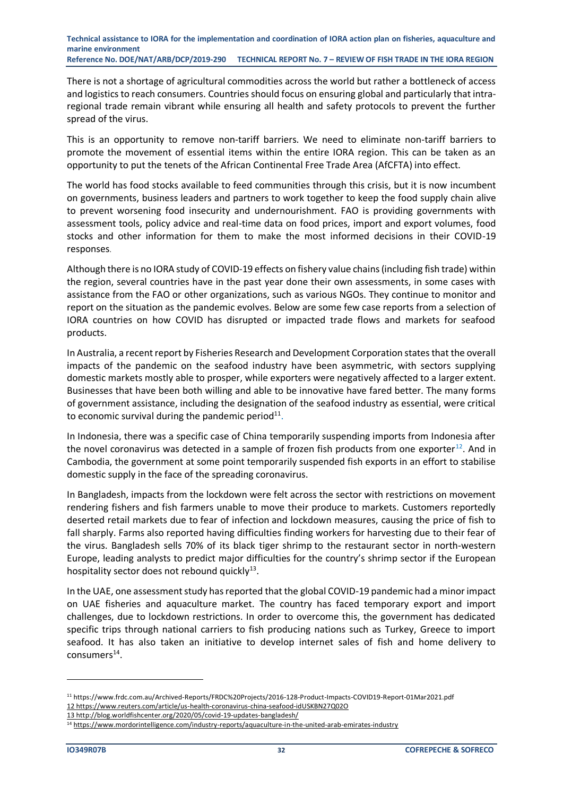There is not a shortage of agricultural commodities across the world but rather a bottleneck of access and logistics to reach consumers. Countries should focus on ensuring global and particularly that intraregional trade remain vibrant while ensuring all health and safety protocols to prevent the further spread of the virus.

This is an opportunity to remove non-tariff barriers. We need to eliminate non-tariff barriers to promote the movement of essential items within the entire IORA region. This can be taken as an opportunity to put the tenets of the African Continental Free Trade Area (AfCFTA) into effect.

The world has food stocks available to feed communities through this crisis, but it is now incumbent on governments, business leaders and partners to work together to keep the food supply chain alive to prevent worsening food insecurity and undernourishment. FAO is providing governments with assessment tools, policy advice and real-time data on food prices, import and export volumes, food stocks and other information for them to make the most informed decisions in their COVID-19 responses.

Although there is no IORA study of COVID-19 effects on fishery value chains (including fish trade) within the region, several countries have in the past year done their own assessments, in some cases with assistance from the FAO or other organizations, such as various NGOs. They continue to monitor and report on the situation as the pandemic evolves. Below are some few case reports from a selection of IORA countries on how COVID has disrupted or impacted trade flows and markets for seafood products.

In Australia, a recent report by Fisheries Research and Development Corporation states that the overall impacts of the pandemic on the seafood industry have been asymmetric, with sectors supplying domestic markets mostly able to prosper, while exporters were negatively affected to a larger extent. Businesses that have been both willing and able to be innovative have fared better. The many forms of government assistance, including the designation of the seafood industry as essential, were critical to economic survival during the pandemic period $^{11}$ .

In Indonesia, there was a specific case of China temporarily suspending imports from Indonesia after the novel coronavirus was detected in a sample of frozen fish products from one exporter<sup>12</sup>. And in Cambodia, the government at some point temporarily suspended fish exports in an effort to stabilise domestic supply in the face of the spreading coronavirus.

In Bangladesh, impacts from the lockdown were felt across the sector with restrictions on movement rendering fishers and fish farmers unable to move their produce to markets. Customers reportedly deserted retail markets due to [fear of infection](https://www.thedailystar.net/country/news/poverty-forces-them-net-fish-amid-covid-19-shutdown-1893775) and lockdown measures, causing the price of fish to fall sharply. Farms also reported having difficulties finding workers for harvesting due to their fear of the virus. Bangladesh sells 70% of its black tiger shrimp to the restaurant sector in north-western Europe, leading analysts to predict major difficulties for the country's shrimp sector if the European hospitality sector does not rebound quickly<sup>13</sup>.

In the UAE, one assessment study has reported that the global COVID-19 pandemic had a minor impact on UAE fisheries and aquaculture market. The country has faced temporary export and import challenges, due to lockdown restrictions. In order to overcome this, the government has dedicated specific trips through national carriers to fish producing nations such as Turkey, Greece to import seafood. It has also taken an initiative to develop internet sales of fish and home delivery to consumers<sup>14</sup>.

<sup>11</sup> https://www.frdc.com.au/Archived-Reports/FRDC%20Projects/2016-128-Product-Impacts-COVID19-Report-01Mar2021.pdf 12 <https://www.reuters.com/article/us-health-coronavirus-china-seafood-idUSKBN27Q02O>

<sup>13</sup> <http://blog.worldfishcenter.org/2020/05/covid-19-updates-bangladesh/>

<sup>14</sup> <https://www.mordorintelligence.com/industry-reports/aquaculture-in-the-united-arab-emirates-industry>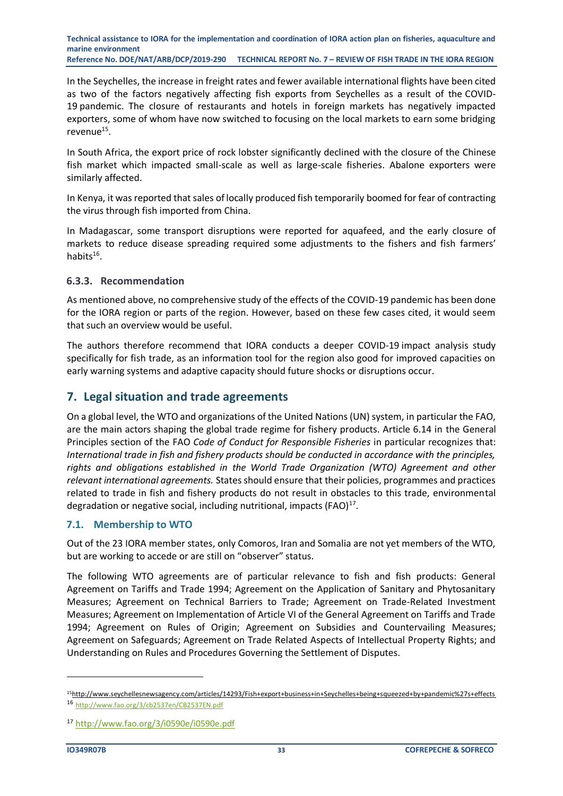In the Seychelles, the increase in freight rates and fewer available international flights have been cited as two of the factors negatively affecting fish exports from Seychelles as a result of the COVID-19 pandemic. The closure of restaurants and hotels in foreign markets has negatively impacted exporters, some of whom have now switched to focusing on the local markets to earn some bridging revenue<sup>15</sup>.

In South Africa, the export price of rock lobster significantly declined with the closure of the Chinese fish market which impacted small-scale as well as large-scale fisheries. Abalone exporters were similarly affected.

In Kenya, it was reported that sales of locally produced fish temporarily boomed for fear of contracting the virus through fish imported from China.

In Madagascar, some transport disruptions were reported for aquafeed, and the early closure of markets to reduce disease spreading required some adjustments to the fishers and fish farmers' habits<sup>16</sup>.

#### **6.3.3. Recommendation**

As mentioned above, no comprehensive study of the effects of the COVID-19 pandemic has been done for the IORA region or parts of the region. However, based on these few cases cited, it would seem that such an overview would be useful.

The authors therefore recommend that IORA conducts a deeper COVID-19 impact analysis study specifically for fish trade, as an information tool for the region also good for improved capacities on early warning systems and adaptive capacity should future shocks or disruptions occur.

# <span id="page-32-0"></span>**7. Legal situation and trade agreements**

On a global level, the WTO and organizations of the United Nations (UN) system, in particular the FAO, are the main actors shaping the global trade regime for fishery products. Article 6.14 in the General Principles section of the FAO *Code of Conduct for Responsible Fisheries* in particular recognizes that: *International trade in fish and fishery products should be conducted in accordance with the principles, rights and obligations established in the World Trade Organization (WTO) Agreement and other relevant international agreements.* States should ensure that their policies, programmes and practices related to trade in fish and fishery products do not result in obstacles to this trade, environmental degradation or negative social, including nutritional, impacts (FAO)<sup>17</sup>.

#### <span id="page-32-1"></span>**7.1. Membership to WTO**

Out of the 23 IORA member states, only Comoros, Iran and Somalia are not yet members of the WTO, but are working to accede or are still on "observer" status.

The following WTO agreements are of particular relevance to fish and fish products: General Agreement on Tariffs and Trade 1994; Agreement on the Application of Sanitary and Phytosanitary Measures; Agreement on Technical Barriers to Trade; Agreement on Trade-Related Investment Measures; Agreement on Implementation of Article VI of the General Agreement on Tariffs and Trade 1994; Agreement on Rules of Origin; Agreement on Subsidies and Countervailing Measures; Agreement on Safeguards; Agreement on Trade Related Aspects of Intellectual Property Rights; and Understanding on Rules and Procedures Governing the Settlement of Disputes.

<sup>15</sup><http://www.seychellesnewsagency.com/articles/14293/Fish+export+business+in+Seychelles+being+squeezed+by+pandemic%27s+effects> <sup>16</sup> <http://www.fao.org/3/cb2537en/CB2537EN.pdf>

<sup>17</sup> <http://www.fao.org/3/i0590e/i0590e.pdf>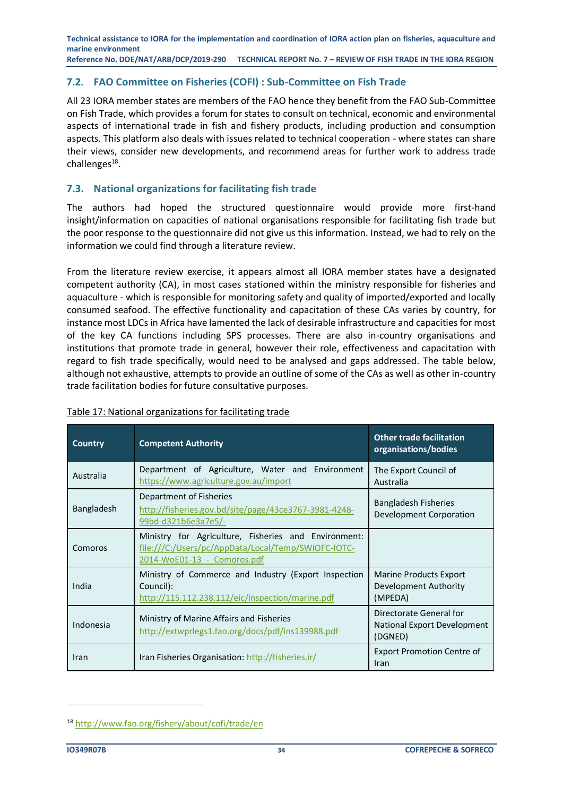#### <span id="page-33-0"></span>**7.2. FAO Committee on Fisheries (COFI) : Sub-Committee on Fish Trade**

All 23 IORA member states are members of the FAO hence they benefit from the FAO Sub-Committee on Fish Trade, which provides a forum for states to consult on technical, economic and environmental aspects of international trade in fish and fishery products, including production and consumption aspects. This platform also deals with issues related to technical cooperation - where states can share their views, consider new developments, and recommend areas for further work to address trade challenges<sup>18</sup>.

### <span id="page-33-1"></span>**7.3. National organizations for facilitating fish trade**

The authors had hoped the structured questionnaire would provide more first-hand insight/information on capacities of national organisations responsible for facilitating fish trade but the poor response to the questionnaire did not give us this information. Instead, we had to rely on the information we could find through a literature review.

From the literature review exercise, it appears almost all IORA member states have a designated competent authority (CA), in most cases stationed within the ministry responsible for fisheries and aquaculture - which is responsible for monitoring safety and quality of imported/exported and locally consumed seafood. The effective functionality and capacitation of these CAs varies by country, for instance most LDCs in Africa have lamented the lack of desirable infrastructure and capacities for most of the key CA functions including SPS processes. There are also in-country organisations and institutions that promote trade in general, however their role, effectiveness and capacitation with regard to fish trade specifically, would need to be analysed and gaps addressed. The table below, although not exhaustive, attempts to provide an outline of some of the CAs as well as other in-country trade facilitation bodies for future consultative purposes.

| <b>Country</b> | <b>Competent Authority</b>                                                                                                                 | <b>Other trade facilitation</b><br>organisations/bodies                  |
|----------------|--------------------------------------------------------------------------------------------------------------------------------------------|--------------------------------------------------------------------------|
| Australia      | Department of Agriculture, Water and Environment<br>https://www.agriculture.gov.au/import                                                  | The Export Council of<br>Australia                                       |
| Bangladesh     | Department of Fisheries<br>http://fisheries.gov.bd/site/page/43ce3767-3981-4248-<br>99bd-d321b6e3a7e5/-                                    | Bangladesh Fisheries<br><b>Development Corporation</b>                   |
| Comoros        | Ministry for Agriculture, Fisheries and Environment:<br>file:///C:/Users/pc/AppData/Local/Temp/SWIOFC-IOTC-<br>2014-WoE01-13 - Comoros.pdf |                                                                          |
| India          | Ministry of Commerce and Industry (Export Inspection<br>Council):<br>http://115.112.238.112/eic/inspection/marine.pdf                      | Marine Products Export<br>Development Authority<br>(MPEDA)               |
| Indonesia      | Ministry of Marine Affairs and Fisheries<br>http://extwprlegs1.fao.org/docs/pdf/ins139988.pdf                                              | Directorate General for<br><b>National Export Development</b><br>(DGNED) |
| Iran           | Iran Fisheries Organisation: http://fisheries.ir/                                                                                          | <b>Export Promotion Centre of</b><br>Iran                                |

#### <span id="page-33-2"></span>Table 17: National organizations for facilitating trade

<sup>18</sup> <http://www.fao.org/fishery/about/cofi/trade/en>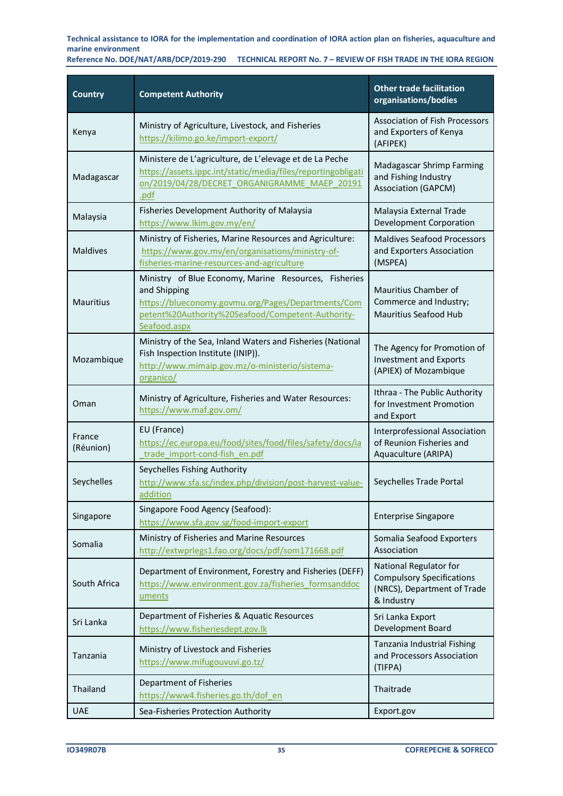**Reference No. DOE/NAT/ARB/DCP/2019-290 TECHNICAL REPORT No. 7 – REVIEW OF FISH TRADE IN THE IORA REGION**

| <b>Country</b>      | <b>Competent Authority</b>                                                                                                                                                                       | <b>Other trade facilitation</b><br>organisations/bodies                                                 |
|---------------------|--------------------------------------------------------------------------------------------------------------------------------------------------------------------------------------------------|---------------------------------------------------------------------------------------------------------|
| Kenya               | Ministry of Agriculture, Livestock, and Fisheries<br>https://kilimo.go.ke/import-export/                                                                                                         | <b>Association of Fish Processors</b><br>and Exporters of Kenya<br>(AFIPEK)                             |
| Madagascar          | Ministere de L'agriculture, de L'elevage et de La Peche<br>https://assets.ippc.int/static/media/files/reportingobligati<br>on/2019/04/28/DECRET_ORGANIGRAMME_MAEP_20191<br>.pdf                  | Madagascar Shrimp Farming<br>and Fishing Industry<br><b>Association (GAPCM)</b>                         |
| Malaysia            | Fisheries Development Authority of Malaysia<br>https://www.lkim.gov.my/en/                                                                                                                       | Malaysia External Trade<br>Development Corporation                                                      |
| <b>Maldives</b>     | Ministry of Fisheries, Marine Resources and Agriculture:<br>https://www.gov.mv/en/organisations/ministry-of-<br>fisheries-marine-resources-and-agriculture                                       | <b>Maldives Seafood Processors</b><br>and Exporters Association<br>(MSPEA)                              |
| <b>Mauritius</b>    | Ministry of Blue Economy, Marine Resources, Fisheries<br>and Shipping<br>https://blueconomy.govmu.org/Pages/Departments/Com<br>petent%20Authority%20Seafood/Competent-Authority-<br>Seafood.aspx | Mauritius Chamber of<br>Commerce and Industry;<br>Mauritius Seafood Hub                                 |
| Mozambique          | Ministry of the Sea, Inland Waters and Fisheries (National<br>Fish Inspection Institute (INIP)).<br>http://www.mimaip.gov.mz/o-ministerio/sistema-<br>organico/                                  | The Agency for Promotion of<br><b>Investment and Exports</b><br>(APIEX) of Mozambique                   |
| Oman                | Ministry of Agriculture, Fisheries and Water Resources:<br>https://www.maf.gov.om/                                                                                                               | Ithraa - The Public Authority<br>for Investment Promotion<br>and Export                                 |
| France<br>(Réunion) | EU (France)<br>https://ec.europa.eu/food/sites/food/files/safety/docs/ia<br>trade_import-cond-fish_en.pdf                                                                                        | Interprofessional Association<br>of Reunion Fisheries and<br>Aquaculture (ARIPA)                        |
| Seychelles          | Seychelles Fishing Authority<br>http://www.sfa.sc/index.php/division/post-harvest-value-<br>addition                                                                                             | Seychelles Trade Portal                                                                                 |
| Singapore           | Singapore Food Agency (Seafood):<br>https://www.sfa.gov.sg/food-import-export                                                                                                                    | <b>Enterprise Singapore</b>                                                                             |
| Somalia             | Ministry of Fisheries and Marine Resources<br>http://extwprlegs1.fao.org/docs/pdf/som171668.pdf                                                                                                  | Somalia Seafood Exporters<br>Association                                                                |
| South Africa        | Department of Environment, Forestry and Fisheries (DEFF)<br>https://www.environment.gov.za/fisheries formsanddoc<br>uments                                                                       | National Regulator for<br><b>Compulsory Specifications</b><br>(NRCS), Department of Trade<br>& Industry |
| Sri Lanka           | Department of Fisheries & Aquatic Resources<br>https://www.fisheriesdept.gov.lk                                                                                                                  | Sri Lanka Export<br>Development Board                                                                   |
| Tanzania            | Ministry of Livestock and Fisheries<br>https://www.mifugouvuvi.go.tz/                                                                                                                            | Tanzania Industrial Fishing<br>and Processors Association<br>(TIFPA)                                    |
| Thailand            | Department of Fisheries<br>https://www4.fisheries.go.th/dof en                                                                                                                                   | Thaitrade                                                                                               |
| <b>UAE</b>          | Sea-Fisheries Protection Authority                                                                                                                                                               | Export.gov                                                                                              |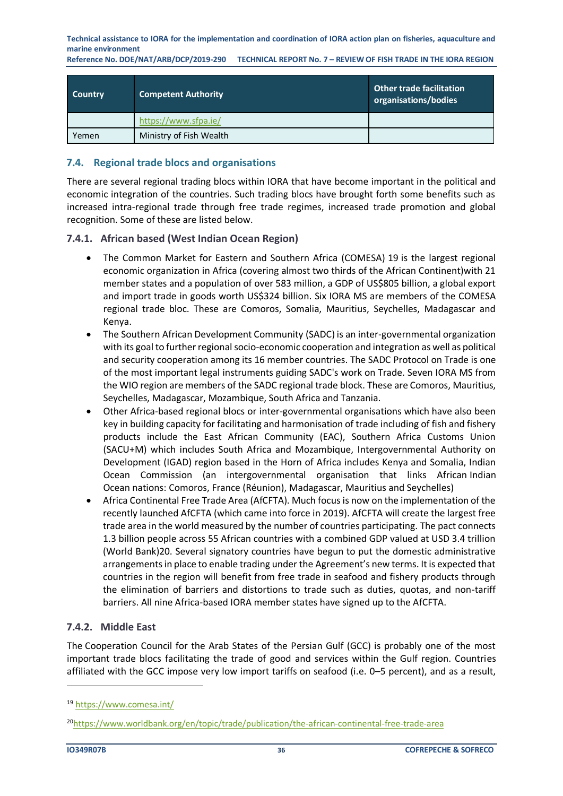**Reference No. DOE/NAT/ARB/DCP/2019-290 TECHNICAL REPORT No. 7 – REVIEW OF FISH TRADE IN THE IORA REGION**

| <b>Country</b> | <b>Competent Authority</b> | <b>Other trade facilitation</b><br>organisations/bodies |
|----------------|----------------------------|---------------------------------------------------------|
|                | https://www.sfpa.ie/       |                                                         |
| Yemen          | Ministry of Fish Wealth    |                                                         |

#### <span id="page-35-0"></span>**7.4. Regional trade blocs and organisations**

There are several regional trading blocs within IORA that have become important in the political and economic integration of the countries. Such trading blocs have brought forth some benefits such as increased intra-regional trade through free trade regimes, increased trade promotion and global recognition. Some of these are listed below.

#### **7.4.1. African based (West Indian Ocean Region)**

- The Common Market for Eastern and Southern Africa (COMESA) 19 is the largest regional economic organization in Africa (covering almost two thirds of the African Continent)with 21 member states and a population of over 583 million, a GDP of US\$805 billion, a global export and import trade in goods worth US\$324 billion. Six IORA MS are members of the COMESA regional trade bloc. These are Comoros, Somalia, Mauritius, Seychelles, Madagascar and Kenya.
- The Southern African Development Community (SADC) is an inter-governmental organization with its goal to further regional socio-economic cooperation and integration as well as political and security cooperation among its 16 member countries. The SADC [Protocol on Trade](https://www.sadc.int/documents-publications/show/Protocol_on_Trade1996.pdf) is one of the most important legal instruments guiding SADC's work on Trade. Seven IORA MS from the WIO region are members of the SADC regional trade block. These are Comoros, Mauritius, Seychelles, Madagascar, Mozambique, South Africa and Tanzania.
- Other Africa-based regional blocs or inter-governmental organisations which have also been key in building capacity for facilitating and harmonisation of trade including of fish and fishery products include the East African Community (EAC), Southern Africa Customs Union (SACU+M) which includes South Africa and Mozambique, Intergovernmental Authority on Development (IGAD) region based in the Horn of Africa includes Kenya and Somalia, Indian Ocean Commission (an intergovernmental organisation that links African [Indian](https://en.wikipedia.org/wiki/Indian_Ocean)  [Ocean](https://en.wikipedia.org/wiki/Indian_Ocean) nations: [Comoros,](https://en.wikipedia.org/wiki/Comoros) France [\(Réunion\)](https://en.wikipedia.org/wiki/R%C3%A9union)[, Madagascar,](https://en.wikipedia.org/wiki/Madagascar) [Mauritius](https://en.wikipedia.org/wiki/Mauritius) and Seychelles)
- Africa Continental Free Trade Area (AfCFTA). Much focus is now on the implementation of the recently launched AfCFTA (which came into force in 2019). AfCFTA will create the largest free trade area in the world measured by the number of countries participating. The pact connects 1.3 billion people across 55 African countries with a combined GDP valued at USD 3.4 trillion (World Bank)20. Several signatory countries have begun to put the domestic administrative arrangements in place to enable trading under the Agreement's new terms. It is expected that countries in the region will benefit from free trade in seafood and fishery products through the elimination of barriers and distortions to trade such as duties, quotas, and non-tariff barriers. All nine Africa-based IORA member states have signed up to the AfCFTA.

#### **7.4.2. Middle East**

The Cooperation Council for the Arab States of the Persian Gulf (GCC) is probably one of the most important trade blocs facilitating the trade of good and services within the Gulf region. Countries affiliated with the GCC impose very low import tariffs on seafood (i.e. 0–5 percent), and as a result,

<sup>19</sup> <https://www.comesa.int/>

<sup>20</sup><https://www.worldbank.org/en/topic/trade/publication/the-african-continental-free-trade-area>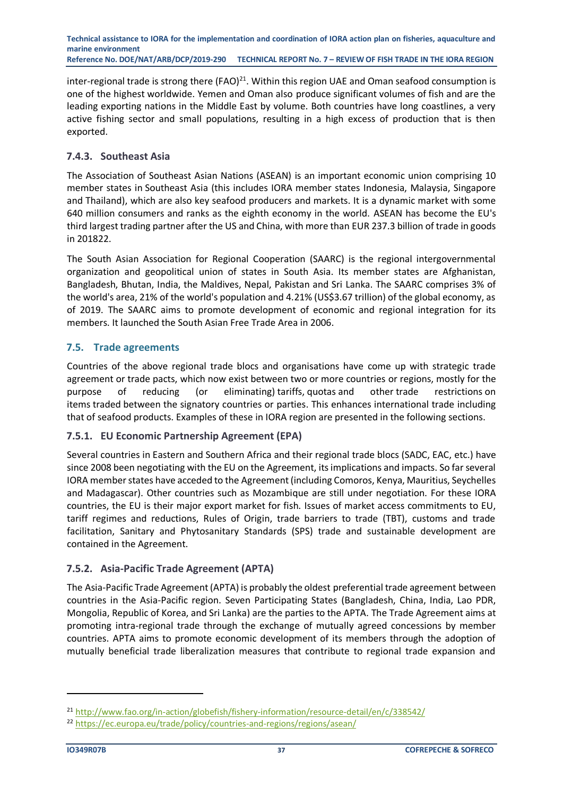inter-regional trade is strong there  $(FAO)^{21}$ . Within this region UAE and Oman seafood consumption is one of the highest worldwide. Yemen and Oman also produce significant volumes of fish and are the leading exporting nations in the Middle East by volume. Both countries have long coastlines, a very active fishing sector and small populations, resulting in a high excess of production that is then exported.

# **7.4.3. Southeast Asia**

The Association of Southeast Asian Nations (ASEAN) is an important economic union comprising 10 member states in Southeast Asia (this includes IORA member states Indonesia, Malaysia, Singapore and Thailand), which are also key seafood producers and markets. It is a dynamic market with some 640 million consumers and ranks as the eighth economy in the world. ASEAN has become the EU's third largest trading partner after the US and China, with more than EUR 237.3 billion of trade in goods in 201822.

The South Asian Association for Regional Cooperation (SAARC) is the regional intergovernmental organization and geopolitical union of states in South Asia. Its member states are Afghanistan, Bangladesh, Bhutan, India, the Maldives, Nepal, Pakistan and Sri Lanka. The SAARC comprises 3% of the world's area, 21% of the world's population and 4.21% (US\$3.67 trillion) of the global economy, as of 2019. The SAARC aims to promote development of economic and regional integration for its members. It launched the South Asian Free Trade Area in 2006.

# <span id="page-36-0"></span>**7.5. Trade agreements**

Countries of the above regional trade blocs and organisations have come up with strategic trade agreement or trade pacts, which now exist between two or more countries or regions, mostly for the purpose of reducing (or eliminating) [tariffs,](https://en.wikipedia.org/wiki/Tariff) [quotas](https://en.wikipedia.org/wiki/Import_quota) and other [trade restrictions](https://en.wikipedia.org/wiki/Trade_barrier) on items [traded](https://en.wikipedia.org/wiki/Trade) between the signatory countries or parties. This enhances international trade including that of seafood products. Examples of these in IORA region are presented in the following sections.

#### **7.5.1. EU Economic Partnership Agreement (EPA)**

Several countries in Eastern and Southern Africa and their regional trade blocs (SADC, EAC, etc.) have since 2008 been negotiating with the EU on the Agreement, its implications and impacts. So far several IORA member states have acceded to the Agreement (including Comoros, Kenya, Mauritius, Seychelles and Madagascar). Other countries such as Mozambique are still under negotiation. For these IORA countries, the EU is their major export market for fish. Issues of market access commitments to EU, tariff regimes and reductions, Rules of Origin, trade barriers to trade (TBT), customs and trade facilitation, Sanitary and Phytosanitary Standards (SPS) trade and sustainable development are contained in the Agreement.

# **7.5.2. Asia-Pacific Trade Agreement (APTA)**

The Asia-Pacific Trade Agreement (APTA) is probably the oldest preferential trade agreement between countries in the Asia-Pacific region. Seven Participating States (Bangladesh, China, India, Lao PDR, Mongolia, Republic of Korea, and Sri Lanka) are the parties to the APTA. The Trade Agreement aims at promoting intra-regional trade through the exchange of mutually agreed concessions by member countries. APTA aims to promote economic development of its members through the adoption of mutually beneficial trade liberalization measures that contribute to regional trade expansion and

<sup>21</sup> <http://www.fao.org/in-action/globefish/fishery-information/resource-detail/en/c/338542/>

<sup>22</sup> <https://ec.europa.eu/trade/policy/countries-and-regions/regions/asean/>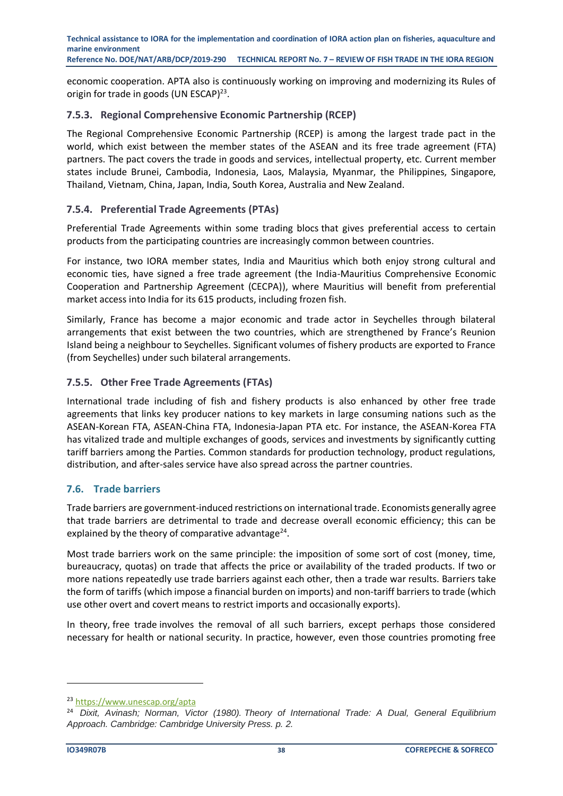economic cooperation. APTA also is continuously working on improving and modernizing its Rules of origin for trade in goods (UN ESCAP)<sup>23</sup>.

### **7.5.3. Regional Comprehensive Economic Partnership (RCEP)**

The Regional Comprehensive Economic Partnership (RCEP) is among the largest trade pact in the world, which exist between the member states of the ASEAN and its free trade agreement (FTA) partners. The pact covers the trade in goods and services, intellectual property, etc. Current member states include Brunei, Cambodia, Indonesia, Laos, Malaysia, Myanmar, the Philippines, Singapore, Thailand, Vietnam, China, Japan, India, South Korea, Australia and New Zealand.

# **7.5.4. Preferential Trade Agreements (PTAs)**

Preferential Trade Agreements within some trading blocs that gives preferential access to certain products from the participating countries are increasingly common between countries.

For instance, two IORA member states, India and Mauritius which both enjoy strong cultural and economic ties, have signed a free trade agreement (the India-Mauritius Comprehensive Economic Cooperation and Partnership Agreement (CECPA)), where Mauritius will benefit from preferential market access into India for its 615 products, including frozen fish.

Similarly, France has become a major economic and trade actor in Seychelles through bilateral arrangements that exist between the two countries, which are strengthened by France's Reunion Island being a neighbour to Seychelles. Significant volumes of fishery products are exported to France (from Seychelles) under such bilateral arrangements.

# **7.5.5. Other Free Trade Agreements (FTAs)**

International trade including of fish and fishery products is also enhanced by other free trade agreements that links key producer nations to key markets in large consuming nations such as the ASEAN-Korean FTA, ASEAN-China FTA, Indonesia-Japan PTA etc. For instance, the ASEAN-Korea FTA has vitalized trade and multiple exchanges of goods, services and investments by significantly cutting tariff barriers among the Parties. Common standards for production technology, product regulations, distribution, and after-sales service have also spread across the partner countries.

#### <span id="page-37-0"></span>**7.6. Trade barriers**

Trade barriers are government-induced restrictions on [international trade.](https://en.wikipedia.org/wiki/International_trade) Economists generally agree that trade barriers are detrimental to trade and decrease overall [economic efficiency;](https://en.wikipedia.org/wiki/Efficiency_(economics)) this can be explained by the [theory of comparative advantage](https://en.wikipedia.org/wiki/Comparative_advantage)<sup>24</sup>.

Most trade barriers work on the same principle: the imposition of some sort of cost (money, time, bureaucracy, quotas) on trade that affects the price or availability of the traded [products.](https://en.wikipedia.org/wiki/Product_(business)) If two or more nations repeatedly use trade barriers against each other, then a [trade war](https://en.wikipedia.org/wiki/Trade_war) results. Barriers take the form of [tariffs](https://en.wikipedia.org/wiki/Tariff) (which impose a financial burden on imports) and [non-tariff barriers to trade](https://en.wikipedia.org/wiki/Non-tariff_barriers_to_trade) (which use other overt and covert means to restrict imports and occasionally exports).

In theory, [free trade](https://en.wikipedia.org/wiki/Free_trade) involves the removal of all such barriers, except perhaps those considered necessary for health or national security. In practice, however, even those countries promoting free

<sup>23</sup> <https://www.unescap.org/apta>

<sup>24</sup> *Dixit, Avinash; Norman, Victor (1980). Theory of International Trade: A Dual, General Equilibrium Approach. Cambridge: Cambridge University Press. p. 2.*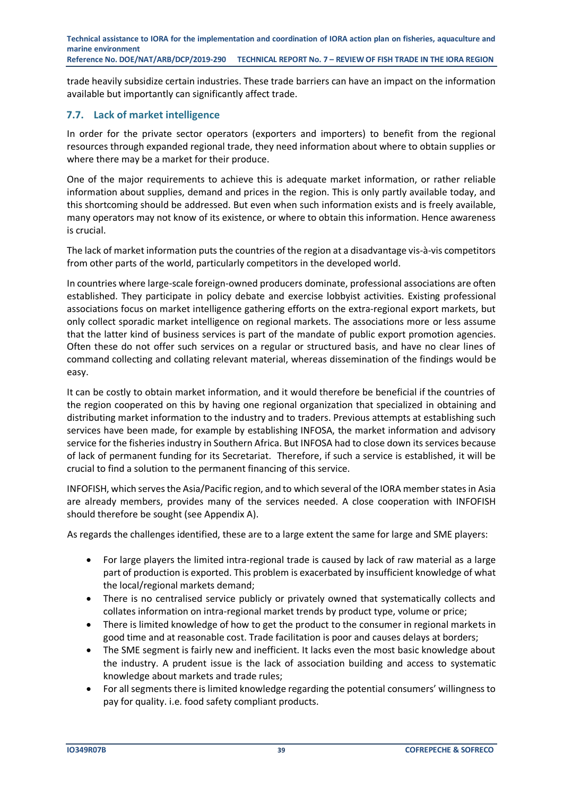trade heavily subsidize certain industries. These trade barriers can have an impact on the information available but importantly can significantly affect trade.

### <span id="page-38-0"></span>**7.7. Lack of market intelligence**

In order for the private sector operators (exporters and importers) to benefit from the regional resources through expanded regional trade, they need information about where to obtain supplies or where there may be a market for their produce.

One of the major requirements to achieve this is adequate market information, or rather reliable information about supplies, demand and prices in the region. This is only partly available today, and this shortcoming should be addressed. But even when such information exists and is freely available, many operators may not know of its existence, or where to obtain this information. Hence awareness is crucial.

The lack of market information puts the countries of the region at a disadvantage vis‐à‐vis competitors from other parts of the world, particularly competitors in the developed world.

In countries where large‐scale foreign-owned producers dominate, professional associations are often established. They participate in policy debate and exercise lobbyist activities. Existing professional associations focus on market intelligence gathering efforts on the extra-regional export markets, but only collect sporadic market intelligence on regional markets. The associations more or less assume that the latter kind of business services is part of the mandate of public export promotion agencies. Often these do not offer such services on a regular or structured basis, and have no clear lines of command collecting and collating relevant material, whereas dissemination of the findings would be easy.

It can be costly to obtain market information, and it would therefore be beneficial if the countries of the region cooperated on this by having one regional organization that specialized in obtaining and distributing market information to the industry and to traders. Previous attempts at establishing such services have been made, for example by establishing INFOSA, the market information and advisory service for the fisheries industry in Southern Africa. But INFOSA had to close down its services because of lack of permanent funding for its Secretariat. Therefore, if such a service is established, it will be crucial to find a solution to the permanent financing of this service.

INFOFISH, which serves the Asia/Pacific region, and to which several of the IORA member states in Asia are already members, provides many of the services needed. A close cooperation with INFOFISH should therefore be sought (see Appendix A).

As regards the challenges identified, these are to a large extent the same for large and SME players:

- For large players the limited intra-regional trade is caused by lack of raw material as a large part of production is exported. This problem is exacerbated by insufficient knowledge of what the local/regional markets demand;
- There is no centralised service publicly or privately owned that systematically collects and collates information on intra‐regional market trends by product type, volume or price;
- There is limited knowledge of how to get the product to the consumer in regional markets in good time and at reasonable cost. Trade facilitation is poor and causes delays at borders;
- The SME segment is fairly new and inefficient. It lacks even the most basic knowledge about the industry. A prudent issue is the lack of association building and access to systematic knowledge about markets and trade rules;
- For all segments there is limited knowledge regarding the potential consumers' willingness to pay for quality. i.e. food safety compliant products.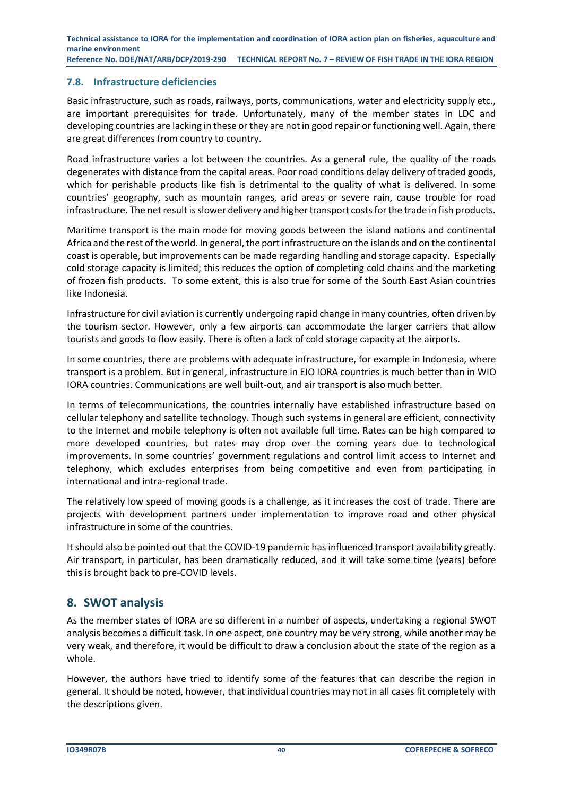#### <span id="page-39-0"></span>**7.8. Infrastructure deficiencies**

Basic infrastructure, such as roads, railways, ports, communications, water and electricity supply etc., are important prerequisites for trade. Unfortunately, many of the member states in LDC and developing countries are lacking in these or they are not in good repair or functioning well. Again, there are great differences from country to country.

Road infrastructure varies a lot between the countries. As a general rule, the quality of the roads degenerates with distance from the capital areas. Poor road conditions delay delivery of traded goods, which for perishable products like fish is detrimental to the quality of what is delivered. In some countries' geography, such as mountain ranges, arid areas or severe rain, cause trouble for road infrastructure. The net result is slower delivery and higher transport costs for the trade in fish products.

Maritime transport is the main mode for moving goods between the island nations and continental Africa and the rest of the world. In general, the port infrastructure on the islands and on the continental coast is operable, but improvements can be made regarding handling and storage capacity. Especially cold storage capacity is limited; this reduces the option of completing cold chains and the marketing of frozen fish products. To some extent, this is also true for some of the South East Asian countries like Indonesia.

Infrastructure for civil aviation is currently undergoing rapid change in many countries, often driven by the tourism sector. However, only a few airports can accommodate the larger carriers that allow tourists and goods to flow easily. There is often a lack of cold storage capacity at the airports.

In some countries, there are problems with adequate infrastructure, for example in Indonesia, where transport is a problem. But in general, infrastructure in EIO IORA countries is much better than in WIO IORA countries. Communications are well built-out, and air transport is also much better.

In terms of telecommunications, the countries internally have established infrastructure based on cellular telephony and satellite technology. Though such systems in general are efficient, connectivity to the Internet and mobile telephony is often not available full time. Rates can be high compared to more developed countries, but rates may drop over the coming years due to technological improvements. In some countries' government regulations and control limit access to Internet and telephony, which excludes enterprises from being competitive and even from participating in international and intra‐regional trade.

The relatively low speed of moving goods is a challenge, as it increases the cost of trade. There are projects with development partners under implementation to improve road and other physical infrastructure in some of the countries.

It should also be pointed out that the COVID-19 pandemic has influenced transport availability greatly. Air transport, in particular, has been dramatically reduced, and it will take some time (years) before this is brought back to pre-COVID levels.

# <span id="page-39-1"></span>**8. SWOT analysis**

As the member states of IORA are so different in a number of aspects, undertaking a regional SWOT analysis becomes a difficult task. In one aspect, one country may be very strong, while another may be very weak, and therefore, it would be difficult to draw a conclusion about the state of the region as a whole.

However, the authors have tried to identify some of the features that can describe the region in general. It should be noted, however, that individual countries may not in all cases fit completely with the descriptions given.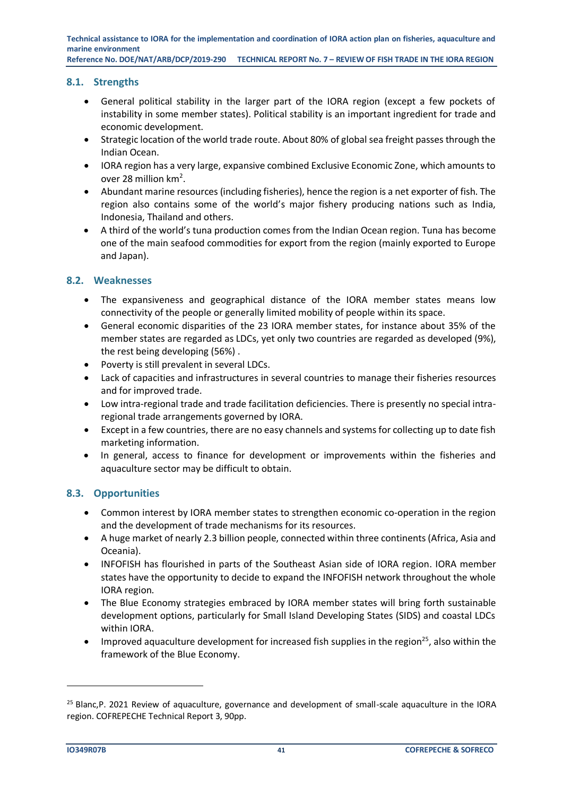#### <span id="page-40-0"></span>**8.1. Strengths**

- General political stability in the larger part of the IORA region (except a few pockets of instability in some member states). Political stability is an important ingredient for trade and economic development.
- Strategic location of the world trade route. About 80% of global sea freight passes through the Indian Ocean.
- IORA region has a very large, expansive combined Exclusive Economic Zone, which amounts to over 28 million km<sup>2</sup>.
- Abundant marine resources (including fisheries), hence the region is a net exporter of fish. The region also contains some of the world's major fishery producing nations such as India, Indonesia, Thailand and others.
- A third of the world's tuna production comes from the Indian Ocean region. Tuna has become one of the main seafood commodities for export from the region (mainly exported to Europe and Japan).

# <span id="page-40-1"></span>**8.2. Weaknesses**

- The expansiveness and geographical distance of the IORA member states means low connectivity of the people or generally limited mobility of people within its space.
- General economic disparities of the 23 IORA member states, for instance about 35% of the member states are regarded as LDCs, yet only two countries are regarded as developed (9%), the rest being developing (56%) .
- Poverty is still prevalent in several LDCs.
- Lack of capacities and infrastructures in several countries to manage their fisheries resources and for improved trade.
- Low intra-regional trade and trade facilitation deficiencies. There is presently no special intraregional trade arrangements governed by IORA.
- Except in a few countries, there are no easy channels and systems for collecting up to date fish marketing information.
- In general, access to finance for development or improvements within the fisheries and aquaculture sector may be difficult to obtain.

#### <span id="page-40-2"></span>**8.3. Opportunities**

- Common interest by IORA member states to strengthen economic co-operation in the region and the development of trade mechanisms for its resources.
- A huge market of nearly 2.3 billion people, connected within three continents (Africa, Asia and Oceania).
- INFOFISH has flourished in parts of the Southeast Asian side of IORA region. IORA member states have the opportunity to decide to expand the INFOFISH network throughout the whole IORA region.
- The Blue Economy strategies embraced by IORA member states will bring forth sustainable development options, particularly for Small Island Developing States (SIDS) and coastal LDCs within IORA.
- Improved aquaculture development for increased fish supplies in the region<sup>25</sup>, also within the framework of the Blue Economy.

 $25$  Blanc, P. 2021 Review of aquaculture, governance and development of small-scale aquaculture in the IORA region. COFREPECHE Technical Report 3, 90pp.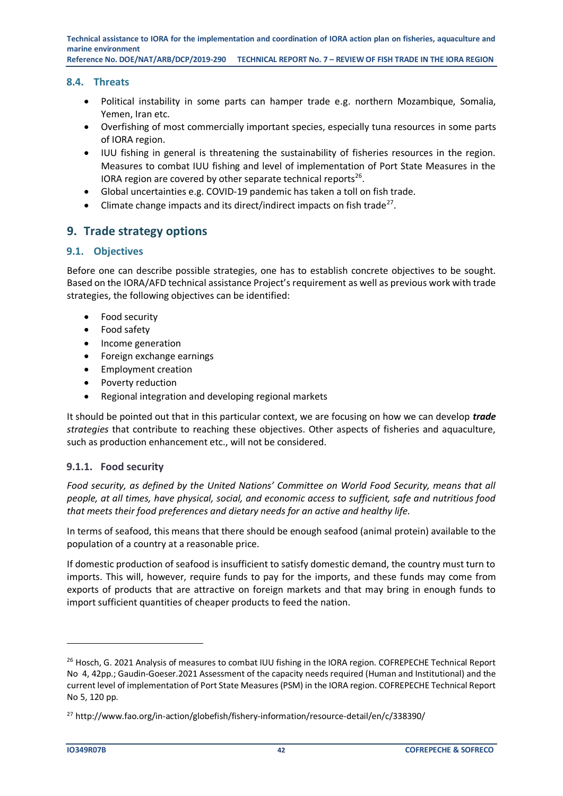#### <span id="page-41-0"></span>**8.4. Threats**

- Political instability in some parts can hamper trade e.g. northern Mozambique, Somalia, Yemen, Iran etc.
- Overfishing of most commercially important species, especially tuna resources in some parts of IORA region.
- IUU fishing in general is threatening the sustainability of fisheries resources in the region. Measures to combat IUU fishing and level of implementation of Port State Measures in the IORA region are covered by other separate technical reports<sup>26</sup>.
- Global uncertainties e.g. COVID-19 pandemic has taken a toll on fish trade.
- $\bullet$  Climate change impacts and its direct/indirect impacts on fish trade<sup>27</sup>.

# <span id="page-41-1"></span>**9. Trade strategy options**

#### <span id="page-41-2"></span>**9.1. Objectives**

Before one can describe possible strategies, one has to establish concrete objectives to be sought. Based on the IORA/AFD technical assistance Project's requirement as well as previous work with trade strategies, the following objectives can be identified:

- Food security
- Food safety
- Income generation
- Foreign exchange earnings
- Employment creation
- Poverty reduction
- Regional integration and developing regional markets

It should be pointed out that in this particular context, we are focusing on how we can develop *trade strategies* that contribute to reaching these objectives. Other aspects of fisheries and aquaculture, such as production enhancement etc., will not be considered.

#### **9.1.1. Food security**

*Food security, as defined by the United Nations' Committee on World Food Security, means that all people, at all times, have physical, social, and economic access to sufficient, safe and nutritious food that meets their food preferences and dietary needs for an active and healthy life.*

In terms of seafood, this means that there should be enough seafood (animal protein) available to the population of a country at a reasonable price.

If domestic production of seafood is insufficient to satisfy domestic demand, the country must turn to imports. This will, however, require funds to pay for the imports, and these funds may come from exports of products that are attractive on foreign markets and that may bring in enough funds to import sufficient quantities of cheaper products to feed the nation.

<sup>&</sup>lt;sup>26</sup> Hosch, G. 2021 Analysis of measures to combat IUU fishing in the IORA region. COFREPECHE Technical Report No 4, 42pp.; Gaudin-Goeser.2021 Assessment of the capacity needs required (Human and Institutional) and the current level of implementation of Port State Measures (PSM) in the IORA region. COFREPECHE Technical Report No 5, 120 pp.

<sup>27</sup> http://www.fao.org/in-action/globefish/fishery-information/resource-detail/en/c/338390/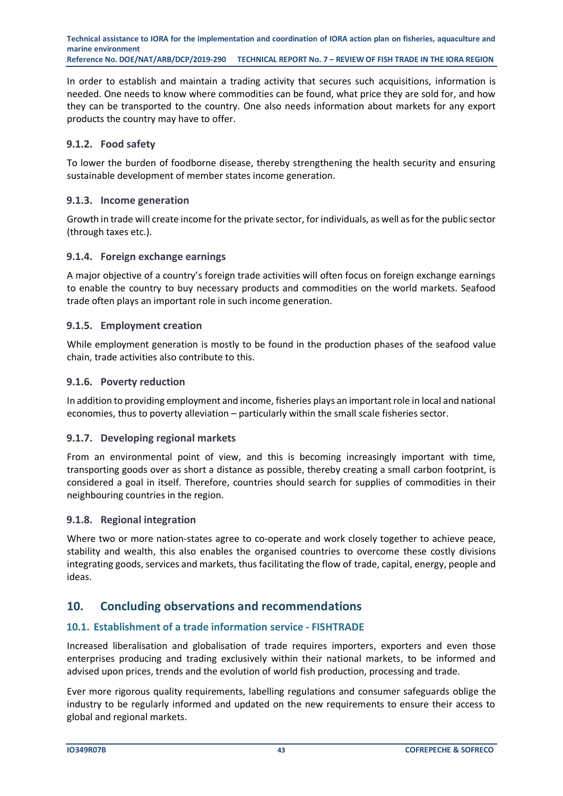In order to establish and maintain a trading activity that secures such acquisitions, information is needed. One needs to know where commodities can be found, what price they are sold for, and how they can be transported to the country. One also needs information about markets for any export products the country may have to offer.

# **9.1.2. Food safety**

To lower the burden of foodborne disease, thereby strengthening the health security and ensuring sustainable development of member states income generation.

# **9.1.3. Income generation**

Growth in trade will create income for the private sector, for individuals, as well as for the public sector (through taxes etc.).

# **9.1.4. Foreign exchange earnings**

A major objective of a country's foreign trade activities will often focus on foreign exchange earnings to enable the country to buy necessary products and commodities on the world markets. Seafood trade often plays an important role in such income generation.

#### **9.1.5. Employment creation**

While employment generation is mostly to be found in the production phases of the seafood value chain, trade activities also contribute to this.

#### **9.1.6. Poverty reduction**

In addition to providing employment and income, fisheries plays an important role in local and national economies, thus to poverty alleviation – particularly within the small scale fisheries sector.

#### **9.1.7. Developing regional markets**

From an environmental point of view, and this is becoming increasingly important with time, transporting goods over as short a distance as possible, thereby creating a small carbon footprint, is considered a goal in itself. Therefore, countries should search for supplies of commodities in their neighbouring countries in the region.

#### **9.1.8. Regional integration**

Where two or more nation-states agree to co-operate and work closely together to achieve peace, stability and wealth, this also enables the organised countries to overcome these costly divisions integrating goods, services and markets, thus facilitating the flow of trade, capital, energy, people and ideas.

# <span id="page-42-0"></span>**10. Concluding observations and recommendations**

# <span id="page-42-1"></span>**10.1. Establishment of a trade information service - FISHTRADE**

Increased liberalisation and globalisation of trade requires importers, exporters and even those enterprises producing and trading exclusively within their national markets, to be informed and advised upon prices, trends and the evolution of world fish production, processing and trade.

Ever more rigorous quality requirements, labelling regulations and consumer safeguards oblige the industry to be regularly informed and updated on the new requirements to ensure their access to global and regional markets.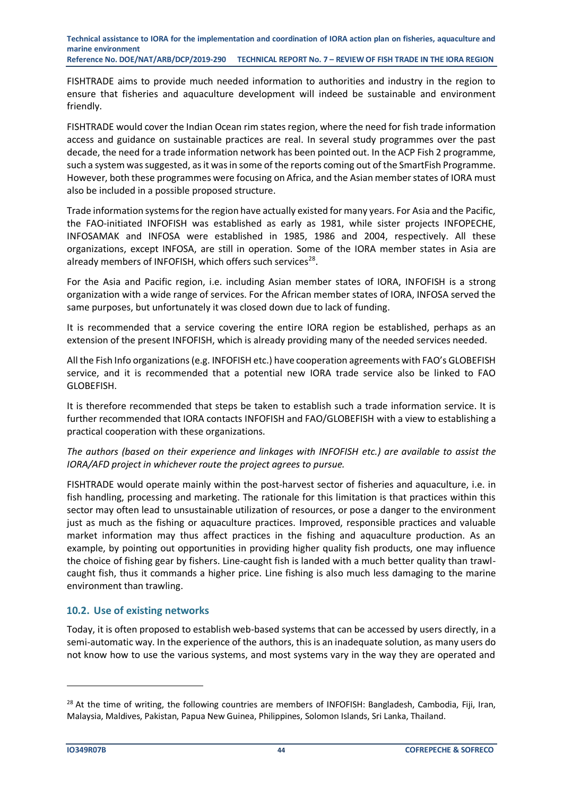FISHTRADE aims to provide much needed information to authorities and industry in the region to ensure that fisheries and aquaculture development will indeed be sustainable and environment friendly.

FISHTRADE would cover the Indian Ocean rim states region, where the need for fish trade information access and guidance on sustainable practices are real. In several study programmes over the past decade, the need for a trade information network has been pointed out. In the ACP Fish 2 programme, such a system was suggested, as it was in some of the reports coming out of the SmartFish Programme. However, both these programmes were focusing on Africa, and the Asian member states of IORA must also be included in a possible proposed structure.

Trade information systems for the region have actually existed for many years. For Asia and the Pacific, the FAO-initiated INFOFISH was established as early as 1981, while sister projects INFOPECHE, INFOSAMAK and INFOSA were established in 1985, 1986 and 2004, respectively. All these organizations, except INFOSA, are still in operation. Some of the IORA member states in Asia are already members of INFOFISH, which offers such services<sup>28</sup>.

For the Asia and Pacific region, i.e. including Asian member states of IORA, INFOFISH is a strong organization with a wide range of services. For the African member states of IORA, INFOSA served the same purposes, but unfortunately it was closed down due to lack of funding.

It is recommended that a service covering the entire IORA region be established, perhaps as an extension of the present INFOFISH, which is already providing many of the needed services needed.

All the Fish Info organizations (e.g. INFOFISH etc.) have cooperation agreements with FAO's GLOBEFISH service, and it is recommended that a potential new IORA trade service also be linked to FAO GLOBEFISH.

It is therefore recommended that steps be taken to establish such a trade information service. It is further recommended that IORA contacts INFOFISH and FAO/GLOBEFISH with a view to establishing a practical cooperation with these organizations.

*The authors (based on their experience and linkages with INFOFISH etc.) are available to assist the IORA/AFD project in whichever route the project agrees to pursue.*

FISHTRADE would operate mainly within the post-harvest sector of fisheries and aquaculture, i.e. in fish handling, processing and marketing. The rationale for this limitation is that practices within this sector may often lead to unsustainable utilization of resources, or pose a danger to the environment just as much as the fishing or aquaculture practices. Improved, responsible practices and valuable market information may thus affect practices in the fishing and aquaculture production. As an example, by pointing out opportunities in providing higher quality fish products, one may influence the choice of fishing gear by fishers. Line-caught fish is landed with a much better quality than trawlcaught fish, thus it commands a higher price. Line fishing is also much less damaging to the marine environment than trawling.

#### <span id="page-43-0"></span>**10.2. Use of existing networks**

Today, it is often proposed to establish web-based systems that can be accessed by users directly, in a semi-automatic way. In the experience of the authors, this is an inadequate solution, as many users do not know how to use the various systems, and most systems vary in the way they are operated and

<sup>&</sup>lt;sup>28</sup> At the time of writing, the following countries are members of INFOFISH: Bangladesh, Cambodia, Fiji, Iran, Malaysia, Maldives, Pakistan, Papua New Guinea, Philippines, Solomon Islands, Sri Lanka, Thailand.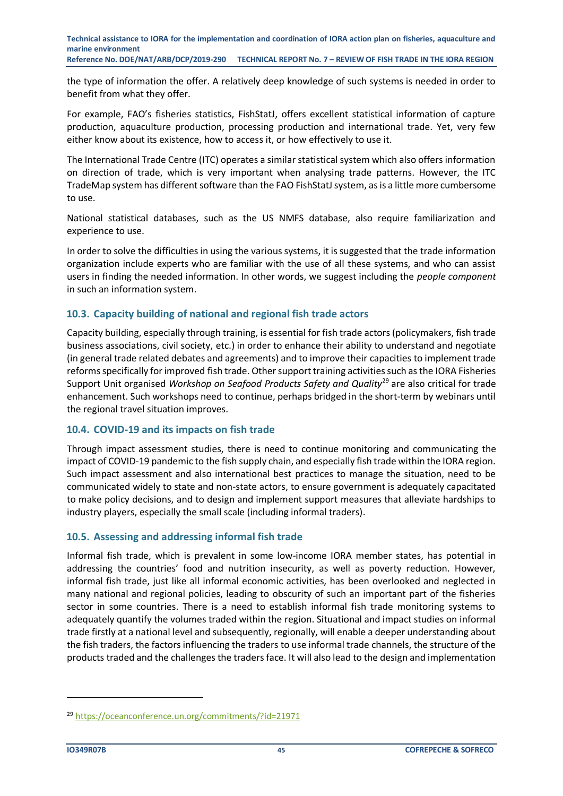the type of information the offer. A relatively deep knowledge of such systems is needed in order to benefit from what they offer.

For example, FAO's fisheries statistics, FishStatJ, offers excellent statistical information of capture production, aquaculture production, processing production and international trade. Yet, very few either know about its existence, how to access it, or how effectively to use it.

The International Trade Centre (ITC) operates a similar statistical system which also offers information on direction of trade, which is very important when analysing trade patterns. However, the ITC TradeMap system has different software than the FAO FishStatJ system, as is a little more cumbersome to use.

National statistical databases, such as the US NMFS database, also require familiarization and experience to use.

In order to solve the difficulties in using the various systems, it is suggested that the trade information organization include experts who are familiar with the use of all these systems, and who can assist users in finding the needed information. In other words, we suggest including the *people component* in such an information system.

#### <span id="page-44-0"></span>**10.3. Capacity building of national and regional fish trade actors**

Capacity building, especially through training, is essential for fish trade actors (policymakers, fish trade business associations, civil society, etc.) in order to enhance their ability to understand and negotiate (in general trade related debates and agreements) and to improve their capacities to implement trade reforms specifically for improved fish trade. Other support training activities such as the IORA Fisheries Support Unit organised *Workshop on Seafood Products Safety and Quality*<sup>29</sup> are also critical for trade enhancement. Such workshops need to continue, perhaps bridged in the short-term by webinars until the regional travel situation improves.

#### <span id="page-44-1"></span>**10.4. COVID-19 and its impacts on fish trade**

Through impact assessment studies, there is need to continue monitoring and communicating the impact of COVID-19 pandemic to the fish supply chain, and especially fish trade within the IORA region. Such impact assessment and also international best practices to manage the situation, need to be communicated widely to state and non-state actors, to ensure government is adequately capacitated to make policy decisions, and to design and implement support measures that alleviate hardships to industry players, especially the small scale (including informal traders).

#### <span id="page-44-2"></span>**10.5. Assessing and addressing informal fish trade**

Informal fish trade, which is prevalent in some low-income IORA member states, has potential in addressing the countries' food and nutrition insecurity, as well as poverty reduction. However, informal fish trade, just like all informal economic activities, has been overlooked and neglected in many national and regional policies, leading to obscurity of such an important part of the fisheries sector in some countries. There is a need to establish informal fish trade monitoring systems to adequately quantify the volumes traded within the region. Situational and impact studies on informal trade firstly at a national level and subsequently, regionally, will enable a deeper understanding about the fish traders, the factors influencing the traders to use informal trade channels, the structure of the products traded and the challenges the traders face. It will also lead to the design and implementation

<sup>29</sup> <https://oceanconference.un.org/commitments/?id=21971>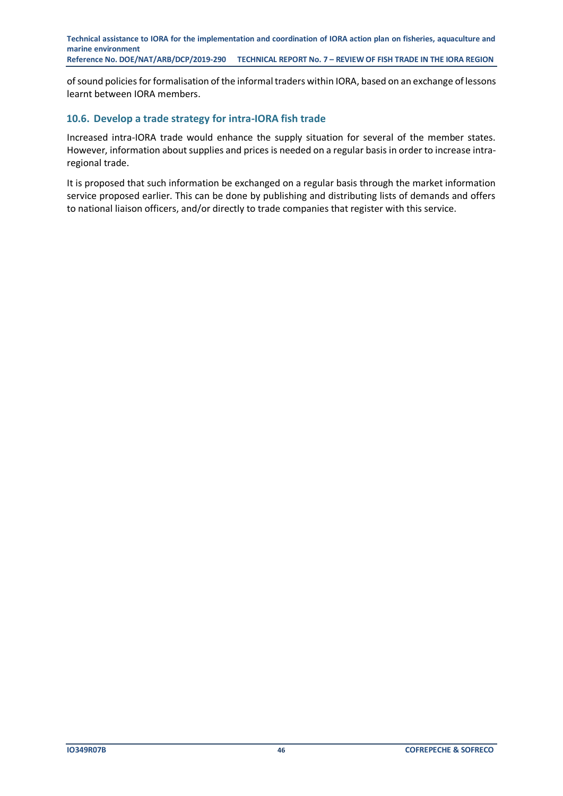of sound policies for formalisation of the informal traders within IORA, based on an exchange of lessons learnt between IORA members.

#### <span id="page-45-0"></span>**10.6. Develop a trade strategy for intra-IORA fish trade**

Increased intra-IORA trade would enhance the supply situation for several of the member states. However, information about supplies and prices is needed on a regular basis in order to increase intraregional trade.

It is proposed that such information be exchanged on a regular basis through the market information service proposed earlier. This can be done by publishing and distributing lists of demands and offers to national liaison officers, and/or directly to trade companies that register with this service.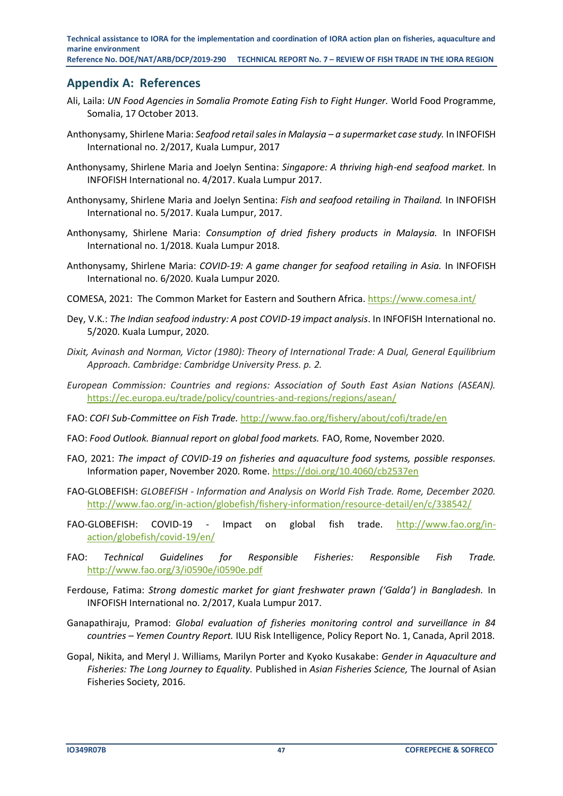# <span id="page-46-0"></span>**Appendix A: References**

- Ali, Laila: *UN Food Agencies in Somalia Promote Eating Fish to Fight Hunger.* World Food Programme, Somalia, 17 October 2013.
- Anthonysamy, Shirlene Maria: *Seafood retail sales in Malaysia – a supermarket case study.* In INFOFISH International no. 2/2017, Kuala Lumpur, 2017
- Anthonysamy, Shirlene Maria and Joelyn Sentina: *Singapore: A thriving high-end seafood market.* In INFOFISH International no. 4/2017. Kuala Lumpur 2017.
- Anthonysamy, Shirlene Maria and Joelyn Sentina: *Fish and seafood retailing in Thailand.* In INFOFISH International no. 5/2017. Kuala Lumpur, 2017.
- Anthonysamy, Shirlene Maria: *Consumption of dried fishery products in Malaysia.* In INFOFISH International no. 1/2018. Kuala Lumpur 2018.
- Anthonysamy, Shirlene Maria: *COVID-19: A game changer for seafood retailing in Asia.* In INFOFISH International no. 6/2020. Kuala Lumpur 2020.
- COMESA, 2021: The Common Market for Eastern and Southern Africa.<https://www.comesa.int/>
- Dey, V.K.: *The Indian seafood industry: A post COVID-19 impact analysis*. In INFOFISH International no. 5/2020. Kuala Lumpur, 2020.
- *Dixit, Avinash and Norman, Victor (1980): Theory of International Trade: A Dual, General Equilibrium Approach. Cambridge: Cambridge University Press. p. 2.*
- *European Commission: Countries and regions: Association of South East Asian Nations (ASEAN).*  <https://ec.europa.eu/trade/policy/countries-and-regions/regions/asean/>
- FAO: *COFI Sub-Committee on Fish Trade.* <http://www.fao.org/fishery/about/cofi/trade/en>
- FAO: *Food Outlook. Biannual report on global food markets.* FAO, Rome, November 2020.
- FAO, 2021: *The impact of COVID-19 on fisheries and aquaculture food systems, possible responses.*  Information paper, November 2020. Rome.<https://doi.org/10.4060/cb2537en>
- FAO-GLOBEFISH: *GLOBEFISH - Information and Analysis on World Fish Trade. Rome, December 2020.*  <http://www.fao.org/in-action/globefish/fishery-information/resource-detail/en/c/338542/>
- FAO-GLOBEFISH: COVID-19 Impact on global fish trade. [http://www.fao.org/in](http://www.fao.org/in-action/globefish/covid-19/en/)[action/globefish/covid-19/en/](http://www.fao.org/in-action/globefish/covid-19/en/)
- FAO: *Technical Guidelines for Responsible Fisheries: Responsible Fish Trade.* <http://www.fao.org/3/i0590e/i0590e.pdf>
- Ferdouse, Fatima: *Strong domestic market for giant freshwater prawn ('Galda') in Bangladesh.* In INFOFISH International no. 2/2017, Kuala Lumpur 2017.
- Ganapathiraju, Pramod: *Global evaluation of fisheries monitoring control and surveillance in 84 countries – Yemen Country Report.* IUU Risk Intelligence, Policy Report No. 1, Canada, April 2018.
- Gopal, Nikita, and Meryl J. Williams, Marilyn Porter and Kyoko Kusakabe: *Gender in Aquaculture and Fisheries: The Long Journey to Equality.* Published in *Asian Fisheries Science,* The Journal of Asian Fisheries Society, 2016.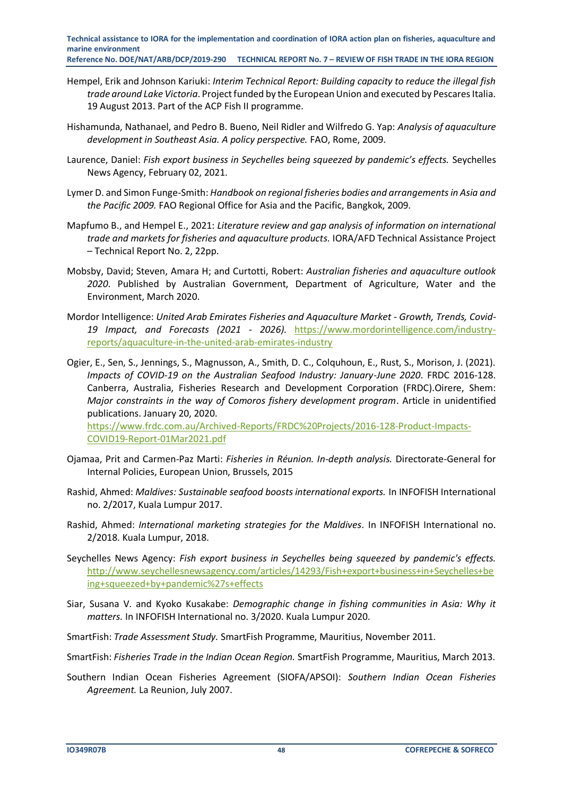- Hempel, Erik and Johnson Kariuki: *Interim Technical Report: Building capacity to reduce the illegal fish trade around Lake Victoria*. Project funded by the European Union and executed by Pescares Italia. 19 August 2013. Part of the ACP Fish II programme.
- Hishamunda, Nathanael, and Pedro B. Bueno, Neil Ridler and Wilfredo G. Yap: *Analysis of aquaculture development in Southeast Asia. A policy perspective.* FAO, Rome, 2009.
- Laurence, Daniel: *Fish export business in Seychelles being squeezed by pandemic's effects.* Seychelles News Agency, February 02, 2021.
- Lymer D. and Simon Funge-Smith: *Handbook on regional fisheries bodies and arrangements in Asia and the Pacific 2009.* FAO Regional Office for Asia and the Pacific, Bangkok, 2009.
- Mapfumo B., and Hempel E., 2021: *Literature review and gap analysis of information on international trade and markets for fisheries and aquaculture products.* IORA/AFD Technical Assistance Project – Technical Report No. 2, 22pp.
- Mobsby, David; Steven, Amara H; and Curtotti, Robert: *Australian fisheries and aquaculture outlook 2020*. Published by Australian Government, Department of Agriculture, Water and the Environment, March 2020.
- Mordor Intelligence: *United Arab Emirates Fisheries and Aquaculture Market - Growth, Trends, Covid-19 Impact, and Forecasts (2021 - 2026).* [https://www.mordorintelligence.com/industry](https://www.mordorintelligence.com/industry-reports/aquaculture-in-the-united-arab-emirates-industry)[reports/aquaculture-in-the-united-arab-emirates-industry](https://www.mordorintelligence.com/industry-reports/aquaculture-in-the-united-arab-emirates-industry)
- Ogier, E., Sen, S., Jennings, S., Magnusson, A., Smith, D. C., Colquhoun, E., Rust, S., Morison, J. (2021). *Impacts of COVID-19 on the Australian Seafood Industry: January-June 2020*. FRDC 2016-128. Canberra, Australia, Fisheries Research and Development Corporation (FRDC).Oirere, Shem: *Major constraints in the way of Comoros fishery development program*. Article in unidentified publications. January 20, 2020.

[https://www.frdc.com.au/Archived-Reports/FRDC%20Projects/2016-128-Product-Impacts-](https://www.frdc.com.au/Archived-Reports/FRDC%20Projects/2016-128-Product-Impacts-COVID19-Report-01Mar2021.pdf)[COVID19-Report-01Mar2021.pdf](https://www.frdc.com.au/Archived-Reports/FRDC%20Projects/2016-128-Product-Impacts-COVID19-Report-01Mar2021.pdf)

- Ojamaa, Prit and Carmen-Paz Marti: *Fisheries in Réunion. In-depth analysis.* Directorate-General for Internal Policies, European Union, Brussels, 2015
- Rashid, Ahmed: *Maldives: Sustainable seafood boosts international exports.* In INFOFISH International no. 2/2017, Kuala Lumpur 2017.
- Rashid, Ahmed: *International marketing strategies for the Maldives*. In INFOFISH International no. 2/2018. Kuala Lumpur, 2018.
- Seychelles News Agency: *Fish export business in Seychelles being squeezed by pandemic's effects.*  [http://www.seychellesnewsagency.com/articles/14293/Fish+export+business+in+Seychelles+be](http://www.seychellesnewsagency.com/articles/14293/Fish+export+business+in+Seychelles+being+squeezed+by+pandemic%27s+effects) [ing+squeezed+by+pandemic%27s+effects](http://www.seychellesnewsagency.com/articles/14293/Fish+export+business+in+Seychelles+being+squeezed+by+pandemic%27s+effects)
- Siar, Susana V. and Kyoko Kusakabe: *Demographic change in fishing communities in Asia: Why it matters.* In INFOFISH International no. 3/2020. Kuala Lumpur 2020.
- SmartFish: *Trade Assessment Study.* SmartFish Programme, Mauritius, November 2011.
- SmartFish: *Fisheries Trade in the Indian Ocean Region.* SmartFish Programme, Mauritius, March 2013.
- Southern Indian Ocean Fisheries Agreement (SIOFA/APSOI): *Southern Indian Ocean Fisheries Agreement.* La Reunion, July 2007.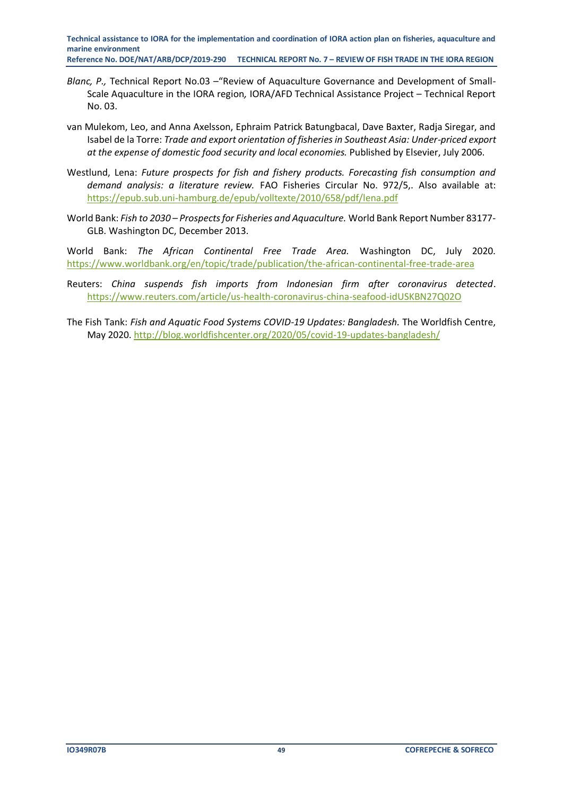- *Blanc, P.,* Technical Report No.03 –"Review of Aquaculture Governance and Development of Small-Scale Aquaculture in the IORA region*,* IORA/AFD Technical Assistance Project – Technical Report No. 03.
- van Mulekom, Leo, and Anna Axelsson, Ephraim Patrick Batungbacal, Dave Baxter, Radja Siregar, and Isabel de la Torre: *Trade and export orientation of fisheries in Southeast Asia: Under-priced export at the expense of domestic food security and local economies.* Published by Elsevier, July 2006.
- Westlund, Lena: *Future prospects for fish and fishery products. Forecasting fish consumption and demand analysis: a literature review.* FAO Fisheries Circular No. 972/5,. Also available at: <https://epub.sub.uni-hamburg.de/epub/volltexte/2010/658/pdf/lena.pdf>
- World Bank: *Fish to 2030 – Prospects for Fisheries and Aquaculture.* World Bank Report Number 83177- GLB. Washington DC, December 2013.

World Bank: *The African Continental Free Trade Area.* Washington DC, July 2020. <https://www.worldbank.org/en/topic/trade/publication/the-african-continental-free-trade-area>

- Reuters: *China suspends fish imports from Indonesian firm after coronavirus detected*. <https://www.reuters.com/article/us-health-coronavirus-china-seafood-idUSKBN27Q02O>
- The Fish Tank: *Fish and Aquatic Food Systems COVID-19 Updates: Bangladesh.* The Worldfish Centre, May 2020.<http://blog.worldfishcenter.org/2020/05/covid-19-updates-bangladesh/>